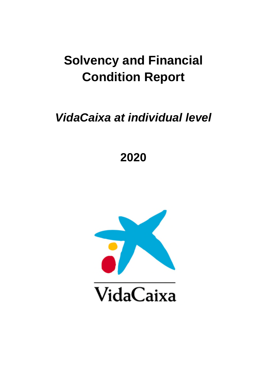# **Solvency and Financial Condition Report**

*VidaCaixa at individual level* 

**2020** 

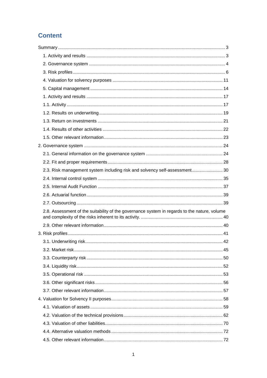# **Content**

| 2.3. Risk management system including risk and solvency self-assessment 30                   |  |
|----------------------------------------------------------------------------------------------|--|
|                                                                                              |  |
|                                                                                              |  |
|                                                                                              |  |
|                                                                                              |  |
| 2.8. Assessment of the suitability of the governance system in regards to the nature, volume |  |
|                                                                                              |  |
|                                                                                              |  |
|                                                                                              |  |
|                                                                                              |  |
|                                                                                              |  |
|                                                                                              |  |
|                                                                                              |  |
|                                                                                              |  |
|                                                                                              |  |
|                                                                                              |  |
|                                                                                              |  |
|                                                                                              |  |
|                                                                                              |  |
|                                                                                              |  |
|                                                                                              |  |
|                                                                                              |  |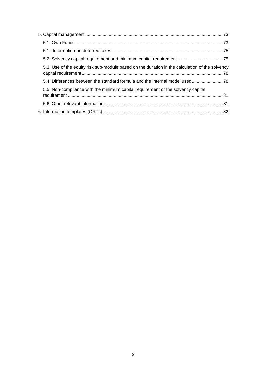| 5.3. Use of the equity risk sub-module based on the duration in the calculation of the solvency |  |
|-------------------------------------------------------------------------------------------------|--|
| 5.4. Differences between the standard formula and the internal model used 78                    |  |
| 5.5. Non-compliance with the minimum capital requirement or the solvency capital                |  |
|                                                                                                 |  |
|                                                                                                 |  |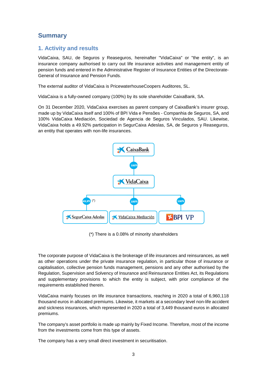# **Summary**

# **1. Activity and results**

VidaCaixa, SAU, de Seguros y Reaseguros, hereinafter "VidaCaixa" or "the entity", is an insurance company authorised to carry out life insurance activities and management entity of pension funds and entered in the Administrative Register of Insurance Entities of the Directorate-General of Insurance and Pension Funds.

The external auditor of VidaCaixa is PricewaterhouseCoopers Auditores, SL.

VidaCaixa is a fully-owned company (100%) by its sole shareholder CaixaBank, SA.

On 31 December 2020, VidaCaixa exercises as parent company of CaixaBank's insurer group, made up by VidaCaixa itself and 100% of BPI Vida e Pensões - Companhia de Seguros, SA, and 100% VidaCaixa Mediación, Sociedad de Agencia de Seguros Vinculados, SAU. Likewise, VidaCaixa holds a 49.92% participation in SegurCaixa Adeslas, SA, de Seguros y Reaseguros, an entity that operates with non-life insurances.



(\*) There is a 0.08% of minority shareholders

The corporate purpose of VidaCaixa is the brokerage of life insurances and reinsurances, as well as other operations under the private insurance regulation, in particular those of insurance or capitalisation, collective pension funds management, pensions and any other authorised by the Regulation, Supervision and Solvency of Insurance and Reinsurance Entities Act, its Regulations and supplementary provisions to which the entity is subject, with prior compliance of the requirements established therein.

VidaCaixa mainly focuses on life insurance transactions, reaching in 2020 a total of 6,960,118 thousand euros in allocated premiums. Likewise, it markets at a secondary level non-life accident and sickness insurances, which represented in 2020 a total of 3,449 thousand euros in allocated premiums.

The company's asset portfolio is made up mainly by Fixed Income. Therefore, most of the income from the investments come from this type of assets.

The company has a very small direct investment in securitisation.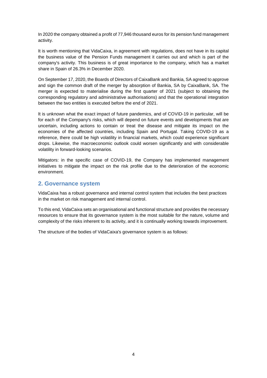In 2020 the company obtained a profit of 77,946 thousand euros for its pension fund management activity.

It is worth mentioning that VidaCaixa, in agreement with regulations, does not have in its capital the business value of the Pension Funds management it carries out and which is part of the company's activity. This business is of great importance to the company, which has a market share in Spain of 26.3% in December 2020.

On September 17, 2020, the Boards of Directors of CaixaBank and Bankia, SA agreed to approve and sign the common draft of the merger by absorption of Bankia, SA by CaixaBank, SA. The merger is expected to materialise during the first quarter of 2021 (subject to obtaining the corresponding regulatory and administrative authorisations) and that the operational integration between the two entities is executed before the end of 2021.

It is unknown what the exact impact of future pandemics, and of COVID-19 in particular, will be for each of the Company's risks, which will depend on future events and developments that are uncertain, including actions to contain or treat the disease and mitigate its impact on the economies of the affected countries, including Spain and Portugal. Taking COVID-19 as a reference, there could be high volatility in financial markets, which could experience significant drops. Likewise, the macroeconomic outlook could worsen significantly and with considerable volatility in forward-looking scenarios.

Mitigators: in the specific case of COVID-19, the Company has implemented management initiatives to mitigate the impact on the risk profile due to the deterioration of the economic environment.

### **2. Governance system**

VidaCaixa has a robust governance and internal control system that includes the best practices in the market on risk management and internal control.

To this end, VidaCaixa sets an organisational and functional structure and provides the necessary resources to ensure that its governance system is the most suitable for the nature, volume and complexity of the risks inherent to its activity, and it is continually working towards improvement.

The structure of the bodies of VidaCaixa's governance system is as follows: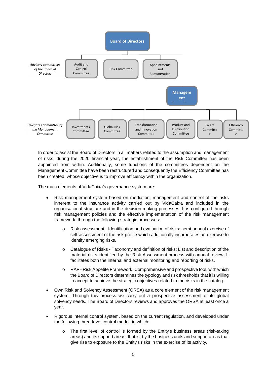

In order to assist the Board of Directors in all matters related to the assumption and management of risks, during the 2020 financial year, the establishment of the Risk Committee has been appointed from within. Additionally, some functions of the committees dependent on the Management Committee have been restructured and consequently the Efficiency Committee has been created, whose objective is to improve efficiency within the organization.

The main elements of VidaCaixa's governance system are:

- Risk management system based on mediation, management and control of the risks inherent to the insurance activity carried out by VidaCaixa and included in the organisational structure and in the decision-making processes. It is configured through risk management policies and the effective implementation of the risk management framework, through the following strategic processes:
	- o Risk assessment Identification and evaluation of risks: semi-annual exercise of self-assessment of the risk profile which additionally incorporates an exercise to identify emerging risks.
	- o Catalogue of Risks Taxonomy and definition of risks: List and description of the material risks identified by the Risk Assessment process with annual review. It facilitates both the internal and external monitoring and reporting of risks.
	- o RAF Risk Appetite Framework: Comprehensive and prospective tool, with which the Board of Directors determines the typology and risk thresholds that it is willing to accept to achieve the strategic objectives related to the risks in the catalog.
- Own Risk and Solvency Assessment (ORSA) as a core element of the risk management system. Through this process we carry out a prospective assessment of its global solvency needs. The Board of Directors reviews and approves the ORSA at least once a year.
- Rigorous internal control system, based on the current regulation, and developed under the following three-level control model, in which:
	- o The first level of control is formed by the Entity's business areas (risk-taking areas) and its support areas, that is, by the business units and support areas that give rise to exposure to the Entity's risks in the exercise of its activity.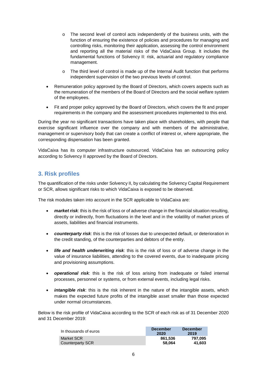- $\circ$  The second level of control acts independently of the business units, with the function of ensuring the existence of policies and procedures for managing and controlling risks, monitoring their application, assessing the control environment and reporting all the material risks of the VidaCaixa Group. It includes the fundamental functions of Solvency II: risk, actuarial and regulatory compliance management.
- $\circ$  The third level of control is made up of the Internal Audit function that performs independent supervision of the two previous levels of control.
- Remuneration policy approved by the Board of Directors, which covers aspects such as the remuneration of the members of the Board of Directors and the social welfare system of the employees.
- Fit and proper policy approved by the Board of Directors, which covers the fit and proper requirements in the company and the assessment procedures implemented to this end.

During the year no significant transactions have taken place with shareholders, with people that exercise significant influence over the company and with members of the administrative, management or supervisory body that can create a conflict of interest or, where appropriate, the corresponding dispensation has been granted.

VidaCaixa has its computer infrastructure outsourced. VidaCaixa has an outsourcing policy according to Solvency II approved by the Board of Directors.

# **3. Risk profiles**

The quantification of the risks under Solvency II, by calculating the Solvency Capital Requirement or SCR, allows significant risks to which VidaCaixa is exposed to be observed.

The risk modules taken into account in the SCR applicable to VidaCaixa are:

- *market risk*: this is the risk of loss or of adverse change in the financial situation resulting, directly or indirectly, from fluctuations in the level and in the volatility of market prices of assets, liabilities and financial instruments.
- *counterparty risk*: this is the risk of losses due to unexpected default, or deterioration in the credit standing, of the counterparties and debtors of the entity.
- *life and health underwriting risk*: this is the risk of loss or of adverse change in the value of insurance liabilities, attending to the covered events, due to inadequate pricing and provisioning assumptions.
- *operational risk*: this is the risk of loss arising from inadequate or failed internal processes, personnel or systems, or from external events, including legal risks.
- *intangible risk*: this is the risk inherent in the nature of the intangible assets, which makes the expected future profits of the intangible asset smaller than those expected under normal circumstances.

Below is the risk profile of VidaCaixa according to the SCR of each risk as of 31 December 2020 and 31 December 2019:

| In thousands of euros          | <b>December</b><br>2020 | <b>December</b><br>2019 |
|--------------------------------|-------------------------|-------------------------|
| Market SCR<br>Counterparty SCR | 861.536<br>58.064       | 797.095<br>41.603       |
|                                |                         |                         |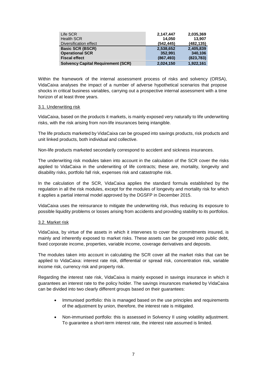| Life SCR                                  | 2,147,447  | 2,035,369  |
|-------------------------------------------|------------|------------|
| <b>Health SCR</b>                         | 14,050     | 13.907     |
| Diversification effect                    | (542, 445) | (482, 135) |
| <b>Basic SCR (BSCR)</b>                   | 2,538,652  | 2,405,839  |
| <b>Operational SCR</b>                    | 352.991    | 340,106    |
| <b>Fiscal effect</b>                      | (867, 493) | (823, 783) |
| <b>Solvency Capital Requirement (SCR)</b> | 2,024,150  | 1,922,161  |

Within the framework of the internal assessment process of risks and solvency (ORSA), VidaCaixa analyses the impact of a number of adverse hypothetical scenarios that propose shocks in critical business variables, carrying out a prospective internal assessment with a time horizon of at least three years.

### 3.1. Underwriting risk

VidaCaixa, based on the products it markets, is mainly exposed very naturally to life underwriting risks, with the risk arising from non-life insurances being intangible.

The life products marketed by VidaCaixa can be grouped into savings products, risk products and unit linked products, both individual and collective.

Non-life products marketed secondarily correspond to accident and sickness insurances.

The underwriting risk modules taken into account in the calculation of the SCR cover the risks applied to VidaCaixa in the underwriting of life contracts; these are, mortality, longevity and disability risks, portfolio fall risk, expenses risk and catastrophe risk.

In the calculation of the SCR, VidaCaixa applies the standard formula established by the regulation in all the risk modules, except for the modules of longevity and mortality risk for which it applies a partial internal model approved by the DGSFP in December 2015.

VidaCaixa uses the reinsurance to mitigate the underwriting risk, thus reducing its exposure to possible liquidity problems or losses arising from accidents and providing stability to its portfolios.

### 3.2. Market risk

VidaCaixa, by virtue of the assets in which it intervenes to cover the commitments insured, is mainly and inherently exposed to market risks. These assets can be grouped into public debt, fixed corporate income, properties, variable income, coverage derivatives and deposits.

The modules taken into account in calculating the SCR cover all the market risks that can be applied to VidaCaixa: interest rate risk, differential or spread risk, concentration risk, variable income risk, currency risk and property risk.

Regarding the interest rate risk, VidaCaixa is mainly exposed in savings insurance in which it guarantees an interest rate to the policy holder. The savings insurances marketed by VidaCaixa can be divided into two clearly different groups based on their guarantees:

- Immunised portfolio: this is managed based on the use principles and requirements of the adjustment by union, therefore, the interest rate is mitigated.
- Non-immunised portfolio: this is assessed in Solvency II using volatility adjustment. To guarantee a short-term interest rate, the interest rate assumed is limited.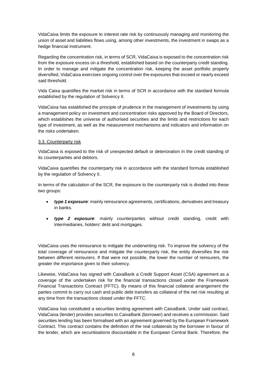VidaCaixa limits the exposure to interest rate risk by continuously managing and monitoring the union of asset and liabilities flows using, among other investments, the investment in swaps as a hedge financial instrument.

Regarding the concentration risk, in terms of SCR, VidaCaixa is exposed to the concentration risk from the exposure excess on a threshold, established based on the counterparty credit standing. In order to manage and mitigate the concentration risk, keeping the asset portfolio properly diversified, VidaCaixa exercises ongoing control over the exposures that exceed or nearly exceed said threshold.

Vida Caixa quantifies the market risk in terms of SCR in accordance with the standard formula established by the regulation of Solvency II.

VidaCaixa has established the principle of prudence in the management of investments by using a management policy on investment and concentration risks approved by the Board of Directors, which establishes the universe of authorised securities and the limits and restrictions for each type of investment, as well as the measurement mechanisms and indicators and information on the risks undertaken.

### 3.3. Counterparty risk

VidaCaixa is exposed to the risk of unexpected default or deterioration in the credit standing of its counterparties and debtors.

VidaCaixa quantifies the counterparty risk in accordance with the standard formula established by the regulation of Solvency II.

In terms of the calculation of the SCR, the exposure to the counterparty risk is divided into these two groups:

- *type 1 exposure*: mainly reinsurance agreements, certifications, derivatives and treasury in banks.
- *type 2 exposure*: mainly counterparties without credit standing, credit with intermediaries, holders' debt and mortgages.

VidaCaixa uses the reinsurance to mitigate the underwriting risk. To improve the solvency of the total coverage of reinsurance and mitigate the counterparty risk, the entity diversifies the risk between different reinsurers. If that were not possible, the lower the number of reinsurers, the greater the importance given to their solvency.

Likewise, VidaCaixa has signed with CaixaBank a Credit Support Asset (CSA) agreement as a coverage of the undertaken risk for the financial transactions closed under the Framework Financial Transactions Contract (FFTC). By means of this financial collateral arrangement the parties commit to carry out cash and public debt transfers as collateral of the net risk resulting at any time from the transactions closed under the FFTC.

VidaCaixa has constituted a securities lending agreement with CaixaBank. Under said contract, VidaCaixa (lender) provides securities to CaixaBank (borrower) and receives a commission. Said securities lending has been formalised with an agreement governed by the European Framework Contract. This contract contains the definition of the real collaterals by the borrower in favour of the lender, which are securitisations discountable in the European Central Bank. Therefore, the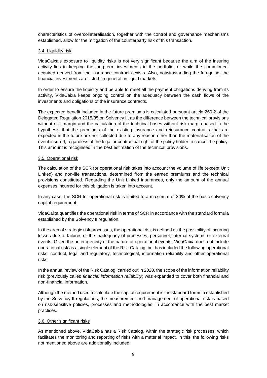characteristics of overcollateralisation, together with the control and governance mechanisms established, allow for the mitigation of the counterparty risk of this transaction.

### 3.4. Liquidity risk

VidaCaixa's exposure to liquidity risks is not very significant because the aim of the insuring activity lies in keeping the long-term investments in the portfolio, or while the commitment acquired derived from the insurance contracts exists. Also, notwithstanding the foregoing, the financial investments are listed, in general, in liquid markets.

In order to ensure the liquidity and be able to meet all the payment obligations deriving from its activity, VidaCaixa keeps ongoing control on the adequacy between the cash flows of the investments and obligations of the insurance contracts.

The expected benefit included in the future premiums is calculated pursuant article 260.2 of the Delegated Regulation 2015/35 on Solvency II, as the difference between the technical provisions without risk margin and the calculation of the technical bases without risk margin based in the hypothesis that the premiums of the existing insurance and reinsurance contracts that are expected in the future are not collected due to any reason other than the materialisation of the event insured, regardless of the legal or contractual right of the policy holder to cancel the policy. This amount is recognised in the best estimation of the technical provisions.

### 3.5. Operational risk

The calculation of the SCR for operational risk takes into account the volume of life (except Unit Linked) and non-life transactions, determined from the earned premiums and the technical provisions constituted. Regarding the Unit Linked insurances, only the amount of the annual expenses incurred for this obligation is taken into account.

In any case, the SCR for operational risk is limited to a maximum of 30% of the basic solvency capital requirement.

VidaCaixa quantifies the operational risk in terms of SCR in accordance with the standard formula established by the Solvency II regulation.

In the area of strategic risk processes, the operational risk is defined as the possibility of incurring losses due to failures or the inadequacy of processes, personnel, internal systems or external events. Given the heterogeneity of the nature of operational events, VidaCaixa does not include operational risk as a single element of the Risk Catalog, but has included the following operational risks: conduct, legal and regulatory, technological, information reliability and other operational risks.

In the annual review of the Risk Catalog, carried out in 2020, the scope of the information reliability risk (previously called *financial information reliability*) was expanded to cover both financial and non-financial information.

Although the method used to calculate the capital requirement is the standard formula established by the Solvency II regulations, the measurement and management of operational risk is based on risk-sensitive policies, processes and methodologies, in accordance with the best market practices.

### 3.6. Other significant risks

As mentioned above, VidaCaixa has a Risk Catalog, within the strategic risk processes, which facilitates the monitoring and reporting of risks with a material impact. In this, the following risks not mentioned above are additionally included: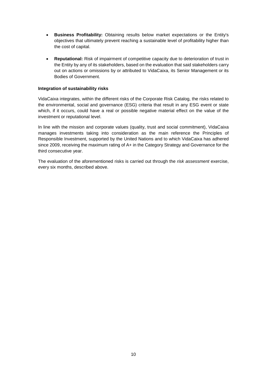- **Business Profitability:** Obtaining results below market expectations or the Entity's objectives that ultimately prevent reaching a sustainable level of profitability higher than the cost of capital.
- **Reputational:** Risk of impairment of competitive capacity due to deterioration of trust in the Entity by any of its stakeholders, based on the evaluation that said stakeholders carry out on actions or omissions by or attributed to VidaCaixa, its Senior Management or its Bodies of Government.

### **Integration of sustainability risks**

VidaCaixa integrates, within the different risks of the Corporate Risk Catalog, the risks related to the environmental, social and governance (ESG) criteria that result in any ESG event or state which, if it occurs, could have a real or possible negative material effect on the value of the investment or reputational level.

In line with the mission and corporate values (quality, trust and social commitment), VidaCaixa manages investments taking into consideration as the main reference the Principles of Responsible Investment, supported by the United Nations and to which VidaCaixa has adhered since 2009, receiving the maximum rating of A+ in the Category Strategy and Governance for the third consecutive year.

The evaluation of the aforementioned risks is carried out through the *risk assessment* exercise, every six months, described above.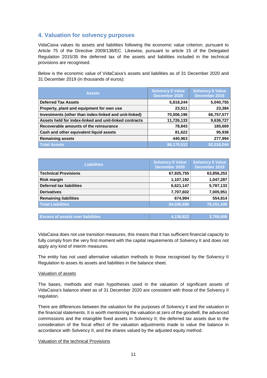# **4. Valuation for solvency purposes**

VidaCaixa values its assets and liabilities following the economic value criterion, pursuant to Article 75 of the Directive 2009/138/EC. Likewise, pursuant to article 15 of the Delegated Regulation 2015/35 the deferred tax of the assets and liabilities included in the technical provisions are recognised.

Below is the economic value of VidaCaixa's assets and liabilities as of 31 December 2020 and 31 December 2019 (in thousands of euros):

| <b>Assets</b>                                          | <b>Solvency II Value</b><br>December 2020 | <b>Solvency II Value</b><br>December 2019 |
|--------------------------------------------------------|-------------------------------------------|-------------------------------------------|
| <b>Deferred Tax Assets</b>                             | 5,818,244                                 | 5,040,755                                 |
| Property, plant and equipment for own use              | 23,511                                    | 23,384                                    |
| Investments (other than index-linked and unit-linked)  | 70,006,196                                | 66,757,577                                |
| Assets held for index-linked and unit-linked contracts | 11,726,133                                | 9,636,727                                 |
| Recoverable amounts of the reinsurance                 | 78,843                                    | 185,669                                   |
| Cash and other equivalent liquid assets                | 81,622                                    | 95,938                                    |
| <b>Remaining assets</b>                                | 440,963                                   | 277,994                                   |
| <b>Total Assets</b>                                    | $\overline{88,175,512}$                   | 82,018,044                                |

| <b>Liabilities</b>              | <b>Solvency II Value</b><br>December 2020 | <b>Solvency II Value</b><br>December 2019 |
|---------------------------------|-------------------------------------------|-------------------------------------------|
| <b>Technical Provisions</b>     | 67,925,755                                | 63,856,253                                |
| <b>Risk margin</b>              | 1,107,192                                 | 1,047,287                                 |
| <b>Deferred tax liabilities</b> | 6,621,147                                 | 5,787,133                                 |
| <b>Derivatives</b>              | 7,707,602                                 | 7,005,951                                 |
| <b>Remaining liabilities</b>    | 674,994                                   | 554,814                                   |
| <b>Total Liabilities</b>        | 84,036,690                                | 78,251,438                                |
|                                 |                                           |                                           |

| <b>Excess of assets over liabilities</b> | 4.138.822 | 3.766.606 |
|------------------------------------------|-----------|-----------|
|                                          |           |           |

VidaCaixa does not use transition measures, this means that it has sufficient financial capacity to fully comply from the very first moment with the capital requirements of Solvency II and does not apply any kind of interim measures.

The entity has not used alternative valuation methods to those recognised by the Solvency II Regulation to asses its assets and liabilities in the balance sheet.

### Valuation of assets

The bases, methods and main hypotheses used in the valuation of significant assets of VidaCaixa's balance sheet as of 31 December 2020 are consistent with those of the Solvency II regulation.

There are differences between the valuation for the purposes of Solvency II and the valuation in the financial statements. It is worth mentioning the valuation at zero of the goodwill, the advanced commissions and the intangible fixed assets in Solvency II; the deferred tax assets due to the consideration of the fiscal effect of the valuation adjustments made to value the balance in accordance with Solvency II, and the shares valued by the adjusted equity method.

### Valuation of the technical Provisions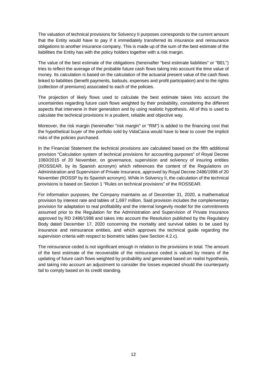The valuation of technical provisions for Solvency II purposes corresponds to the current amount that the Entity would have to pay if it immediately transferred its insurance and reinsurance obligations to another insurance company. This is made up of the sum of the best estimate of the liabilities the Entity has with the policy holders together with a risk margin.

The value of the best estimate of the obligations (hereinafter "best estimate liabilities" or "BEL") tries to reflect the average of the probable future cash flows taking into account the time value of money. Its calculation is based on the calculation of the actuarial present value of the cash flows linked to liabilities (benefit payments, bailouts, expenses and profit participation) and to the rights (collection of premiums) associated to each of the policies.

The projection of likely flows used to calculate the best estimate takes into account the uncertainties regarding future cash flows weighted by their probability, considering the different aspects that intervene in their generation and by using realistic hypothesis. All of this is used to calculate the technical provisions in a prudent, reliable and objective way.

Moreover, the risk margin (hereinafter "risk margin" or "RM") is added to the financing cost that the hypothetical buyer of the portfolio sold by VidaCaixa would have to bear to cover the implicit risks of the policies purchased.

In the Financial Statement the technical provisions are calculated based on the fifth additional provision "Calculation system of technical provisions for accounting purposes" of Royal Decree 1060/2015 of 20 November, on governance, supervision and solvency of insuring entities (ROSSEAR, by its Spanish acronym) which references the content of the Regulations on Administration and Supervision of Private Insurance, approved by Royal Decree 2486/1998 of 20 November (ROSSP by its Spanish acronym). While in Solvency II, the calculation of the technical provisions is based on Section 1 "Rules on technical provisions" of the ROSSEAR.

For information purposes, the Company maintains as of December 31, 2020, a mathematical provision by interest rate and tables of 1,697 million. Said provision includes the complementary provision for adaptation to real profitability and the internal longevity model for the commitments assumed prior to the Regulation for the Administration and Supervision of Private Insurance approved by RD 2486/1998 and takes into account the Resolution published by the Regulatory Body dated December 17, 2020 concerning the mortality and survival tables to be used by insurance and reinsurance entities, and which approves the technical guide regarding the supervision criteria with respect to biometric tables (see Section 4.2.c).

The reinsurance ceded is not significant enough in relation to the provisions in total. The amount of the best estimate of the recoverable of the reinsurance ceded is valued by means of the updating of future cash flows weighted by probability and generated based on realist hypothesis, and taking into account an adjustment to consider the losses expected should the counterparty fail to comply based on its credit standing.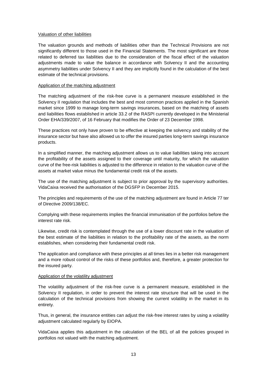### Valuation of other liabilities

The valuation grounds and methods of liabilities other than the Technical Provisions are not significantly different to those used in the Financial Statements. The most significant are those related to deferred tax liabilities due to the consideration of the fiscal effect of the valuation adjustments made to value the balance in accordance with Solvency II and the accounting asymmetry liabilities under Solvency II and they are implicitly found in the calculation of the best estimate of the technical provisions.

### Application of the matching adjustment

The matching adjustment of the risk-free curve is a permanent measure established in the Solvency II regulation that includes the best and most common practices applied in the Spanish market since 1999 to manage long-term savings insurances, based on the matching of assets and liabilities flows established in article 33.2 of the RASPI currently developed in the Ministerial Order EHA/339/2007, of 16 February that modifies the Order of 23 December 1998.

These practices not only have proven to be effective at keeping the solvency and stability of the insurance sector but have also allowed us to offer the insured parties long-term savings insurance products.

In a simplified manner, the matching adjustment allows us to value liabilities taking into account the profitability of the assets assigned to their coverage until maturity, for which the valuation curve of the free-risk liabilities is adjusted to the difference in relation to the valuation curve of the assets at market value minus the fundamental credit risk of the assets.

The use of the matching adjustment is subject to prior approval by the supervisory authorities. VidaCaixa received the authorisation of the DGSFP in December 2015.

The principles and requirements of the use of the matching adjustment are found in Article 77 ter of Directive 2009/138/EC.

Complying with these requirements implies the financial immunisation of the portfolios before the interest rate risk.

Likewise, credit risk is contemplated through the use of a lower discount rate in the valuation of the best estimate of the liabilities in relation to the profitability rate of the assets, as the norm establishes, when considering their fundamental credit risk.

The application and compliance with these principles at all times lies in a better risk management and a more robust control of the risks of these portfolios and, therefore, a greater protection for the insured party.

### Application of the volatility adjustment

The volatility adjustment of the risk-free curve is a permanent measure, established in the Solvency II regulation, in order to prevent the interest rate structure that will be used in the calculation of the technical provisions from showing the current volatility in the market in its entirety.

Thus, in general, the insurance entities can adjust the risk-free interest rates by using a volatility adjustment calculated regularly by EIOPA.

VidaCaixa applies this adjustment in the calculation of the BEL of all the policies grouped in portfolios not valued with the matching adjustment.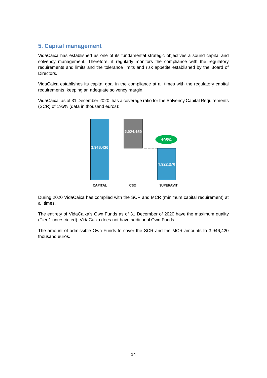# **5. Capital management**

VidaCaixa has established as one of its fundamental strategic objectives a sound capital and solvency management. Therefore, it regularly monitors the compliance with the regulatory requirements and limits and the tolerance limits and risk appetite established by the Board of Directors.

VidaCaixa establishes its capital goal in the compliance at all times with the regulatory capital requirements, keeping an adequate solvency margin.

VidaCaixa, as of 31 December 2020, has a coverage ratio for the Solvency Capital Requirements (SCR) of 195% (data in thousand euros):



During 2020 VidaCaixa has complied with the SCR and MCR (minimum capital requirement) at all times.

The entirety of VidaCaixa's Own Funds as of 31 December of 2020 have the maximum quality (Tier 1 unrestricted). VidaCaixa does not have additional Own Funds.

The amount of admissible Own Funds to cover the SCR and the MCR amounts to 3,946,420 thousand euros.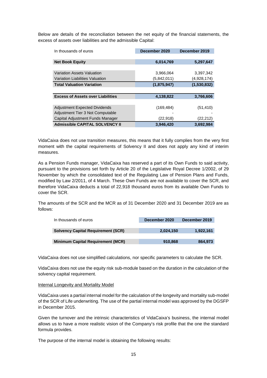Below are details of the reconciliation between the net equity of the financial statements, the excess of assets over liabilities and the admissible Capital:

| In thousands of euros                    | December 2020 | December 2019 |  |
|------------------------------------------|---------------|---------------|--|
|                                          |               |               |  |
| <b>Net Book Equity</b>                   | 6,014,769     | 5,297,647     |  |
|                                          |               |               |  |
| Variation Assets Valuation               | 3,966,064     | 3,397,342     |  |
| Variation Liabilities Valuation          | (5,842,011)   | (4,928,174)   |  |
| <b>Total Valuation Variation</b>         | (1,875,947)   | (1,530,832)   |  |
|                                          |               |               |  |
| <b>Excess of Assets over Liabilities</b> | 4,138,822     | 3,766,606     |  |
|                                          |               |               |  |
| <b>Adjustment Expected Dividends</b>     | (169, 484)    | (51,410)      |  |
| Adjustment Tier 3 Not Computable         |               |               |  |
| Capital Adjustment Funds Manager         | (22, 918)     | (22,212)      |  |
| <b>Admissible CAPITAL SOLVENCY II</b>    | 3,946,420     | 3,692,984     |  |

VidaCaixa does not use transition measures, this means that it fully complies from the very first moment with the capital requirements of Solvency II and does not apply any kind of interim measures.

As a Pension Funds manager, VidaCaixa has reserved a part of its Own Funds to said activity, pursuant to the provisions set forth by Article 20 of the Legislative Royal Decree 1/2002, of 29 November by which the consolidated text of the Regulating Law of Pension Plans and Funds, modified by Law 2/2011, of 4 March. These Own Funds are not available to cover the SCR, and therefore VidaCaixa deducts a total of 22,918 thousand euros from its available Own Funds to cover the SCR.

The amounts of the SCR and the MCR as of 31 December 2020 and 31 December 2019 are as follows:

| In thousands of euros                     | December 2020 | December 2019 |  |
|-------------------------------------------|---------------|---------------|--|
|                                           |               |               |  |
| <b>Solvency Capital Requirement (SCR)</b> | 2,024,150     | 1,922,161     |  |
|                                           |               |               |  |
| <b>Minimum Capital Requirement (MCR)</b>  | 910,868       | 864,973       |  |

VidaCaixa does not use simplified calculations, nor specific parameters to calculate the SCR.

VidaCaixa does not use the equity risk sub-module based on the duration in the calculation of the solvency capital requirement.

### Internal Longevity and Mortality Model

VidaCaixa uses a partial internal model for the calculation of the longevity and mortality sub-model of the SCR of Life underwriting. The use of the partial internal model was approved by the DGSFP in December 2015.

Given the turnover and the intrinsic characteristics of VidaCaixa's business, the internal model allows us to have a more realistic vision of the Company's risk profile that the one the standard formula provides.

The purpose of the internal model is obtaining the following results: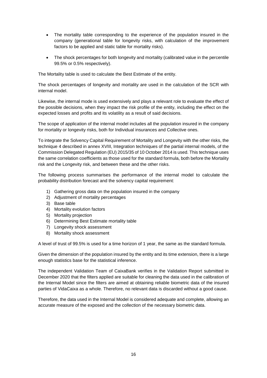- The mortality table corresponding to the experience of the population insured in the company (generational table for longevity risks, with calculation of the improvement factors to be applied and static table for mortality risks).
- The shock percentages for both longevity and mortality (calibrated value in the percentile 99.5% or 0.5% respectively).

The Mortality table is used to calculate the Best Estimate of the entity.

The shock percentages of longevity and mortality are used in the calculation of the SCR with internal model.

Likewise, the internal mode is used extensively and plays a relevant role to evaluate the effect of the possible decisions, when they impact the risk profile of the entity, including the effect on the expected losses and profits and its volatility as a result of said decisions.

The scope of application of the internal model includes all the population insured in the company for mortality or longevity risks, both for Individual insurances and Collective ones.

To integrate the Solvency Capital Requirement of Mortality and Longevity with the other risks, the technique 4 described in annex XVIII, Integration techniques of the partial internal models, of the Commission Delegated Regulation (EU) 2015/35 of 10 October 2014 is used. This technique uses the same correlation coefficients as those used for the standard formula, both before the Mortality risk and the Longevity risk, and between these and the other risks.

The following process summarises the performance of the internal model to calculate the probability distribution forecast and the solvency capital requirement:

- 1) Gathering gross data on the population insured in the company
- 2) Adjustment of mortality percentages
- 3) Base table
- 4) Mortality evolution factors
- 5) Mortality projection
- 6) Determining Best Estimate mortality table
- 7) Longevity shock assessment
- 8) Mortality shock assessment

A level of trust of 99.5% is used for a time horizon of 1 year, the same as the standard formula.

Given the dimension of the population insured by the entity and its time extension, there is a large enough statistics base for the statistical inference.

The independent Validation Team of CaixaBank verifies in the Validation Report submitted in December 2020 that the filters applied are suitable for cleaning the data used in the calibration of the Internal Model since the filters are aimed at obtaining reliable biometric data of the insured parties of VidaCaixa as a whole. Therefore, no relevant data is discarded without a good cause.

Therefore, the data used in the Internal Model is considered adequate and complete, allowing an accurate measure of the exposed and the collection of the necessary biometric data.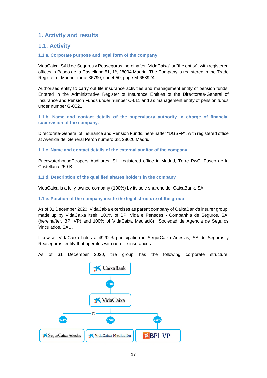# **1. Activity and results**

### **1.1. Activity**

### **1.1.a. Corporate purpose and legal form of the company**

VidaCaixa, SAU de Seguros y Reaseguros, hereinafter "VidaCaixa" or "the entity", with registered offices in Paseo de la Castellana 51, 1º, 28004 Madrid. The Company is registered in the Trade Register of Madrid, tome 36790, sheet 50, page M-658924.

Authorised entity to carry out life insurance activities and management entity of pension funds. Entered in the Administrative Register of Insurance Entities of the Directorate-General of Insurance and Pension Funds under number C-611 and as management entity of pension funds under number G-0021.

**1.1.b. Name and contact details of the supervisory authority in charge of financial supervision of the company.** 

Directorate-General of Insurance and Pension Funds, hereinafter "DGSFP", with registered office at Avenida del General Perón número 38, 28020 Madrid.

**1.1.c. Name and contact details of the external auditor of the company.** 

PricewaterhouseCoopers Auditores, SL, registered office in Madrid, Torre PwC, Paseo de la Castellana 259 B.

**1.1.d. Description of the qualified shares holders in the company** 

VidaCaixa is a fully-owned company (100%) by its sole shareholder CaixaBank, SA.

### **1.1.e. Position of the company inside the legal structure of the group**

As of 31 December 2020, VidaCaixa exercises as parent company of CaixaBank's insurer group, made up by VidaCaixa itself, 100% of BPI Vida e Pensões - Companhia de Seguros, SA, (hereinafter, BPI VP) and 100% of VidaCaixa Mediación, Sociedad de Agencia de Seguros Vinculados, SAU.

Likewise, VidaCaixa holds a 49.92% participation in SegurCaixa Adeslas, SA de Seguros y Reaseguros, entity that operates with non-life insurances.

As of 31 December 2020, the group has the following corporate structure:

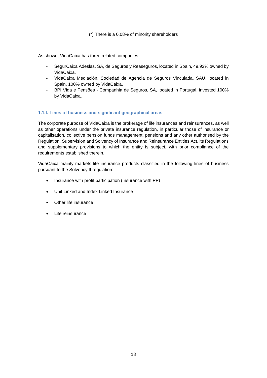### (\*) There is a 0.08% of minority shareholders

As shown, VidaCaixa has three related companies:

- SegurCaixa Adeslas, SA, de Seguros y Reaseguros, located in Spain, 49.92% owned by VidaCaixa.
- VidaCaixa Mediación, Sociedad de Agencia de Seguros Vinculada, SAU, located in Spain, 100% owned by VidaCaixa.
- BPI Vida e Pensões Companhia de Seguros, SA, located in Portugal, invested 100% by VidaCaixa.

### **1.1.f. Lines of business and significant geographical areas**

The corporate purpose of VidaCaixa is the brokerage of life insurances and reinsurances, as well as other operations under the private insurance regulation, in particular those of insurance or capitalisation, collective pension funds management, pensions and any other authorised by the Regulation, Supervision and Solvency of Insurance and Reinsurance Entities Act, its Regulations and supplementary provisions to which the entity is subject, with prior compliance of the requirements established therein.

VidaCaixa mainly markets life insurance products classified in the following lines of business pursuant to the Solvency II regulation:

- Insurance with profit participation (Insurance with PP)
- Unit Linked and Index Linked Insurance
- Other life insurance
- Life reinsurance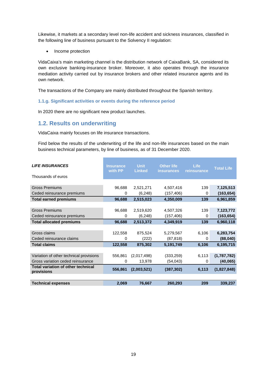Likewise, it markets at a secondary level non-life accident and sickness insurances, classified in the following line of business pursuant to the Solvency II regulation:

• Income protection

VidaCaixa's main marketing channel is the distribution network of CaixaBank, SA, considered its own exclusive banking-insurance broker. Moreover, it also operates through the insurance mediation activity carried out by insurance brokers and other related insurance agents and its own network.

The transactions of the Company are mainly distributed throughout the Spanish territory.

### **1.1.g. Significant activities or events during the reference period**

In 2020 there are no significant new product launches.

### **1.2. Results on underwriting**

VidaCaixa mainly focuses on life insurance transactions.

Find below the results of the underwriting of the life and non-life insurances based on the main business technical parameters, by line of business, as of 31 December 2020.

| <b>LIFE INSURANCES</b>                                  | <b>Insurance</b><br>with PP | <b>Unit</b><br><b>Linked</b> | <b>Other life</b><br><b>insurances</b> | Life<br>reinsurance | <b>Total Life</b> |
|---------------------------------------------------------|-----------------------------|------------------------------|----------------------------------------|---------------------|-------------------|
| Thousands of euros                                      |                             |                              |                                        |                     |                   |
| <b>Gross Premiums</b>                                   | 96,688                      | 2,521,271                    | 4,507,416                              | 139                 | 7,125,513         |
| Ceded reinsurance premiums                              | 0                           | (6, 248)                     | (157, 406)                             | 0                   | (163, 654)        |
| <b>Total earned premiums</b>                            | 96,688                      | 2,515,023                    | 4,350,009                              | 139                 | 6,961,859         |
|                                                         |                             |                              |                                        |                     |                   |
| <b>Gross Premiums</b>                                   | 96,688                      | 2,519,620                    | 4,507,326                              | 139                 | 7,123,772         |
| Ceded reinsurance premiums                              | 0                           | (6, 248)                     | (157, 406)                             | 0                   | (163, 654)        |
| <b>Total allocated premiums</b>                         | 96,688                      | 2,513,372                    | 4,349,919                              | 139                 | 6,960,118         |
|                                                         |                             |                              |                                        |                     |                   |
| Gross claims                                            | 122,558                     | 875,524                      | 5,279,567                              | 6,106               | 6,283,754         |
| Ceded reinsurance claims                                | 0                           | (222)                        | (87, 818)                              | 0                   | (88, 040)         |
| <b>Total claims</b>                                     | 122,558                     | 875,302                      | 5,191,749                              | 6,106               | 6,195,715         |
|                                                         |                             |                              |                                        |                     |                   |
| Variation of other technical provisions                 | 556,861                     | (2,017,498)                  | (333, 259)                             | 6,113               | (1,787,782)       |
| Gross variation ceded reinsurance                       | 0                           | 13,978                       | (54, 043)                              | 0                   | (40, 065)         |
| <b>Total variation of other technical</b><br>provisions | 556,861                     | (2,003,521)                  | (387, 302)                             | 6,113               | (1,827,848)       |
|                                                         |                             |                              |                                        |                     |                   |
| <b>Technical expenses</b>                               | 2,069                       | 76,667                       | 260,293                                | 209                 | 339,237           |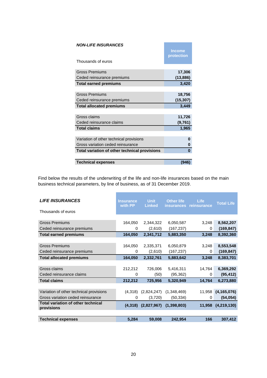| <b>NON-LIFE INSURANCES</b>                    | <b>Income</b><br>protection |
|-----------------------------------------------|-----------------------------|
| Thousands of euros                            |                             |
| <b>Gross Premiums</b>                         | 17,306                      |
| Ceded reinsurance premiums                    | (13, 886)                   |
| <b>Total earned premiums</b>                  | 3,420                       |
|                                               |                             |
| <b>Gross Premiums</b>                         | 18,756                      |
| Ceded reinsurance premiums                    | (15, 307)                   |
| <b>Total allocated premiums</b>               | 3,449                       |
|                                               |                             |
| Gross claims                                  | 11,726                      |
| Ceded reinsurance claims                      | (9,761)                     |
| <b>Total claims</b>                           | 1,965                       |
|                                               |                             |
|                                               |                             |
| Variation of other technical provisions       | O                           |
| Gross variation ceded reinsurance             | 0                           |
| Total variation of other technical provisions | 0                           |
|                                               |                             |

Find below the results of the underwriting of the life and non-life insurances based on the main business technical parameters, by line of business, as of 31 December 2019.

| <b>LIFE INSURANCES</b><br>Thousands of euros            | <b>Insurance</b><br>with PP | <b>Unit</b><br><b>Linked</b> | <b>Other life</b><br><b>insurances</b> | Life<br>reinsurance | <b>Total Life</b> |
|---------------------------------------------------------|-----------------------------|------------------------------|----------------------------------------|---------------------|-------------------|
|                                                         |                             |                              |                                        |                     |                   |
| <b>Gross Premiums</b>                                   | 164,050                     | 2,344,322                    | 6,050,587                              | 3,248               | 8,562,207         |
| Ceded reinsurance premiums                              | 0                           | (2,610)                      | (167, 237)                             | 0                   | (169, 847)        |
| <b>Total earned premiums</b>                            | 164,050                     | 2,341,712                    | 5,883,350                              | 3,248               | 8,392,360         |
|                                                         |                             |                              |                                        |                     |                   |
| <b>Gross Premiums</b>                                   | 164,050                     | 2,335,371                    | 6,050,879                              | 3,248               | 8,553,548         |
| Ceded reinsurance premiums                              | 0                           | (2,610)                      | (167, 237)                             | 0                   | (169, 847)        |
| <b>Total allocated premiums</b>                         | 164,050                     | 2,332,761                    | 5,883,642                              | 3,248               | 8,383,701         |
|                                                         |                             |                              |                                        |                     |                   |
| Gross claims                                            | 212,212                     | 726,006                      | 5,416,311                              | 14,764              | 6,369,292         |
| Ceded reinsurance claims                                | $\Omega$                    | (50)                         | (95, 362)                              | $\Omega$            | (95, 412)         |
| <b>Total claims</b>                                     | 212,212                     | 725,956                      | 5,320,949                              | 14,764              | 6,273,880         |
|                                                         |                             |                              |                                        |                     |                   |
| Variation of other technical provisions                 | (4,318)                     | (2,824,247)                  | (1,348,469)                            | 11,958              | (4, 165, 076)     |
| Gross variation ceded reinsurance                       | $\Omega$                    | (3,720)                      | (50, 334)                              | 0                   | (54, 054)         |
| <b>Total variation of other technical</b><br>provisions | (4,318)                     | (2,827,967)                  | (1,398,803)                            | 11,958              | (4, 219, 130)     |
|                                                         |                             |                              |                                        |                     |                   |
| <b>Technical expenses</b>                               | 5,284                       | 59,008                       | 242,954                                | 166                 | 307,412           |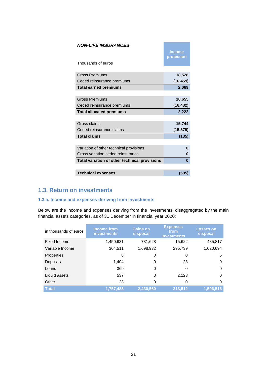| <b>NON-LIFE INSURANCES</b><br>Thousands of euros | <b>Income</b><br>protection |
|--------------------------------------------------|-----------------------------|
|                                                  |                             |
| <b>Gross Premiums</b>                            | 18,528                      |
| Ceded reinsurance premiums                       | (16, 459)                   |
| <b>Total earned premiums</b>                     | 2,069                       |
|                                                  |                             |
| <b>Gross Premiums</b>                            | 18,655                      |
| Ceded reinsurance premiums                       | (16, 432)                   |
|                                                  |                             |
| <b>Total allocated premiums</b>                  | 2,222                       |
|                                                  |                             |
| Gross claims                                     | 15,744                      |
| Ceded reinsurance claims                         | (15, 879)                   |
| <b>Total claims</b>                              | (135)                       |
|                                                  |                             |
| Variation of other technical provisions          | O                           |
| Gross variation ceded reinsurance                | 0                           |
| Total variation of other technical provisions    | $\bf{0}$                    |
|                                                  |                             |

# **1.3. Return on investments**

### **1.3.a. Income and expenses deriving from investments**

Below are the income and expenses deriving from the investments, disaggregated by the main financial assets categories, as of 31 December in financial year 2020:

| in thousands of euros | Income from<br><b>investments</b> | <b>Gains on</b><br>disposal | <b>Expenses</b><br>from<br><b>investments</b> | <b>Losses on</b><br>disposal |
|-----------------------|-----------------------------------|-----------------------------|-----------------------------------------------|------------------------------|
| Fixed Income          | 1,450,631                         | 731,628                     | 15,622                                        | 485,817                      |
| Variable Income       | 304,511                           | 1,698,932                   | 295,739                                       | 1,020,694                    |
| <b>Properties</b>     | 8                                 | 0                           | 0                                             | 5                            |
| <b>Deposits</b>       | 1.404                             | 0                           | 23                                            | $\Omega$                     |
| Loans                 | 369                               | 0                           | 0                                             | $\Omega$                     |
| Liquid assets         | 537                               | 0                           | 2,128                                         | $\Omega$                     |
| Other                 | 23                                | 0                           | 0                                             | 0                            |
| <b>Total</b>          | 1,757,483                         | 2,430,560                   | 313,512                                       | 1,506,516                    |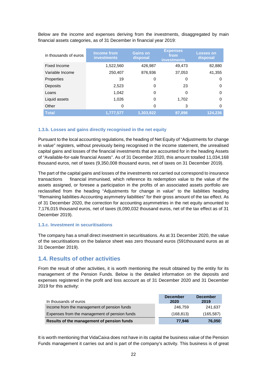Below are the income and expenses deriving from the investments, disaggregated by main financial assets categories, as of 31 December in financial year 2019:

| in thousands of euros | Income from<br><b>investments</b> | <b>Gains on</b><br>disposal | <b>Expenses</b><br>from<br><b>investments</b> | <b>Losses on</b><br>disposal |
|-----------------------|-----------------------------------|-----------------------------|-----------------------------------------------|------------------------------|
| Fixed Income          | 1,522,560                         | 426.987                     | 49.473                                        | 82,880                       |
| Variable Income       | 250,407                           | 876,936                     | 37,053                                        | 41,355                       |
| <b>Properties</b>     | 19                                | 0                           | 0                                             | 0                            |
| Deposits              | 2,523                             | 0                           | 23                                            | 0                            |
| Loans                 | 1,042                             | 0                           | 0                                             | 0                            |
| Liquid assets         | 1,026                             | 0                           | 1.702                                         | 0                            |
| Other                 | 0                                 | 0                           | 3                                             | 0                            |
| <b>Total</b>          | 1.777.577                         | 1,303,922                   | 87,896                                        | 124,236                      |

### **1.3.b. Losses and gains directly recognised in the net equity**

Pursuant to the local accounting regulations, the heading of Net Equity of "Adjustments for change in value" registers, without previously being recognised in the income statement, the unrealised capital gains and losses of the financial investments that are accounted for in the heading Assets of "Available-for-sale financial Assets". As of 31 December 2020, this amount totalled 11,034,168 thousand euros, net of taxes (9,350,008 thousand euros, net of taxes on 31 December 2019).

The part of the capital gains and losses of the investments not carried out correspond to insurance transactions financial immunised, which reference its redemption value to the value of the assets assigned, or foresee a participation in the profits of an associated assets portfolio are reclassified from the heading "Adjustments for change in value" to the liabilities heading "Remaining liabilities-Accounting asymmetry liabilities" for their gross amount of the tax effect. As of 31 December 2020, the correction for accounting asymmetries in the net equity amounted to 7,176,015 thousand euros, net of taxes (6,090,032 thousand euros, net of the tax effect as of 31 December 2019).

### **1.3.c. Investment in securitisations**

The company has a small direct investment in securitisations. As at 31 December 2020, the value of the securitisations on the balance sheet was zero thousand euros (591thousand euros as at 31 December 2019).

### **1.4. Results of other activities**

From the result of other activities, it is worth mentioning the result obtained by the entity for its management of the Pension Funds. Below is the detailed information on the deposits and expenses registered in the profit and loss account as of 31 December 2020 and 31 December 2019 for this activity:

| In thousands of euros                         | <b>December</b><br>2020 | <b>December</b><br>2019 |
|-----------------------------------------------|-------------------------|-------------------------|
| Income from the management of pension funds   | 246.759                 | 241,637                 |
| Expenses from the management of pension funds | (168, 813)              | (165, 587)              |
| Results of the management of pension funds    | 77.946                  | 76,050                  |

It is worth mentioning that VidaCaixa does not have in its capital the business value of the Pension Funds management it carries out and is part of the company's activity. This business is of great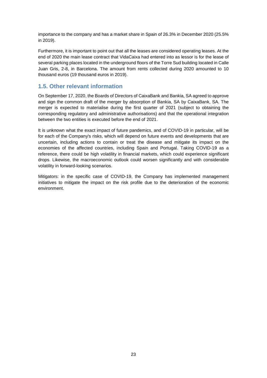importance to the company and has a market share in Spain of 26.3% in December 2020 (25.5% in 2019).

Furthermore, it is important to point out that all the leases are considered operating leases. At the end of 2020 the main lease contract that VidaCaixa had entered into as lessor is for the lease of several parking places located in the underground floors of the Torre Sud building located in Calle Juan Gris, 2-8, in Barcelona. The amount from rents collected during 2020 amounted to 10 thousand euros (19 thousand euros in 2019).

# **1.5. Other relevant information**

On September 17, 2020, the Boards of Directors of CaixaBank and Bankia, SA agreed to approve and sign the common draft of the merger by absorption of Bankia, SA by CaixaBank, SA. The merger is expected to materialise during the first quarter of 2021 (subject to obtaining the corresponding regulatory and administrative authorisations) and that the operational integration between the two entities is executed before the end of 2021.

It is unknown what the exact impact of future pandemics, and of COVID-19 in particular, will be for each of the Company's risks, which will depend on future events and developments that are uncertain, including actions to contain or treat the disease and mitigate its impact on the economies of the affected countries, including Spain and Portugal. Taking COVID-19 as a reference, there could be high volatility in financial markets, which could experience significant drops. Likewise, the macroeconomic outlook could worsen significantly and with considerable volatility in forward-looking scenarios.

Mitigators: in the specific case of COVID-19, the Company has implemented management initiatives to mitigate the impact on the risk profile due to the deterioration of the economic environment.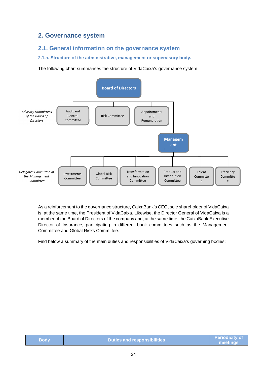# **2. Governance system**

### **2.1. General information on the governance system**

### **2.1.a. Structure of the administrative, management or supervisory body.**

The following chart summarises the structure of VidaCaixa's governance system:



As a reinforcement to the governance structure, CaixaBank's CEO, sole shareholder of VidaCaixa is, at the same time, the President of VidaCaixa. Likewise, the Director General of VidaCaixa is a member of the Board of Directors of the company and, at the same time, the CaixaBank Executive Director of Insurance, participating in different bank committees such as the Management Committee and Global Risks Committee.

Find below a summary of the main duties and responsibilities of VidaCaixa's governing bodies:

| <b>Body</b> | <b>Duties and responsibilities</b> | $\blacksquare$ Periodicity of $\blacksquare$<br>meetings |
|-------------|------------------------------------|----------------------------------------------------------|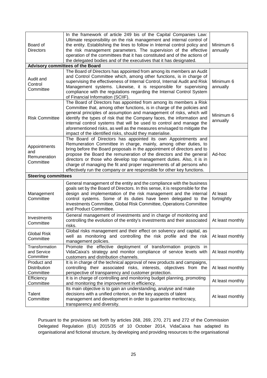| Board of<br><b>Directors</b>                     | In the framework of article 249 bis of the Capital Companies Law:<br>Ultimate responsibility on the risk management and internal control of<br>the entity. Establishing the lines to follow in Internal control policy and<br>the risk management parameters. The supervision of the effective<br>operation of the committees that it has constituted and of the actions of<br>the delegated bodies and of the executives that it has designated.                                                               | Minimum 6<br>annually   |
|--------------------------------------------------|-----------------------------------------------------------------------------------------------------------------------------------------------------------------------------------------------------------------------------------------------------------------------------------------------------------------------------------------------------------------------------------------------------------------------------------------------------------------------------------------------------------------|-------------------------|
|                                                  | <b>Advisory committees of the Board</b>                                                                                                                                                                                                                                                                                                                                                                                                                                                                         |                         |
| Audit and<br>Control<br>Committee                | The Board of Directors has appointed from among its members an Audit<br>and Control Committee which, among other functions, is in charge of<br>supervising the effectiveness of Internal Control, Internal Audit and Risk<br>Management systems. Likewise, it is responsible for supervising<br>compliance with the regulations regarding the Internal Control System<br>of Financial Information (SCIIF).                                                                                                      | Minimum 6<br>annually   |
| <b>Risk Committee</b>                            | The Board of Directors has appointed from among its members a Risk<br>Committee that, among other functions, is in charge of the policies and<br>general principles of assumption and management of risks, which will<br>identify the types of risk that the Company faces, the information and<br>internal control systems that will be used to control and manage the<br>aforementioned risks, as well as the measures envisaged to mitigate the<br>impact of the identified risks, should they materialise.  | Minimum 6<br>annually   |
| Appointments<br>and<br>Remuneration<br>Committee | The Board of Directors has appointed its own Appointments and<br>Remuneration Committee in charge, mainly, among other duties, to<br>bring before the Board proposals in the appointment of directors and to<br>propose the Board the remuneration of the directors and the general<br>directors or those who develop top management duties. Also, it is in<br>charge of managing the fit and proper requirements of all persons who<br>effectively run the company or are responsible for other key functions. | Ad-hoc                  |
| <b>Steering committees</b>                       |                                                                                                                                                                                                                                                                                                                                                                                                                                                                                                                 |                         |
| Management<br>Committee                          | General management of the entity and the compliance with the business<br>goals set by the Board of Directors. In this sense, it is responsible for the<br>design and implementation of the risk management and the internal<br>control systems. Some of its duties have been delegated to the<br>Investments Committee, Global Risk Committee, Operations Committee<br>and Product Committee.                                                                                                                   | At least<br>fortnightly |
| Investments<br>Committee                         | General management of investments and in charge of monitoring and<br>controlling the evolution of the entity's investments and their associated<br>risks.                                                                                                                                                                                                                                                                                                                                                       | At least monthly        |
| <b>Global Risk</b><br>Committee                  | Global risks management and their effect on solvency and capital, as<br>well as monitoring and controlling the risk profile and the risk<br>management policies.                                                                                                                                                                                                                                                                                                                                                | At least monthly        |
| Transformation<br>and Service<br>Committee       | Promote the effective deployment of transformation projects in<br>VidaCaixa's strategy and monitor compliance of service levels with<br>customers and distribution channels.                                                                                                                                                                                                                                                                                                                                    | At least monthly        |
| Product and<br>Distribution<br>Committee         | It is in charge of the technical approval of new products and campaigns,<br>controlling their associated risks, interests, objectives from the<br>perspective of transparency and customer protection.                                                                                                                                                                                                                                                                                                          | At least monthly        |
| Efficiency<br>Committee                          | It is in charge of controlling and monitoring budget planning, promoting<br>and monitoring the improvement in efficiency.                                                                                                                                                                                                                                                                                                                                                                                       | At least monthly        |
| Talent<br>Committee                              | Its main objective is to gain an understanding, analyse and make<br>decisions with a unified criterion, on the key aspects of talent<br>management and development in order to guarantee meritocracy,<br>transparency and diversity.                                                                                                                                                                                                                                                                            | At least monthly        |

Pursuant to the provisions set forth by articles 268, 269, 270, 271 and 272 of the Commission Delegated Regulation (EU) 2015/35 of 10 October 2014, VidaCaixa has adapted its organisational and fictional structure, by developing and providing resources to the organisational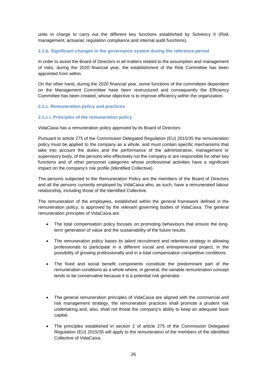units in charge to carry out the different key functions established by Solvency II (Risk management, actuarial, regulation compliance and internal audit functions).

### **2.1.b. Significant changes in the governance system during the reference period**

In order to assist the Board of Directors in all matters related to the assumption and management of risks, during the 2020 financial year, the establishment of the Risk Committee has been appointed from within.

On the other hand, during the 2020 financial year, some functions of the committees dependent on the Management Committee have been restructured and consequently the Efficiency Committee has been created, whose objective is to improve efficiency within the organization.

### **2.1.c. Remuneration policy and practices**

### **2.1.c.i. Principles of the remuneration policy**

VidaCaixa has a remuneration policy approved by its Board of Directors.

Pursuant to article 275 of the Commission Delegated Regulation (EU) 2015/35 the remuneration policy must be applied to the company as a whole, and must contain specific mechanisms that take into account the duties and the performance of the administrative, management or supervisory body, of the persons who effectively run the company or are responsible for other key functions and of other personnel categories whose professional activities have a significant impact on the company's risk profile (Identified Collective).

The persons subjected to the Remuneration Policy are the members of the Board of Directors and all the persons currently employed by VidaCaixa who, as such, have a remunerated labour relationship, including those of the Identified Collective.

The remuneration of the employees, established within the general framework defined in the remuneration policy, is approved by the relevant governing bodies of VidaCaixa. The general remuneration principles of VidaCaixa are:

- The total compensation policy focuses on promoting behaviours that ensure the longterm generation of value and the sustainability of the future results.
- The remuneration policy bases its talent recruitment and retention strategy in allowing professionals to participate in a different social and entrepreneurial project, in the possibility of growing professionally and in a total compensation competitive conditions.
- The fixed and social benefit components constitute the predominant part of the remuneration conditions as a whole where, in general, the variable remuneration concept tends to be conservative because it is a potential risk generator.
- The general remuneration principles of VidaCaixa are aligned with the commercial and risk management strategy, the remuneration practices shall promote a prudent risk undertaking and, also, shall not threat the company's ability to keep an adequate base capital.
- The principles established in section 2 of article 275 of the Commission Delegated Regulation (EU) 2015/35 will apply to the remuneration of the members of the Identified Collective of VidaCaixa.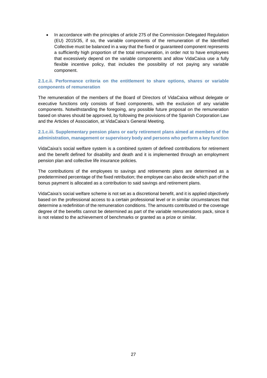In accordance with the principles of article 275 of the Commission Delegated Regulation (EU) 2015/35, if so, the variable components of the remuneration of the Identified Collective must be balanced in a way that the fixed or guaranteed component represents a sufficiently high proportion of the total remuneration, in order not to have employees that excessively depend on the variable components and allow VidaCaixa use a fully flexible incentive policy, that includes the possibility of not paying any variable component.

### **2.1.c.ii. Performance criteria on the entitlement to share options, shares or variable components of remuneration**

The remuneration of the members of the Board of Directors of VidaCaixa without delegate or executive functions only consists of fixed components, with the exclusion of any variable components. Notwithstanding the foregoing, any possible future proposal on the remuneration based on shares should be approved, by following the provisions of the Spanish Corporation Law and the Articles of Association, at VidaCaixa's General Meeting.

### **2.1.c.iii. Supplementary pension plans or early retirement plans aimed at members of the administration, management or supervisory body and persons who perform a key function**

VidaCaixa's social welfare system is a combined system of defined contributions for retirement and the benefit defined for disability and death and it is implemented through an employment pension plan and collective life insurance policies.

The contributions of the employees to savings and retirements plans are determined as a predetermined percentage of the fixed retribution; the employee can also decide which part of the bonus payment is allocated as a contribution to said savings and retirement plans.

VidaCaixa's social welfare scheme is not set as a discretional benefit, and it is applied objectively based on the professional access to a certain professional level or in similar circumstances that determine a redefinition of the remuneration conditions. The amounts contributed or the coverage degree of the benefits cannot be determined as part of the variable remunerations pack, since it is not related to the achievement of benchmarks or granted as a prize or similar.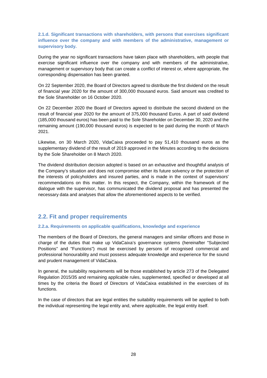**2.1.d. Significant transactions with shareholders, with persons that exercises significant influence over the company and with members of the administrative, management or supervisory body.** 

During the year no significant transactions have taken place with shareholders, with people that exercise significant influence over the company and with members of the administrative, management or supervisory body that can create a conflict of interest or, where appropriate, the corresponding dispensation has been granted.

On 22 September 2020, the Board of Directors agreed to distribute the first dividend on the result of financial year 2020 for the amount of 300,000 thousand euros. Said amount was credited to the Sole Shareholder on 16 October 2020.

On 22 December 2020 the Board of Directors agreed to distribute the second dividend on the result of financial year 2020 for the amount of 375,000 thousand Euros. A part of said dividend (185,000 thousand euros) has been paid to the Sole Shareholder on December 30, 2020 and the remaining amount (190,000 thousand euros) is expected to be paid during the month of March 2021.

Likewise, on 30 March 2020, VidaCaixa proceeded to pay 51,410 thousand euros as the supplementary dividend of the result of 2019 approved in the Minutes according to the decisions by the Sole Shareholder on 8 March 2020.

The dividend distribution decision adopted is based on an exhaustive and thoughtful analysis of the Company's situation and does not compromise either its future solvency or the protection of the interests of policyholders and insured parties, and is made in the context of supervisors' recommendations on this matter. In this respect, the Company, within the framework of the dialogue with the supervisor, has communicated the dividend proposal and has presented the necessary data and analyses that allow the aforementioned aspects to be verified.

# **2.2. Fit and proper requirements**

### **2.2.a. Requirements on applicable qualifications, knowledge and experience**

The members of the Board of Directors, the general managers and similar officers and those in charge of the duties that make up VidaCaixa's governance systems (hereinafter "Subjected Positions" and "Functions") must be exercised by persons of recognised commercial and professional honourability and must possess adequate knowledge and experience for the sound and prudent management of VidaCaixa.

In general, the suitability requirements will be those established by article 273 of the Delegated Regulation 2015/35 and remaining applicable rules, supplemented, specified or developed at all times by the criteria the Board of Directors of VidaCaixa established in the exercises of its functions.

In the case of directors that are legal entities the suitability requirements will be applied to both the individual representing the legal entity and, where applicable, the legal entity itself.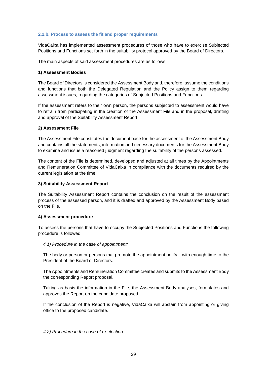### **2.2.b. Process to assess the fit and proper requirements**

VidaCaixa has implemented assessment procedures of those who have to exercise Subjected Positions and Functions set forth in the suitability protocol approved by the Board of Directors.

The main aspects of said assessment procedures are as follows:

### **1) Assessment Bodies**

The Board of Directors is considered the Assessment Body and, therefore, assume the conditions and functions that both the Delegated Regulation and the Policy assign to them regarding assessment issues, regarding the categories of Subjected Positions and Functions.

If the assessment refers to their own person, the persons subjected to assessment would have to refrain from participating in the creation of the Assessment File and in the proposal, drafting and approval of the Suitability Assessment Report.

### **2) Assessment File**

The Assessment File constitutes the document base for the assessment of the Assessment Body and contains all the statements, information and necessary documents for the Assessment Body to examine and issue a reasoned judgment regarding the suitability of the persons assessed.

The content of the File is determined, developed and adjusted at all times by the Appointments and Remuneration Committee of VidaCaixa in compliance with the documents required by the current legislation at the time.

### **3) Suitability Assessment Report**

The Suitability Assessment Report contains the conclusion on the result of the assessment process of the assessed person, and it is drafted and approved by the Assessment Body based on the File.

### **4) Assessment procedure**

To assess the persons that have to occupy the Subjected Positions and Functions the following procedure is followed:

*4.1) Procedure in the case of appointment:* 

The body or person or persons that promote the appointment notify it with enough time to the President of the Board of Directors.

The Appointments and Remuneration Committee creates and submits to the Assessment Body the corresponding Report proposal.

Taking as basis the information in the File, the Assessment Body analyses, formulates and approves the Report on the candidate proposed.

If the conclusion of the Report is negative, VidaCaixa will abstain from appointing or giving office to the proposed candidate.

*4.2) Procedure in the case of re-election*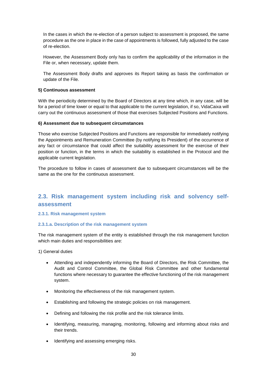In the cases in which the re-election of a person subject to assessment is proposed, the same procedure as the one in place in the case of appointments is followed, fully adjusted to the case of re-election.

However, the Assessment Body only has to confirm the applicability of the information in the File or, when necessary, update them.

The Assessment Body drafts and approves its Report taking as basis the confirmation or update of the File.

### **5) Continuous assessment**

With the periodicity determined by the Board of Directors at any time which, in any case, will be for a period of time lower or equal to that applicable to the current legislation, if so, VidaCaixa will carry out the continuous assessment of those that exercises Subjected Positions and Functions.

### **6) Assessment due to subsequent circumstances**

Those who exercise Subjected Positions and Functions are responsible for immediately notifying the Appointments and Remuneration Committee (by notifying its President) of the occurrence of any fact or circumstance that could affect the suitability assessment for the exercise of their position or function, in the terms in which the suitability is established in the Protocol and the applicable current legislation.

The procedure to follow in cases of assessment due to subsequent circumstances will be the same as the one for the continuous assessment.

# **2.3. Risk management system including risk and solvency selfassessment**

### **2.3.1. Risk management system**

### **2.3.1.a. Description of the risk management system**

The risk management system of the entity is established through the risk management function which main duties and responsibilities are:

1) General duties

- Attending and independently informing the Board of Directors, the Risk Committee, the Audit and Control Committee, the Global Risk Committee and other fundamental functions where necessary to guarantee the effective functioning of the risk management system.
- Monitoring the effectiveness of the risk management system.
- Establishing and following the strategic policies on risk management.
- Defining and following the risk profile and the risk tolerance limits.
- Identifying, measuring, managing, monitoring, following and informing about risks and their trends.
- Identifying and assessing emerging risks.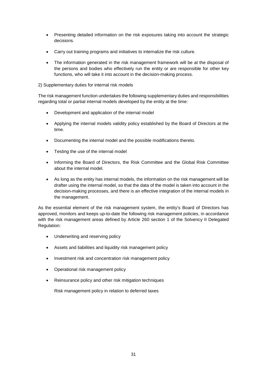- Presenting detailed information on the risk exposures taking into account the strategic decisions.
- Carry out training programs and initiatives to internalize the risk culture.
- The information generated in the risk management framework will be at the disposal of the persons and bodies who effectively run the entity or are responsible for other key functions, who will take it into account in the decision-making process.
- 2) Supplementary duties for internal risk models

The risk management function undertakes the following supplementary duties and responsibilities regarding total or partial internal models developed by the entity at the time:

- Development and application of the internal model
- Applying the internal models validity policy established by the Board of Directors at the time.
- Documenting the internal model and the possible modifications thereto.
- Testing the use of the internal model
- Informing the Board of Directors, the Risk Committee and the Global Risk Committee about the internal model.
- As long as the entity has internal models, the information on the risk management will be drafter using the internal model, so that the data of the model is taken into account in the decision-making processes, and there is an effective integration of the internal models in the management.

As the essential element of the risk management system, the entity's Board of Directors has approved, monitors and keeps up-to-date the following risk management policies, in accordance with the risk management areas defined by Article 260 section 1 of the Solvency II Delegated Regulation:

- Underwriting and reserving policy
- Assets and liabilities and liquidity risk management policy
- Investment risk and concentration risk management policy
- Operational risk management policy
- Reinsurance policy and other risk mitigation techniques

Risk management policy in relation to deferred taxes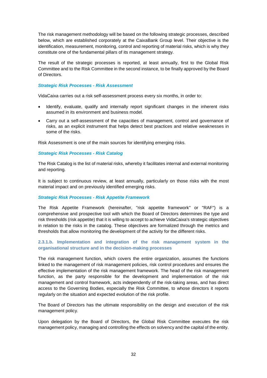The risk management methodology will be based on the following strategic processes, described below, which are established corporately at the CaixaBank Group level. Their objective is the identification, measurement, monitoring, control and reporting of material risks, which is why they constitute one of the fundamental pillars of its management strategy.

The result of the strategic processes is reported, at least annually, first to the Global Risk Committee and to the Risk Committee in the second instance, to be finally approved by the Board of Directors.

### *Strategic Risk Processes - Risk Assessment*

VidaCaixa carries out a risk self-assessment process every six months, in order to:

- Identify, evaluate, qualify and internally report significant changes in the inherent risks assumed in its environment and business model.
- Carry out a self-assessment of the capacities of management, control and governance of risks, as an explicit instrument that helps detect best practices and relative weaknesses in some of the risks.

Risk Assessment is one of the main sources for identifying emerging risks.

### *Strategic Risk Processes - Risk Catalog*

The Risk Catalog is the list of material risks, whereby it facilitates internal and external monitoring and reporting*.*

It is subject to continuous review, at least annually, particularly on those risks with the most material impact and on previously identified emerging risks.

### *Strategic Risk Processes - Risk Appetite Framework*

The Risk Appetite Framework (hereinafter, "risk appetite framework" or "RAF") is a comprehensive and prospective tool with which the Board of Directors determines the type and risk thresholds (risk appetite) that it is willing to accept to achieve VidaCaixa's strategic objectives in relation to the risks in the catalog. These objectives are formalized through the metrics and thresholds that allow monitoring the development of the activity for the different risks.

### **2.3.1.b. Implementation and integration of the risk management system in the organisational structure and in the decision-making processes**

The risk management function, which covers the entire organization, assumes the functions linked to the management of risk management policies, risk control procedures and ensures the effective implementation of the risk management framework. The head of the risk management function, as the party responsible for the development and implementation of the risk management and control framework, acts independently of the risk-taking areas, and has direct access to the Governing Bodies, especially the Risk Committee, to whose directors it reports regularly on the situation and expected evolution of the risk profile.

The Board of Directors has the ultimate responsibility on the design and execution of the risk management policy.

Upon delegation by the Board of Directors, the Global Risk Committee executes the risk management policy, managing and controlling the effects on solvency and the capital of the entity.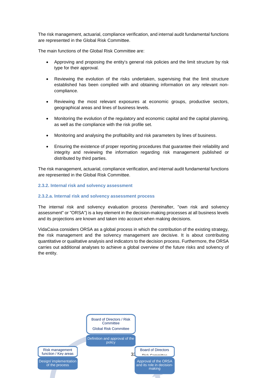The risk management, actuarial, compliance verification, and internal audit fundamental functions are represented in the Global Risk Committee.

The main functions of the Global Risk Committee are:

- Approving and proposing the entity's general risk policies and the limit structure by risk type for their approval.
- Reviewing the evolution of the risks undertaken, supervising that the limit structure established has been complied with and obtaining information on any relevant noncompliance.
- Reviewing the most relevant exposures at economic groups, productive sectors, geographical areas and lines of business levels.
- Monitoring the evolution of the regulatory and economic capital and the capital planning, as well as the compliance with the risk profile set.
- Monitoring and analysing the profitability and risk parameters by lines of business.
- Ensuring the existence of proper reporting procedures that guarantee their reliability and integrity and reviewing the information regarding risk management published or distributed by third parties.

The risk management, actuarial, compliance verification, and internal audit fundamental functions are represented in the Global Risk Committee.

### **2.3.2. Internal risk and solvency assessment**

### **2.3.2.a. Internal risk and solvency assessment process**

The internal risk and solvency evaluation process (hereinafter, "own risk and solvency assessment" or "ORSA") is a key element in the decision-making processes at all business levels and its projections are known and taken into account when making decisions.

VidaCaixa considers ORSA as a global process in which the contribution of the existing strategy, the risk management and the solvency management are decisive. It is about contributing quantitative or qualitative analysis and indicators to the decision process. Furthermore, the ORSA carries out additional analyses to achieve a global overview of the future risks and solvency of the entity.

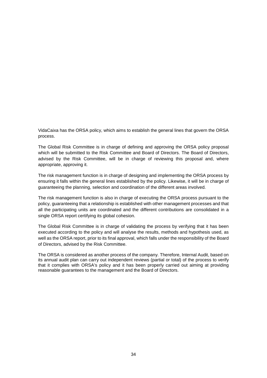VidaCaixa has the ORSA policy, which aims to establish the general lines that govern the ORSA process.

The Global Risk Committee is in charge of defining and approving the ORSA policy proposal which will be submitted to the Risk Committee and Board of Directors. The Board of Directors, advised by the Risk Committee, will be in charge of reviewing this proposal and, where appropriate, approving it.

The risk management function is in charge of designing and implementing the ORSA process by ensuring it falls within the general lines established by the policy. Likewise, it will be in charge of guaranteeing the planning, selection and coordination of the different areas involved.

The risk management function is also in charge of executing the ORSA process pursuant to the policy, guaranteeing that a relationship is established with other management processes and that all the participating units are coordinated and the different contributions are consolidated in a single ORSA report certifying its global cohesion.

The Global Risk Committee is in charge of validating the process by verifying that it has been executed according to the policy and will analyse the results, methods and hypothesis used, as well as the ORSA report, prior to its final approval, which falls under the responsibility of the Board of Directors, advised by the Risk Committee.

The ORSA is considered as another process of the company. Therefore, Internal Audit, based on its annual audit plan can carry out independent reviews (partial or total) of the process to verify that it complies with ORSA's policy and it has been properly carried out aiming at providing reasonable guarantees to the management and the Board of Directors.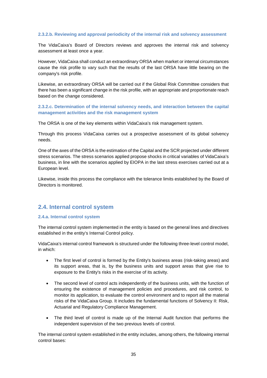### **2.3.2.b. Reviewing and approval periodicity of the internal risk and solvency assessment**

The VidaCaixa's Board of Directors reviews and approves the internal risk and solvency assessment at least once a year.

However, VidaCaixa shall conduct an extraordinary ORSA when market or internal circumstances cause the risk profile to vary such that the results of the last ORSA have little bearing on the company's risk profile.

Likewise, an extraordinary ORSA will be carried out if the Global Risk Committee considers that there has been a significant change in the risk profile, with an appropriate and proportionate reach based on the change considered.

**2.3.2.c. Determination of the internal solvency needs, and interaction between the capital management activities and the risk management system** 

The ORSA is one of the key elements within VidaCaixa's risk management system.

Through this process VidaCaixa carries out a prospective assessment of its global solvency needs.

One of the axes of the ORSA is the estimation of the Capital and the SCR projected under different stress scenarios. The stress scenarios applied propose shocks in critical variables of VidaCaixa's business, in line with the scenarios applied by EIOPA in the last stress exercises carried out at a European level.

Likewise, inside this process the compliance with the tolerance limits established by the Board of Directors is monitored.

### **2.4. Internal control system**

### **2.4.a. Internal control system**

The internal control system implemented in the entity is based on the general lines and directives established in the entity's Internal Control policy.

VidaCaixa's internal control framework is structured under the following three-level control model, in which:

- The first level of control is formed by the Entity's business areas (risk-taking areas) and its support areas, that is, by the business units and support areas that give rise to exposure to the Entity's risks in the exercise of its activity.
- The second level of control acts independently of the business units, with the function of ensuring the existence of management policies and procedures, and risk control, to monitor its application, to evaluate the control environment and to report all the material risks of the VidaCaixa Group. It includes the fundamental functions of Solvency II: Risk, Actuarial and Regulatory Compliance Management.
- The third level of control is made up of the Internal Audit function that performs the independent supervision of the two previous levels of control.

The internal control system established in the entity includes, among others, the following internal control bases: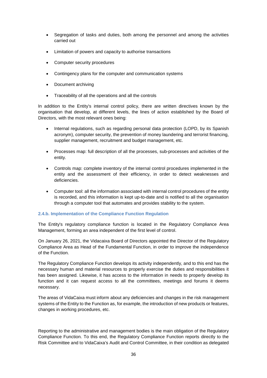- Segregation of tasks and duties, both among the personnel and among the activities carried out
- Limitation of powers and capacity to authorise transactions
- Computer security procedures
- Contingency plans for the computer and communication systems
- Document archiving
- Traceability of all the operations and all the controls

In addition to the Entity's internal control policy, there are written directives known by the organisation that develop, at different levels, the lines of action established by the Board of Directors, with the most relevant ones being:

- Internal regulations, such as regarding personal data protection (LOPD, by its Spanish acronym), computer security, the prevention of money laundering and terrorist financing, supplier management, recruitment and budget management, etc.
- Processes map: full description of all the processes, sub-processes and activities of the entity.
- Controls map: complete inventory of the internal control procedures implemented in the entity and the assessment of their efficiency, in order to detect weaknesses and deficiencies.
- Computer tool: all the information associated with internal control procedures of the entity is recorded, and this information is kept up-to-date and is notified to all the organisation through a computer tool that automates and provides stability to the system.

### **2.4.b. Implementation of the Compliance Function Regulation**

The Entity's regulatory compliance function is located in the Regulatory Compliance Area Management, forming an area independent of the first level of control.

On January 26, 2021, the Vidacaixa Board of Directors appointed the Director of the Regulatory Compliance Area as Head of the Fundamental Function, in order to improve the independence of the Function.

The Regulatory Compliance Function develops its activity independently, and to this end has the necessary human and material resources to properly exercise the duties and responsibilities it has been assigned. Likewise, it has access to the information in needs to properly develop its function and it can request access to all the committees, meetings and forums it deems necessary.

The areas of VidaCaixa must inform about any deficiencies and changes in the risk management systems of the Entity to the Function as, for example, the introduction of new products or features, changes in working procedures, etc.

Reporting to the administrative and management bodies is the main obligation of the Regulatory Compliance Function. To this end, the Regulatory Compliance Function reports directly to the Risk Committee and to VidaCaixa's Audit and Control Committee, in their condition as delegated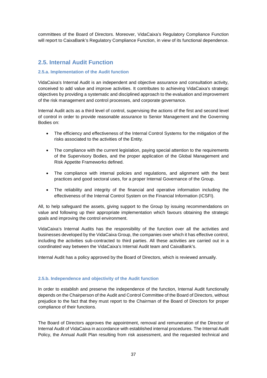committees of the Board of Directors. Moreover, VidaCaixa's Regulatory Compliance Function will report to CaixaBank's Regulatory Compliance Function, in view of its functional dependence.

### **2.5. Internal Audit Function**

### **2.5.a. Implementation of the Audit function**

VidaCaixa's Internal Audit is an independent and objective assurance and consultation activity, conceived to add value and improve activities. It contributes to achieving VidaCaixa's strategic objectives by providing a systematic and disciplined approach to the evaluation and improvement of the risk management and control processes, and corporate governance.

Internal Audit acts as a third level of control, supervising the actions of the first and second level of control in order to provide reasonable assurance to Senior Management and the Governing Bodies on:

- The efficiency and effectiveness of the Internal Control Systems for the mitigation of the risks associated to the activities of the Entity.
- The compliance with the current legislation, paying special attention to the requirements of the Supervisory Bodies, and the proper application of the Global Management and Risk Appetite Frameworks defined.
- The compliance with internal policies and regulations, and alignment with the best practices and good sectoral uses, for a proper Internal Governance of the Group.
- The reliability and integrity of the financial and operative information including the effectiveness of the Internal Control System on the Financial Information (ICSFI).

All, to help safeguard the assets, giving support to the Group by issuing recommendations on value and following up their appropriate implementation which favours obtaining the strategic goals and improving the control environment.

VidaCaixa's Internal Audits has the responsibility of the function over all the activities and businesses developed by the VidaCaixa Group, the companies over which it has effective control, including the activities sub-contracted to third parties. All these activities are carried out in a coordinated way between the VidaCaixa's Internal Audit team and CaixaBank's.

Internal Audit has a policy approved by the Board of Directors, which is reviewed annually.

### **2.5.b. Independence and objectivity of the Audit function**

In order to establish and preserve the independence of the function, Internal Audit functionally depends on the Chairperson of the Audit and Control Committee of the Board of Directors, without prejudice to the fact that they must report to the Chairman of the Board of Directors for proper compliance of their functions.

The Board of Directors approves the appointment, removal and remuneration of the Director of Internal Audit of VidaCaixa in accordance with established internal procedures. The Internal Audit Policy, the Annual Audit Plan resulting from risk assessment, and the requested technical and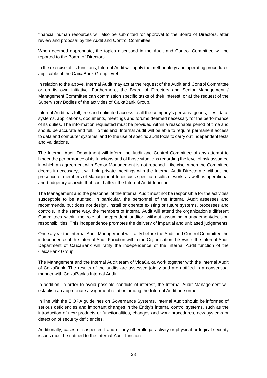financial human resources will also be submitted for approval to the Board of Directors, after review and proposal by the Audit and Control Committee.

When deemed appropriate, the topics discussed in the Audit and Control Committee will be reported to the Board of Directors.

In the exercise of its functions, Internal Audit will apply the methodology and operating procedures applicable at the CaixaBank Group level.

In relation to the above, Internal Audit may act at the request of the Audit and Control Committee or on its own initiative. Furthermore, the Board of Directors and Senior Management / Management Committee can commission specific tasks of their interest, or at the request of the Supervisory Bodies of the activities of CaixaBank Group.

Internal Audit has full, free and unlimited access to all the company's persons, goods, files, data, systems, applications, documents, meetings and forums deemed necessary for the performance of its duties. The information requested must be provided within a reasonable period of time and should be accurate and full. To this end, Internal Audit will be able to require permanent access to data and computer systems, and to the use of specific audit tools to carry out independent tests and validations.

The Internal Audit Department will inform the Audit and Control Committee of any attempt to hinder the performance of its functions and of those situations regarding the level of risk assumed in which an agreement with Senior Management is not reached. Likewise, when the Committee deems it necessary, it will hold private meetings with the Internal Audit Directorate without the presence of members of Management to discuss specific results of work, as well as operational and budgetary aspects that could affect the Internal Audit function.

The Management and the personnel of the Internal Audit must not be responsible for the activities susceptible to be audited. In particular, the personnel of the Internal Audit assesses and recommends, but does not design, install or operate existing or future systems, processes and controls. In the same way, the members of Internal Audit will attend the organization's different Committees within the role of independent auditor, without assuming management/decision responsibilities. This independence promotes the delivery of impartial and unbiased judgements.

Once a year the Internal Audit Management will ratify before the Audit and Control Committee the independence of the Internal Audit Function within the Organisation. Likewise, the Internal Audit Department of CaixaBank will ratify the independence of the Internal Audit function of the CaixaBank Group.

The Management and the Internal Audit team of VidaCaixa work together with the Internal Audit of CaixaBank. The results of the audits are assessed jointly and are notified in a consensual manner with CaixaBank's Internal Audit.

In addition, in order to avoid possible conflicts of interest, the Internal Audit Management will establish an appropriate assignment rotation among the Internal Audit personnel.

In line with the EIOPA guidelines on Governance Systems, Internal Audit should be informed of serious deficiencies and important changes in the Entity's internal control systems, such as the introduction of new products or functionalities, changes and work procedures, new systems or detection of security deficiencies.

Additionally, cases of suspected fraud or any other illegal activity or physical or logical security issues must be notified to the Internal Audit function.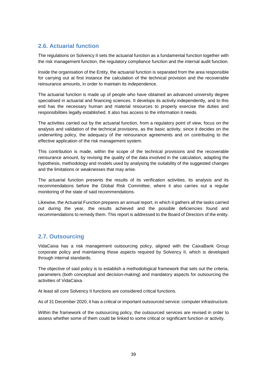## **2.6. Actuarial function**

The regulations on Solvency II sets the actuarial function as a fundamental function together with the risk management function, the regulatory compliance function and the internal audit function.

Inside the organisation of the Entity, the actuarial function is separated from the area responsible for carrying out at first instance the calculation of the technical provision and the recoverable reinsurance amounts, in order to maintain its independence.

The actuarial function is made up of people who have obtained an advanced university degree specialised in actuarial and financing sciences. It develops its activity independently, and to this end has the necessary human and material resources to properly exercise the duties and responsibilities legally established. It also has access to the information it needs.

The activities carried out by the actuarial function, from a regulatory point of view, focus on the analysis and validation of the technical provisions, as the basic activity, since it decides on the underwriting policy, the adequacy of the reinsurance agreements and on contributing to the effective application of the risk management system.

This contribution is made, within the scope of the technical provisions and the recoverable reinsurance amount, by revising the quality of the data involved in the calculation, adapting the hypothesis, methodology and models used by analysing the suitability of the suggested changes and the limitations or weaknesses that may arise.

The actuarial function presents the results of its verification activities, its analysis and its recommendations before the Global Risk Committee, where it also carries out a regular monitoring of the state of said recommendations.

Likewise, the Actuarial Function prepares an annual report, in which it gathers all the tasks carried out during the year, the results achieved and the possible deficiencies found and recommendations to remedy them. This report is addressed to the Board of Directors of the entity.

## **2.7. Outsourcing**

VidaCaixa has a risk management outsourcing policy, aligned with the CaixaBank Group corporate policy and maintaining those aspects required by Solvency II, which is developed through internal standards.

The objective of said policy is to establish a methodological framework that sets out the criteria, parameters (both conceptual and decision-making) and mandatory aspects for outsourcing the activities of VidaCaixa.

At least all core Solvency II functions are considered critical functions.

As of 31 December 2020, it has a critical or important outsourced service: computer infrastructure.

Within the framework of the outsourcing policy, the outsourced services are revised in order to assess whether some of them could be linked to some critical or significant function or activity.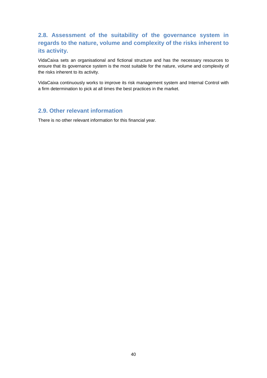# **2.8. Assessment of the suitability of the governance system in regards to the nature, volume and complexity of the risks inherent to its activity.**

VidaCaixa sets an organisational and fictional structure and has the necessary resources to ensure that its governance system is the most suitable for the nature, volume and complexity of the risks inherent to its activity.

VidaCaixa continuously works to improve its risk management system and Internal Control with a firm determination to pick at all times the best practices in the market.

### **2.9. Other relevant information**

There is no other relevant information for this financial year.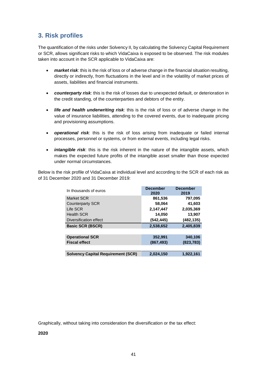# **3. Risk profiles**

The quantification of the risks under Solvency II, by calculating the Solvency Capital Requirement or SCR, allows significant risks to which VidaCaixa is exposed to be observed. The risk modules taken into account in the SCR applicable to VidaCaixa are:

- *market risk*: this is the risk of loss or of adverse change in the financial situation resulting, directly or indirectly, from fluctuations in the level and in the volatility of market prices of assets, liabilities and financial instruments.
- *counterparty risk*: this is the risk of losses due to unexpected default, or deterioration in the credit standing, of the counterparties and debtors of the entity.
- *life and health underwriting risk*: this is the risk of loss or of adverse change in the value of insurance liabilities, attending to the covered events, due to inadequate pricing and provisioning assumptions.
- *operational risk*: this is the risk of loss arising from inadequate or failed internal processes, personnel or systems, or from external events, including legal risks.
- *intangible risk*: this is the risk inherent in the nature of the intangible assets, which makes the expected future profits of the intangible asset smaller than those expected under normal circumstances.

Below is the risk profile of VidaCaixa at individual level and according to the SCR of each risk as of 31 December 2020 and 31 December 2019:

| In thousands of euros                     | <b>December</b><br>2020 | <b>December</b><br>2019 |
|-------------------------------------------|-------------------------|-------------------------|
| Market SCR                                | 861,536                 | 797,095                 |
| <b>Counterparty SCR</b>                   | 58,064                  | 41,603                  |
| Life SCR                                  | 2,147,447               | 2,035,369               |
| <b>Health SCR</b>                         | 14,050                  | 13,907                  |
| Diversification effect                    | (542, 445)              | (482, 135)              |
| <b>Basic SCR (BSCR)</b>                   | 2,538,652               | 2,405,839               |
|                                           |                         |                         |
| <b>Operational SCR</b>                    | 352,991                 | 340,106                 |
| <b>Fiscal effect</b>                      | (867, 493)              | (823, 783)              |
|                                           |                         |                         |
| <b>Solvency Capital Requirement (SCR)</b> | 2,024,150               | 1,922,161               |

Graphically, without taking into consideration the diversification or the tax effect:

**2020**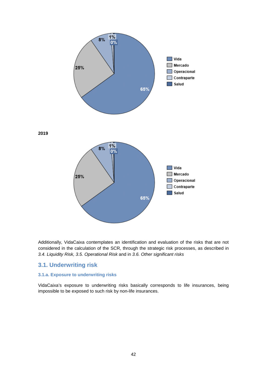

Additionally, VidaCaixa contemplates an identification and evaluation of the risks that are not considered in the calculation of the SCR, through the strategic risk processes, as described in *3.4. Liquidity Risk, 3.5. Operational Risk* and in *3.6. Other significant risks*

### **3.1. Underwriting risk**

### **3.1.a. Exposure to underwriting risks**

VidaCaixa's exposure to underwriting risks basically corresponds to life insurances, being impossible to be exposed to such risk by non-life insurances.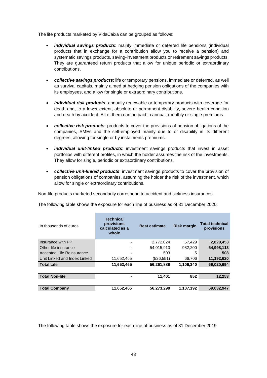The life products marketed by VidaCaixa can be grouped as follows:

- *individual savings products*: mainly immediate or deferred life pensions (individual products that in exchange for a contribution allow you to receive a pension) and systematic savings products, saving-investment products or retirement savings products. They are guaranteed return products that allow for unique periodic or extraordinary contributions.
- *collective savings products*: life or temporary pensions, immediate or deferred, as well as survival capitals, mainly aimed at hedging pension obligations of the companies with its employees, and allow for single or extraordinary contributions.
- *individual risk products*: annually renewable or temporary products with coverage for death and, to a lower extent, absolute or permanent disability, severe health condition and death by accident. All of them can be paid in annual, monthly or single premiums.
- *collective risk products*: products to cover the provisions of pension obligations of the companies, SMEs and the self-employed mainly due to or disability in its different degrees, allowing for single or by instalments premiums.
- *individual unit-linked products*: investment savings products that invest in asset portfolios with different profiles, in which the holder assumes the risk of the investments. They allow for single, periodic or extraordinary contributions.
- *collective unit-linked products*: investment savings products to cover the provision of pension obligations of companies, assuming the holder the risk of the investment, which allow for single or extraordinary contributions.

Non-life products marketed secondarily correspond to accident and sickness insurances.

The following table shows the exposure for each line of business as of 31 December 2020:

| In thousands of euros        | <b>Technical</b><br>provisions<br>calculated as a<br>whole | <b>Best estimate</b> | <b>Risk margin</b> | <b>Total technical</b><br>provisions |
|------------------------------|------------------------------------------------------------|----------------------|--------------------|--------------------------------------|
| Insurance with PP            | -                                                          | 2,772,024            | 57.429             | 2,829,453                            |
| Other life insurance         | ٠                                                          | 54,015,913           | 982,200            | 54,998,113                           |
| Accepted Life Reinsurance    |                                                            | 503                  | 5                  | 508                                  |
| Unit Linked and Index Linked | 11,652,465                                                 | (526, 551)           | 66,706             | 11,192,620                           |
| <b>Total Life</b>            | 11,652,465                                                 | 56,261,889           | 1,106,340          | 69,020,694                           |
|                              |                                                            |                      |                    |                                      |
| <b>Total Non-life</b>        |                                                            | 11,401               | 852                | 12,253                               |
|                              |                                                            |                      |                    |                                      |
| <b>Total Company</b>         | 11,652,465                                                 | 56,273,290           | 1,107,192          | 69,032,947                           |

The following table shows the exposure for each line of business as of 31 December 2019: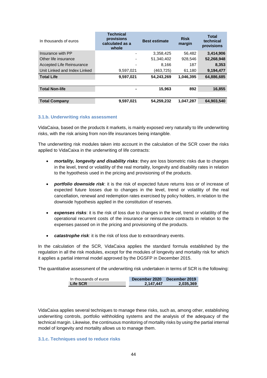| In thousands of euros        | <b>Technical</b><br>provisions<br>calculated as a<br>whole | <b>Best estimate</b> | <b>Risk</b><br>margin | <b>Total</b><br>technical<br>provisions |
|------------------------------|------------------------------------------------------------|----------------------|-----------------------|-----------------------------------------|
| Insurance with PP            |                                                            | 3,358,425            | 56,482                | 3,414,906                               |
| Other life insurance         |                                                            | 51,340,402           | 928,546               | 52,268,948                              |
| Accepted Life Reinsurance    | ٠                                                          | 8.166                | 187                   | 8,353                                   |
| Unit Linked and Index Linked | 9,597,021                                                  | (463, 725)           | 61,180                | 9,194,477                               |
| <b>Total Life</b>            | 9,597,021                                                  | 54.243.269           | 1,046,395             | 64,886,685                              |
|                              |                                                            |                      |                       |                                         |
| <b>Total Non-life</b>        |                                                            | 15,963               | 892                   | 16,855                                  |
|                              |                                                            |                      |                       |                                         |
| <b>Total Company</b>         | 9,597,021                                                  | 54,259,232           | 1,047,287             | 64,903,540                              |

### **3.1.b. Underwriting risks assessment**

VidaCaixa, based on the products it markets, is mainly exposed very naturally to life underwriting risks, with the risk arising from non-life insurances being intangible.

The underwriting risk modules taken into account in the calculation of the SCR cover the risks applied to VidaCaixa in the underwriting of life contracts:

- *mortality, longevity and disability risks*: they are loss biometric risks due to changes in the level, trend or volatility of the real mortality, longevity and disability rates in relation to the hypothesis used in the pricing and provisioning of the products.
- *portfolio downside risk*: it is the risk of expected future returns loss or of increase of expected future losses due to changes in the level, trend or volatility of the real cancellation, renewal and redemption rates exercised by policy holders, in relation to the downside hypothesis applied in the constitution of reserves.
- *expenses risks*: it is the risk of loss due to changes in the level, trend or volatility of the operational recurrent costs of the insurance or reinsurance contracts in relation to the expenses passed on in the pricing and provisioning of the products.
- *catastrophe risk*: it is the risk of loss due to extraordinary events.

In the calculation of the SCR, VidaCaixa applies the standard formula established by the regulation in all the risk modules, except for the modules of longevity and mortality risk for which it applies a partial internal model approved by the DGSFP in December 2015.

The quantitative assessment of the underwriting risk undertaken in terms of SCR is the following:

| In thousands of euros | December 2020 | December 2019 |
|-----------------------|---------------|---------------|
| Life SCR              | 2,147,447     | 2,035,369     |

VidaCaixa applies several techniques to manage these risks, such as, among other, establishing underwriting controls, portfolio withholding systems and the analysis of the adequacy of the technical margin. Likewise, the continuous monitoring of mortality risks by using the partial internal model of longevity and mortality allows us to manage them.

#### **3.1.c. Techniques used to reduce risks**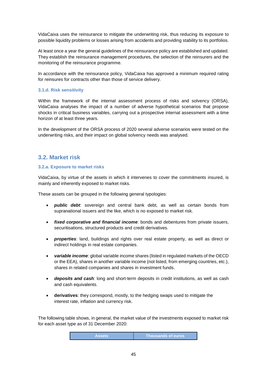VidaCaixa uses the reinsurance to mitigate the underwriting risk, thus reducing its exposure to possible liquidity problems or losses arising from accidents and providing stability to its portfolios.

At least once a year the general guidelines of the reinsurance policy are established and updated. They establish the reinsurance management procedures, the selection of the reinsurers and the monitoring of the reinsurance programme.

In accordance with the reinsurance policy, VidaCaixa has approved a minimum required rating for reinsures for contracts other than those of service delivery.

### **3.1.d. Risk sensitivity**

Within the framework of the internal assessment process of risks and solvency (ORSA), VidaCaixa analyses the impact of a number of adverse hypothetical scenarios that propose shocks in critical business variables, carrying out a prospective internal assessment with a time horizon of at least three years.

In the development of the ORSA process of 2020 several adverse scenarios were tested on the underwriting risks, and their impact on global solvency needs was analysed.

### **3.2. Market risk**

### **3.2.a. Exposure to market risks**

VidaCaixa, by virtue of the assets in which it intervenes to cover the commitments insured, is mainly and inherently exposed to market risks.

These assets can be grouped in the following general typologies:

- *public debt*: sovereign and central bank debt, as well as certain bonds from supranational issuers and the like, which is no exposed to market risk.
- *fixed corporative and financial income*: bonds and debentures from private issuers, securitisations, structured products and credit derivatives.
- *properties*: land, buildings and rights over real estate property, as well as direct or indirect holdings in real estate companies.
- *variable income*: global variable income shares (listed in regulated markets of the OECD or the EEA), shares in another variable income (not listed, from emerging countries, etc.), shares in related companies and shares in investment funds.
- *deposits and cash*: long and short-term deposits in credit institutions, as well as cash and cash equivalents.
- **derivatives**: they correspond, mostly, to the hedging swaps used to mitigate the interest rate, inflation and currency risk.

The following table shows, in general, the market value of the investments exposed to market risk for each asset type as of 31 December 2020:

| <b>Assets</b> | <b>Thousands of euros</b> |
|---------------|---------------------------|
|               |                           |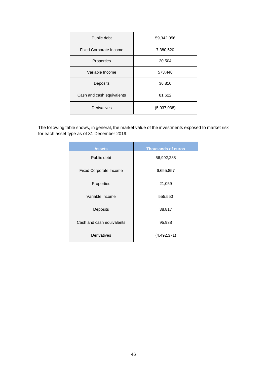| Public debt                   | 59,342,056  |  |
|-------------------------------|-------------|--|
| <b>Fixed Corporate Income</b> | 7,380,520   |  |
| Properties                    | 20,504      |  |
| Variable Income               | 573,440     |  |
| Deposits                      | 36,810      |  |
| Cash and cash equivalents     | 81,622      |  |
| Derivatives                   | (5,037,038) |  |

The following table shows, in general, the market value of the investments exposed to market risk for each asset type as of 31 December 2019:

| <b>Assets</b>                 | <b>Thousands of euros</b> |  |
|-------------------------------|---------------------------|--|
| Public debt                   | 56,992,288                |  |
| <b>Fixed Corporate Income</b> | 6,655,857                 |  |
| Properties                    | 21,059                    |  |
| Variable Income               | 555,550                   |  |
| Deposits                      | 38,817                    |  |
| Cash and cash equivalents     | 95,938                    |  |
| Derivatives                   | (4,492,371)               |  |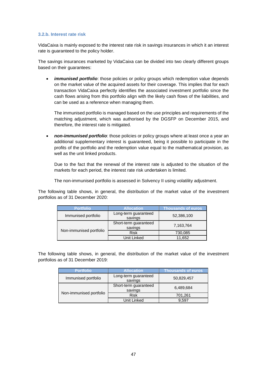#### **3.2.b. Interest rate risk**

VidaCaixa is mainly exposed to the interest rate risk in savings insurances in which it an interest rate is guaranteed to the policy holder.

The savings insurances marketed by VidaCaixa can be divided into two clearly different groups based on their guarantees:

*immunised portfolio*: those policies or policy groups which redemption value depends on the market value of the acquired assets for their coverage. This implies that for each transaction VidaCaixa perfectly identifies the associated investment portfolio since the cash flows arising from this portfolio align with the likely cash flows of the liabilities, and can be used as a reference when managing them.

The immunised portfolio is managed based on the use principles and requirements of the matching adjustment, which was authorised by the DGSFP on December 2015, and therefore, the interest rate is mitigated.

 *non-immunised portfolio*: those policies or policy groups where at least once a year an additional supplementary interest is guaranteed, being it possible to participate in the profits of the portfolio and the redemption value equal to the mathematical provision, as well as the unit linked products.

Due to the fact that the renewal of the interest rate is adjusted to the situation of the markets for each period, the interest rate risk undertaken is limited.

The non-immunised portfolio is assessed in Solvency II using volatility adjustment.

The following table shows, in general, the distribution of the market value of the investment portfolios as of 31 December 2020:

| <b>Portfolio</b>        | <b>Allocation</b>                | <b>Thousands of euros</b> |
|-------------------------|----------------------------------|---------------------------|
| Immunised portfolio     | Long-term guaranteed<br>savings  | 52,386,100                |
|                         | Short-term guaranteed<br>savings | 7,163,764                 |
| Non-immunised portfolio | <b>Risk</b>                      | 730,085                   |
|                         | Unit Linked                      | 11,652                    |

The following table shows, in general, the distribution of the market value of the investment portfolios as of 31 December 2019:

| <b>Portfolio</b>        | <b>Allocation</b>                | <b>Thousands of euros</b> |
|-------------------------|----------------------------------|---------------------------|
| Immunised portfolio     | Long-term guaranteed<br>savings  | 50,829,457                |
|                         | Short-term guaranteed<br>savings | 6,489,684                 |
| Non-immunised portfolio | <b>Risk</b>                      | 701,261                   |
|                         | Unit Linked                      | 9.597                     |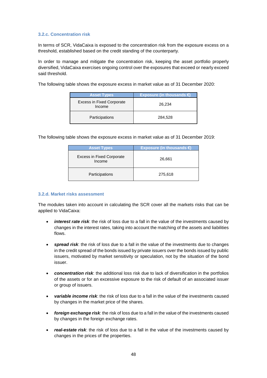### **3.2.c. Concentration risk**

In terms of SCR, VidaCaixa is exposed to the concentration risk from the exposure excess on a threshold, established based on the credit standing of the counterparty.

In order to manage and mitigate the concentration risk, keeping the asset portfolio properly diversified, VidaCaixa exercises ongoing control over the exposures that exceed or nearly exceed said threshold.

The following table shows the exposure excess in market value as of 31 December 2020:

| <b>Asset Types</b>                         | Exposure (in thousands $\epsilon$ ) |
|--------------------------------------------|-------------------------------------|
| <b>Excess in Fixed Corporate</b><br>Income | 26,234                              |
| <b>Participations</b>                      | 284,528                             |

The following table shows the exposure excess in market value as of 31 December 2019:

| <b>Asset Types</b>                         | <b>Exposure (in thousands €)</b> |
|--------------------------------------------|----------------------------------|
| <b>Excess in Fixed Corporate</b><br>Income | 26,661                           |
| Participations                             | 275,618                          |

### **3.2.d. Market risks assessment**

The modules taken into account in calculating the SCR cover all the markets risks that can be applied to VidaCaixa:

- *interest rate risk*: the risk of loss due to a fall in the value of the investments caused by changes in the interest rates, taking into account the matching of the assets and liabilities flows.
- *spread risk*: the risk of loss due to a fall in the value of the investments due to changes in the credit spread of the bonds issued by private issuers over the bonds issued by public issuers, motivated by market sensitivity or speculation, not by the situation of the bond issuer.
- *concentration risk*: the additional loss risk due to lack of diversification in the portfolios of the assets or for an excessive exposure to the risk of default of an associated issuer or group of issuers.
- *variable income risk*: the risk of loss due to a fall in the value of the investments caused by changes in the market price of the shares.
- *foreign exchange risk*: the risk of loss due to a fall in the value of the investments caused by changes in the foreign exchange rates.
- *real-estate risk*: the risk of loss due to a fall in the value of the investments caused by changes in the prices of the properties.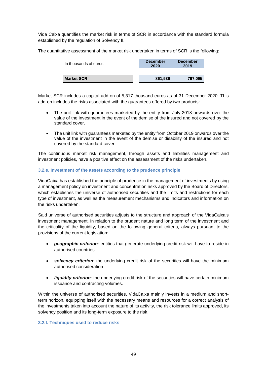Vida Caixa quantifies the market risk in terms of SCR in accordance with the standard formula established by the regulation of Solvency II.

The quantitative assessment of the market risk undertaken in terms of SCR is the following:

| In thousands of euros | <b>December</b><br>2020 | <b>December</b><br>2019 |
|-----------------------|-------------------------|-------------------------|
| <b>Market SCR</b>     | 861,536                 | 797,095                 |

Market SCR includes a capital add-on of 5,317 thousand euros as of 31 December 2020. This add-on includes the risks associated with the guarantees offered by two products:

- The unit link with guarantees marketed by the entity from July 2018 onwards over the value of the investment in the event of the demise of the insured and not covered by the standard cover.
- The unit link with guarantees marketed by the entity from October 2019 onwards over the value of the investment in the event of the demise or disability of the insured and not covered by the standard cover.

The continuous market risk management, through assets and liabilities management and investment policies, have a positive effect on the assessment of the risks undertaken.

### **3.2.e. Investment of the assets according to the prudence principle**

VidaCaixa has established the principle of prudence in the management of investments by using a management policy on investment and concentration risks approved by the Board of Directors, which establishes the universe of authorised securities and the limits and restrictions for each type of investment, as well as the measurement mechanisms and indicators and information on the risks undertaken.

Said universe of authorised securities adjusts to the structure and approach of the VidaCaixa's investment management, in relation to the prudent nature and long term of the investment and the criticality of the liquidity, based on the following general criteria, always pursuant to the provisions of the current legislation:

- *geographic criterion*: entities that generate underlying credit risk will have to reside in authorised countries.
- **solvency criterion**: the underlying credit risk of the securities will have the minimum authorised consideration.
- *liquidity criterion*: the underlying credit risk of the securities will have certain minimum issuance and contracting volumes.

Within the universe of authorised securities, VidaCaixa mainly invests in a medium and shortterm horizon, equipping itself with the necessary means and resources for a correct analysis of the investments taken into account the nature of its activity, the risk tolerance limits approved, its solvency position and its long-term exposure to the risk.

#### **3.2.f. Techniques used to reduce risks**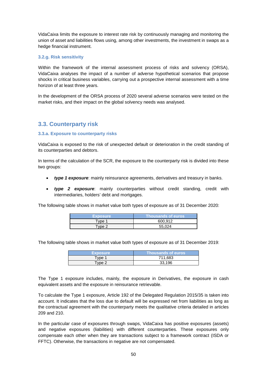VidaCaixa limits the exposure to interest rate risk by continuously managing and monitoring the union of asset and liabilities flows using, among other investments, the investment in swaps as a hedge financial instrument.

### **3.2.g. Risk sensitivity**

Within the framework of the internal assessment process of risks and solvency (ORSA), VidaCaixa analyses the impact of a number of adverse hypothetical scenarios that propose shocks in critical business variables, carrying out a prospective internal assessment with a time horizon of at least three years.

In the development of the ORSA process of 2020 several adverse scenarios were tested on the market risks, and their impact on the global solvency needs was analysed.

### **3.3. Counterparty risk**

### **3.3.a. Exposure to counterparty risks**

VidaCaixa is exposed to the risk of unexpected default or deterioration in the credit standing of its counterparties and debtors.

In terms of the calculation of the SCR, the exposure to the counterparty risk is divided into these two groups:

- *type 1 exposure*: mainly reinsurance agreements, derivatives and treasury in banks.
- *type 2 exposure*: mainly counterparties without credit standing, credit with intermediaries, holders' debt and mortgages.

The following table shows in market value both types of exposure as of 31 December 2020:

| <b>Exposure</b>    | <b>Thousands of euros</b> |
|--------------------|---------------------------|
| $T$ vpe $\cdot$    | 600.912                   |
| Type $2^{\degree}$ | 55.024                    |

The following table shows in market value both types of exposure as of 31 December 2019:

| <b>Exposure</b> | <b>Thousands of euros</b> |
|-----------------|---------------------------|
| "vpe"           | 711.683                   |
| Tvpe 2          | 33.196                    |

The Type 1 exposure includes, mainly, the exposure in Derivatives, the exposure in cash equivalent assets and the exposure in reinsurance retrievable.

To calculate the Type 1 exposure, Article 192 of the Delegated Regulation 2015/35 is taken into account. It indicates that the loss due to default will be expressed net from liabilities as long as the contractual agreement with the counterparty meets the qualitative criteria detailed in articles 209 and 210.

In the particular case of exposures through swaps, VidaCaixa has positive exposures (assets) and negative exposures (liabilities) with different counterparties. These exposures only compensate each other when they are transactions subject to a framework contract (ISDA or FFTC). Otherwise, the transactions in negative are not compensated.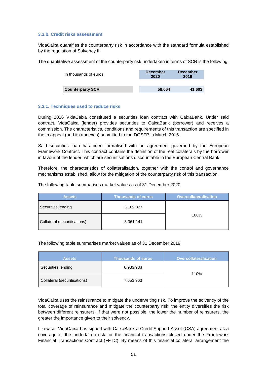#### **3.3.b. Credit risks assessment**

VidaCaixa quantifies the counterparty risk in accordance with the standard formula established by the regulation of Solvency II.

The quantitative assessment of the counterparty risk undertaken in terms of SCR is the following:

| In thousands of euros   | <b>December</b><br>2020 | <b>December</b><br>2019 |
|-------------------------|-------------------------|-------------------------|
| <b>Counterparty SCR</b> | 58,064                  | 41,603                  |

### **3.3.c. Techniques used to reduce risks**

During 2016 VidaCaixa constituted a securities loan contract with CaixaBank. Under said contract, VidaCaixa (lender) provides securities to CaixaBank (borrower) and receives a commission. The characteristics, conditions and requirements of this transaction are specified in the in appeal (and its annexes) submitted to the DGSFP in March 2016.

Said securities loan has been formalised with an agreement governed by the European Framework Contract. This contract contains the definition of the real collaterals by the borrower in favour of the lender, which are securitisations discountable in the European Central Bank.

Therefore, the characteristics of collateralisation, together with the control and governance mechanisms established, allow for the mitigation of the counterparty risk of this transaction.

The following table summarises market values as of 31 December 2020:

| <b>Assets</b>                | <b>Thousands of euros</b> | <b>Overcollateralisation</b> |
|------------------------------|---------------------------|------------------------------|
| Securities lending           | 3,109,827                 |                              |
| Collateral (securitisations) | 3,361,141                 | 108%                         |

The following table summarises market values as of 31 December 2019:

| <b>Assets</b>                | <b>Thousands of euros</b> | <b>Overcollateralisation</b> |
|------------------------------|---------------------------|------------------------------|
| Securities lending           | 6,933,983                 | 110%                         |
| Collateral (securitisations) | 7,653,963                 |                              |

VidaCaixa uses the reinsurance to mitigate the underwriting risk. To improve the solvency of the total coverage of reinsurance and mitigate the counterparty risk, the entity diversifies the risk between different reinsurers. If that were not possible, the lower the number of reinsurers, the greater the importance given to their solvency.

Likewise, VidaCaixa has signed with CaixaBank a Credit Support Asset (CSA) agreement as a coverage of the undertaken risk for the financial transactions closed under the Framework Financial Transactions Contract (FFTC). By means of this financial collateral arrangement the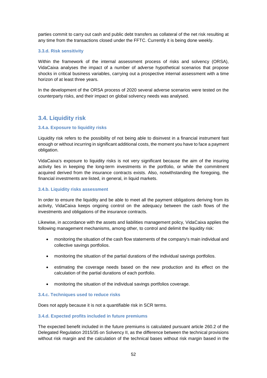parties commit to carry out cash and public debt transfers as collateral of the net risk resulting at any time from the transactions closed under the FFTC. Currently it is being done weekly.

### **3.3.d. Risk sensitivity**

Within the framework of the internal assessment process of risks and solvency (ORSA), VidaCaixa analyses the impact of a number of adverse hypothetical scenarios that propose shocks in critical business variables, carrying out a prospective internal assessment with a time horizon of at least three years.

In the development of the ORSA process of 2020 several adverse scenarios were tested on the counterparty risks, and their impact on global solvency needs was analysed.

# **3.4. Liquidity risk**

### **3.4.a. Exposure to liquidity risks**

Liquidity risk refers to the possibility of not being able to disinvest in a financial instrument fast enough or without incurring in significant additional costs, the moment you have to face a payment obligation.

VidaCaixa's exposure to liquidity risks is not very significant because the aim of the insuring activity lies in keeping the long-term investments in the portfolio, or while the commitment acquired derived from the insurance contracts exists. Also, notwithstanding the foregoing, the financial investments are listed, in general, in liquid markets.

### **3.4.b. Liquidity risks assessment**

In order to ensure the liquidity and be able to meet all the payment obligations deriving from its activity, VidaCaixa keeps ongoing control on the adequacy between the cash flows of the investments and obligations of the insurance contracts.

Likewise, in accordance with the assets and liabilities management policy, VidaCaixa applies the following management mechanisms, among other, to control and delimit the liquidity risk:

- monitoring the situation of the cash flow statements of the company's main individual and collective savings portfolios.
- monitoring the situation of the partial durations of the individual savings portfolios.
- estimating the coverage needs based on the new production and its effect on the calculation of the partial durations of each portfolio.
- monitoring the situation of the individual savings portfolios coverage.

#### **3.4.c. Techniques used to reduce risks**

Does not apply because it is not a quantifiable risk in SCR terms.

### **3.4.d. Expected profits included in future premiums**

The expected benefit included in the future premiums is calculated pursuant article 260.2 of the Delegated Regulation 2015/35 on Solvency II, as the difference between the technical provisions without risk margin and the calculation of the technical bases without risk margin based in the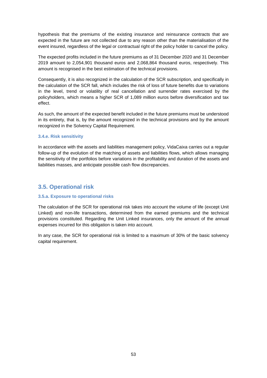hypothesis that the premiums of the existing insurance and reinsurance contracts that are expected in the future are not collected due to any reason other than the materialisation of the event insured, regardless of the legal or contractual right of the policy holder to cancel the policy.

The expected profits included in the future premiums as of 31 December 2020 and 31 December 2019 amount to 2,054,901 thousand euros and 2,068,864 thousand euros, respectively. This amount is recognised in the best estimation of the technical provisions.

Consequently, it is also recognized in the calculation of the SCR subscription, and specifically in the calculation of the SCR fall, which includes the risk of loss of future benefits due to variations in the level, trend or volatility of real cancellation and surrender rates exercised by the policyholders, which means a higher SCR of 1,089 million euros before diversification and tax effect.

As such, the amount of the expected benefit included in the future premiums must be understood in its entirety, that is, by the amount recognized in the technical provisions and by the amount recognized in the Solvency Capital Requirement.

### **3.4.e. Risk sensitivity**

In accordance with the assets and liabilities management policy, VidaCaixa carries out a regular follow-up of the evolution of the matching of assets and liabilities flows, which allows managing the sensitivity of the portfolios before variations in the profitability and duration of the assets and liabilities masses, and anticipate possible cash flow discrepancies.

### **3.5. Operational risk**

### **3.5.a. Exposure to operational risks**

The calculation of the SCR for operational risk takes into account the volume of life (except Unit Linked) and non-life transactions, determined from the earned premiums and the technical provisions constituted. Regarding the Unit Linked insurances, only the amount of the annual expenses incurred for this obligation is taken into account.

In any case, the SCR for operational risk is limited to a maximum of 30% of the basic solvency capital requirement.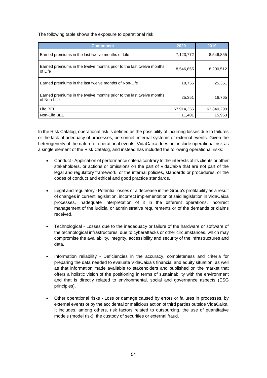The following table shows the exposure to operational risk:

| <b>Component</b>                                                                    | 2020       | 2019       |
|-------------------------------------------------------------------------------------|------------|------------|
| Earned premiums in the last twelve months of Life                                   | 7,123,772  | 8,546,855  |
| Earned premiums in the twelve months prior to the last twelve months<br>of Life     | 8,546,855  | 8,200,512  |
| Earned premiums in the last twelve months of Non-Life                               | 18,756     | 25,351     |
| Earned premiums in the twelve months prior to the last twelve months<br>of Non-Life | 25,351     | 16,765     |
| Life BEL                                                                            | 67,914,355 | 63,840,290 |
| Non-Life BEL                                                                        | 11,401     | 15,963     |

In the Risk Catalog, operational risk is defined as the possibility of incurring losses due to failures or the lack of adequacy of processes, personnel, internal systems or external events. Given the heterogeneity of the nature of operational events, VidaCaixa does not include operational risk as a single element of the Risk Catalog, and instead has included the following operational risks:

- Conduct Application of performance criteria contrary to the interests of its clients or other stakeholders, or actions or omissions on the part of VidaCaixa that are not part of the legal and regulatory framework, or the internal policies, standards or procedures, or the codes of conduct and ethical and good practice standards.
- Legal and regulatory Potential losses or a decrease in the Group's profitability as a result of changes in current legislation, incorrect implementation of said legislation in VidaCaixa processes, inadequate interpretation of it in the different operations, incorrect management of the judicial or administrative requirements or of the demands or claims received.
- Technological Losses due to the inadequacy or failure of the hardware or software of the technological infrastructures, due to cyberattacks or other circumstances, which may compromise the availability, integrity, accessibility and security of the infrastructures and data.
- Information reliability Deficiencies in the accuracy, completeness and criteria for preparing the data needed to evaluate VidaCaixa's financial and equity situation, as well as that information made available to stakeholders and published on the market that offers a holistic vision of the positioning in terms of sustainability with the environment and that is directly related to environmental, social and governance aspects (ESG principles).
- Other operational risks Loss or damage caused by errors or failures in processes, by external events or by the accidental or malicious action of third parties outside VidaCaixa. It includes, among others, risk factors related to outsourcing, the use of quantitative models (model risk), the custody of securities or external fraud.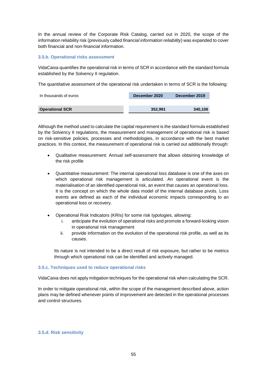In the annual review of the Corporate Risk Catalog, carried out in 2020, the scope of the information reliability risk (previously called *financial information reliability*) was expanded to cover both financial and non-financial information.

### **3.5.b. Operational risks assessment**

VidaCaixa quantifies the operational risk in terms of SCR in accordance with the standard formula established by the Solvency II regulation.

The quantitative assessment of the operational risk undertaken in terms of SCR is the following:

| In thousands of euros  | December 2020 | December 2019 |  |
|------------------------|---------------|---------------|--|
|                        |               |               |  |
| <b>Operational SCR</b> | 352.991       | 340.106       |  |

Although the method used to calculate the capital requirement is the standard formula established by the Solvency II regulations, the measurement and management of operational risk is based on risk-sensitive policies, processes and methodologies, in accordance with the best market practices. In this context, the measurement of operational risk is carried out additionally through:

- Qualitative measurement: Annual self-assessment that allows obtaining knowledge of the risk profile
- Quantitative measurement: The internal operational loss database is one of the axes on which operational risk management is articulated. An operational event is the materialisation of an identified operational risk, an event that causes an operational loss. It is the concept on which the whole data model of the internal database pivots. Loss events are defined as each of the individual economic impacts corresponding to an operational loss or recovery.
- Operational Risk Indicators (KRIs) for some risk typologies, allowing:
	- i. anticipate the evolution of operational risks and promote a forward-looking vision in operational risk management
	- ii. provide information on the evolution of the operational risk profile, as well as its causes.

Its nature is not intended to be a direct result of risk exposure, but rather to be metrics through which operational risk can be identified and actively managed.

### **3.5.c. Techniques used to reduce operational risks**

VidaCaixa does not apply mitigation techniques for the operational risk when calculating the SCR.

In order to mitigate operational risk, within the scope of the management described above, action plans may be defined whenever points of improvement are detected in the operational processes and control structures.

#### **3.5.d. Risk sensitivity**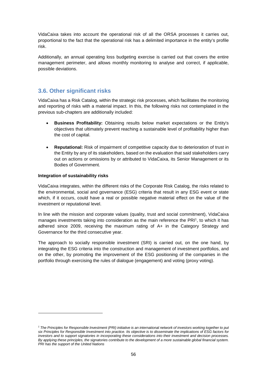VidaCaixa takes into account the operational risk of all the ORSA processes it carries out, proportional to the fact that the operational risk has a delimited importance in the entity's profile risk.

Additionally, an annual operating loss budgeting exercise is carried out that covers the entire management perimeter, and allows monthly monitoring to analyse and correct, if applicable, possible deviations.

## **3.6. Other significant risks**

VidaCaixa has a Risk Catalog, within the strategic risk processes, which facilitates the monitoring and reporting of risks with a material impact. In this, the following risks not contemplated in the previous sub-chapters are additionally included:

- **Business Profitability:** Obtaining results below market expectations or the Entity's objectives that ultimately prevent reaching a sustainable level of profitability higher than the cost of capital.
- **Reputational:** Risk of impairment of competitive capacity due to deterioration of trust in the Entity by any of its stakeholders, based on the evaluation that said stakeholders carry out on actions or omissions by or attributed to VidaCaixa, its Senior Management or its Bodies of Government.

### **Integration of sustainability risks**

VidaCaixa integrates, within the different risks of the Corporate Risk Catalog, the risks related to the environmental, social and governance (ESG) criteria that result in any ESG event or state which, if it occurs, could have a real or possible negative material effect on the value of the investment or reputational level.

In line with the mission and corporate values (quality, trust and social commitment), VidaCaixa manages investments taking into consideration as the main reference the PRI<sup>1</sup>, to which it has adhered since 2009, receiving the maximum rating of A+ in the Category Strategy and Governance for the third consecutive year.

The approach to socially responsible investment (SRI) is carried out, on the one hand, by integrating the ESG criteria into the construction and management of investment portfolios, and on the other, by promoting the improvement of the ESG positioning of the companies in the portfolio through exercising the rules of dialogue (engagement) and voting (proxy voting).

<sup>&</sup>lt;sup>1</sup> The Principles for Responsible Investment (PRI) initiative is an international network of investors working together to put *six Principles for Responsible Investment into practice. Its objective is to disseminate the implications of ESG factors for investors and to support signatories in incorporating these considerations into their investment and decision processes. By applying these principles, the signatories contribute to the development of a more sustainable global financial system. PRI has the support of the United Nations*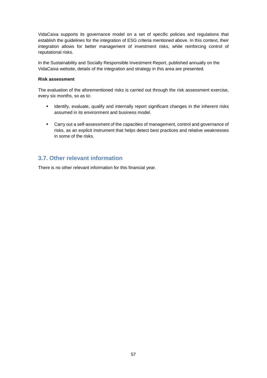VidaCaixa supports its governance model on a set of specific policies and regulations that establish the guidelines for the integration of ESG criteria mentioned above. In this context, their integration allows for better management of investment risks, while reinforcing control of reputational risks.

In the Sustainability and Socially Responsible Investment Report, published annually on the VidaCaixa website, details of the integration and strategy in this area are presented.

### **Risk assessment**

The evaluation of the aforementioned risks is carried out through the risk assessment exercise, every six months, so as to:

- **IDENTIFY** Identify, evaluate, qualify and internally report significant changes in the inherent risks assumed in its environment and business model.
- Carry out a self-assessment of the capacities of management, control and governance of risks, as an explicit instrument that helps detect best practices and relative weaknesses in some of the risks.

## **3.7. Other relevant information**

There is no other relevant information for this financial year.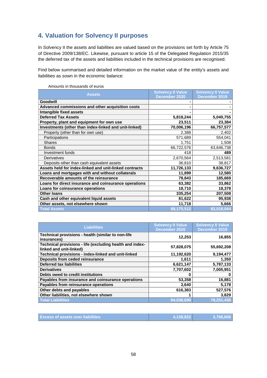# **4. Valuation for Solvency II purposes**

In Solvency II the assets and liabilities are valued based on the provisions set forth by Article 75 of Directive 2009/138/EC. Likewise, pursuant to article 15 of the Delegated Regulation 2015/35 the deferred tax of the assets and liabilities included in the technical provisions are recognised.

Find below summarised and detailed information on the market value of the entity's assets and liabilities as sown in the economic balance:

| <b>Assets</b>                                          | <b>Solvency II Value</b><br>December 2020 | <b>Solvency II Value</b><br>December 2019 |
|--------------------------------------------------------|-------------------------------------------|-------------------------------------------|
| Goodwill                                               |                                           |                                           |
| Advanced commissions and other acquisition costs       | ۰                                         |                                           |
| Intangible fixed assets                                | ٠                                         |                                           |
| <b>Deferred Tax Assets</b>                             | 5,818,244                                 | 5,040,755                                 |
| Property, plant and equipment for own use              | 23,511                                    | 23,384                                    |
| Investments (other than index-linked and unit-linked)  | 70,006,196                                | 66,757,577                                |
| Property (other than for own use)                      | 2,388                                     | 2,402                                     |
| Participations                                         | 571,689                                   | 554,041                                   |
| <b>Shares</b>                                          | 1,751                                     | 1,508                                     |
| <b>Bonds</b>                                           | 66,722,576                                | 63,646,738                                |
| Investment funds                                       | 418                                       | 489                                       |
| <b>Derivatives</b>                                     | 2,670,564                                 | 2,513,581                                 |
| Deposits other than cash equivalent assets             | 36,810                                    | 38,817                                    |
| Assets held for index-linked and unit-linked contracts | 11,726,133                                | 9,636,727                                 |
| Loans and mortgages with and without collaterals       | 11,899                                    | 12,580                                    |
| Recoverable amounts of the reinsurance                 | 78,843                                    | 185,669                                   |
| Loans for direct insurance and coinsurance operations  | 63,382                                    | 33,862                                    |
| Loans for coinsurance operations                       | 18,710                                    | 18,378                                    |
| <b>Other loans</b>                                     | 335,254                                   | 207,508                                   |
| Cash and other equivalent liquid assets                | 81,622                                    | 95,938                                    |
| Other assets, not elsewhere shown                      | 11,718                                    | 5,666                                     |
| <b>Total Assets</b>                                    | 88,175,512                                | 82,018,044                                |

Amounts in thousands of euros

| <b>Liabilities</b>                                                                  | <b>Solvency II Value</b><br>December 2020 | <b>Solvency II Value</b><br>December 2019 |
|-------------------------------------------------------------------------------------|-------------------------------------------|-------------------------------------------|
| Technical provisions - health (similar to non-life<br>insurances)                   | 12,253                                    | 16,855                                    |
| Technical provisions - life (excluding health and index-<br>linked and unit-linked) | 57,828,075                                | 55,692,208                                |
| Technical provisions - index-linked and unit-linked                                 | 11,192,620                                | 9,194,477                                 |
| Deposits from ceded reinsurance                                                     | 1,611                                     | 1,350                                     |
| <b>Deferred tax liabilities</b>                                                     | 6,621,147                                 | 5,787,133                                 |
| <b>Derivatives</b>                                                                  | 7,707,602                                 | 7,005,951                                 |
| Debts owed to credit institutions                                                   | o                                         |                                           |
| Payables from insurance and coinsurance operations                                  | 53,358                                    | 16,881                                    |
| Payables from reinsurance operations                                                | 3,640                                     | 5,178                                     |
| Other debts and payables                                                            | 616,383                                   | 527,576                                   |
| Other liabilities, not elsewhere shown                                              |                                           | 3,829                                     |
| <b>Total Liabilities</b>                                                            | 84.036.690                                | 78,251,438                                |

| <b>Excess of assets over liabilities</b> | 4.138.822 | 3,766,606 |
|------------------------------------------|-----------|-----------|
|------------------------------------------|-----------|-----------|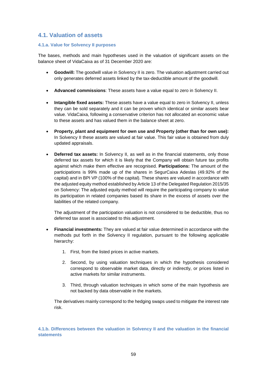# **4.1. Valuation of assets**

### **4.1.a. Value for Solvency II purposes**

The bases, methods and main hypotheses used in the valuation of significant assets on the balance sheet of VidaCaixa as of 31 December 2020 are:

- **Goodwill:** The goodwill value in Solvency II is zero. The valuation adjustment carried out only generates deferred assets linked by the tax-deductible amount of the goodwill.
- **Advanced commissions**: These assets have a value equal to zero in Solvency II.
- **Intangible fixed assets:** These assets have a value equal to zero in Solvency II, unless they can be sold separately and it can be proven which identical or similar assets bear value. VidaCaixa, following a conservative criterion has not allocated an economic value to these assets and has valued them in the balance sheet at zero.
- **Property, plant and equipment for own use and Property (other than for own use):**  In Solvency II these assets are valued at fair value. This fair value is obtained from duly updated appraisals.
- **Deferred tax assets:** In Solvency II, as well as in the financial statements, only those deferred tax assets for which it is likely that the Company will obtain future tax profits against which make them effective are recognised. **Participations:** The amount of the participations is 99% made up of the shares in SegurCaixa Adeslas (49.92% of the capital) and in BPI VP (100% of the capital). These shares are valued in accordance with the adjusted equity method established by Article 13 of the Delegated Regulation 2015/35 on Solvency: The adjusted equity method will require the participating company to value its participation in related companies based its share in the excess of assets over the liabilities of the related company.

The adjustment of the participation valuation is not considered to be deductible, thus no deferred tax asset is associated to this adjustment.

- **Financial investments:** They are valued at fair value determined in accordance with the methods put forth in the Solvency II regulation, pursuant to the following applicable hierarchy:
	- 1. First, from the listed prices in active markets.
	- 2. Second, by using valuation techniques in which the hypothesis considered correspond to observable market data, directly or indirectly, or prices listed in active markets for similar instruments.
	- 3. Third, through valuation techniques in which some of the main hypothesis are not backed by data observable in the markets.

The derivatives mainly correspond to the hedging swaps used to mitigate the interest rate risk.

**4.1.b. Differences between the valuation in Solvency II and the valuation in the financial statements**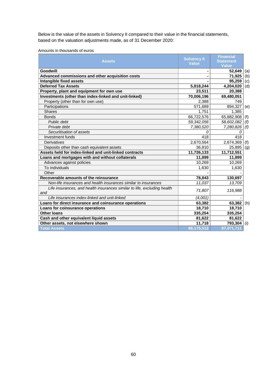Below is the value of the assets in Solvency II compared to their value in the financial statements, based on the valuation adjustments made, as of 31 December 2020:

|  |  | Amounts in thousands of euros |  |  |
|--|--|-------------------------------|--|--|
|--|--|-------------------------------|--|--|

|            | <b>Financial</b>                                                                                               |                                                                                           |
|------------|----------------------------------------------------------------------------------------------------------------|-------------------------------------------------------------------------------------------|
|            | Statement                                                                                                      |                                                                                           |
|            | <b>Value</b>                                                                                                   |                                                                                           |
|            | 52,649                                                                                                         | (a)                                                                                       |
|            | 71,925                                                                                                         | (b)                                                                                       |
|            | 95,259                                                                                                         | (c)                                                                                       |
| 5,818,244  | 4,204,020                                                                                                      | (d)                                                                                       |
| 23,511     | 20,388                                                                                                         |                                                                                           |
| 70,006,196 | 69,480,051                                                                                                     |                                                                                           |
| 2,388      | 749                                                                                                            |                                                                                           |
| 571,689    | 894,327                                                                                                        | (e)                                                                                       |
| 1,751      | 1.385                                                                                                          |                                                                                           |
| 66,722,576 |                                                                                                                | (f)                                                                                       |
| 59,342,056 | 58,602,082                                                                                                     | (f)                                                                                       |
| 7,380,520  | 7,280,826                                                                                                      | (f)                                                                                       |
| 0          | 0                                                                                                              |                                                                                           |
| 418        | 418                                                                                                            |                                                                                           |
| 2,670,564  |                                                                                                                | (f)                                                                                       |
| 36,810     | 25,895                                                                                                         | (g)                                                                                       |
| 11,726,133 | 11,712,551                                                                                                     |                                                                                           |
| 11,899     | 11,899                                                                                                         |                                                                                           |
| 10,269     | 10,269                                                                                                         |                                                                                           |
| 1,630      | 1,630                                                                                                          |                                                                                           |
|            |                                                                                                                |                                                                                           |
| 78,843     | 130,697                                                                                                        |                                                                                           |
| 11,037     | 13,709                                                                                                         |                                                                                           |
| 71,807     | 116,988                                                                                                        |                                                                                           |
|            |                                                                                                                |                                                                                           |
|            |                                                                                                                | (h)                                                                                       |
|            |                                                                                                                |                                                                                           |
|            |                                                                                                                |                                                                                           |
|            |                                                                                                                |                                                                                           |
|            |                                                                                                                | (i)                                                                                       |
|            |                                                                                                                |                                                                                           |
|            | <b>Solvency II</b><br><b>Value</b><br>(4,001)<br>63,382<br>18,710<br>335,254<br>81,622<br>11,718<br>88,175,512 | 65,882,908<br>2,674,369<br>63,382<br>18,710<br>335,254<br>81,622<br>793,304<br>87,071,711 |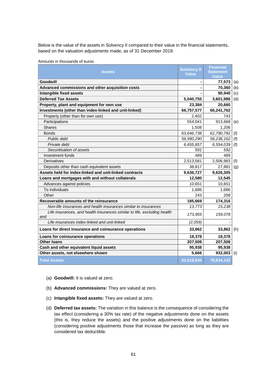Below is the value of the assets in Solvency II compared to their value in the financial statements, based on the valuation adjustments made, as of 31 December 2019:

| <b>Assets</b>                                                                   | <b>Solvency II</b><br><b>Value</b> | <b>Financial</b><br><b>Statement</b><br><b>Value</b> |     |
|---------------------------------------------------------------------------------|------------------------------------|------------------------------------------------------|-----|
| Goodwill                                                                        | $\blacksquare$                     | 77,573                                               | (a) |
| Advanced commissions and other acquisition costs                                |                                    | 70,360                                               | (b) |
| Intangible fixed assets                                                         |                                    | 90,940                                               | (c) |
| <b>Deferred Tax Assets</b>                                                      | 5,040,755                          | 3,601,986                                            | (d) |
| Property, plant and equipment for own use                                       | 23,384                             | 20,660                                               |     |
| Investments (other than index-linked and unit-linked)                           | 66,757,577                         | 66,241,762                                           |     |
| Property (other than for own use)                                               | 2,402                              | 743                                                  |     |
| Participations                                                                  | 554,041                            | 913,668                                              | (e) |
| <b>Shares</b>                                                                   | 1,508                              | 1,206                                                |     |
| <b>Bonds</b>                                                                    | 63,646,738                         | 62,790,792                                           | (f) |
| Public debt                                                                     | 56,990,290                         | 56,236,162                                           | (f) |
| Private debt                                                                    | 6,655,857                          | 6,554,039                                            | (f) |
| Securitisation of assets                                                        | 591                                | 592                                                  |     |
| Investment funds                                                                | 489                                | 489                                                  |     |
| Derivatives                                                                     | 2,513,581                          | 2,506,983                                            | (f) |
| Deposits other than cash equivalent assets                                      | 38,817                             | 27,881                                               | (g) |
| Assets held for index-linked and unit-linked contracts                          | 9,636,727                          | 9,626,305                                            |     |
| Loans and mortgages with and without collaterals                                | 12,580                             | 12,545                                               |     |
| Advances against policies                                                       | 10,651                             | 10,651                                               |     |
| To individuals                                                                  | 1,686                              | 1,686                                                |     |
| Other                                                                           | 243                                | 208                                                  |     |
| Recoverable amounts of the reinsurance                                          | 185,669                            | 174,316                                              |     |
| Non-life insurances and health insurances similar to insurances                 | 13,773                             | 15,238                                               |     |
| Life insurances, and health insurances similar to life, excluding health<br>and | 173,955                            | 159,078                                              |     |
| Life insurances index-linked and unit-linked                                    | (2,059)                            |                                                      |     |
| Loans for direct insurance and coinsurance operations                           | 33,862                             | 33,862                                               | (h) |
| Loans for coinsurance operations                                                | 18,378                             | 18,378                                               |     |
| <b>Other loans</b>                                                              | 207,508                            | 207,508                                              |     |
| Cash and other equivalent liquid assets                                         | 95,938                             | 95,938                                               |     |
| Other assets, not elsewhere shown                                               | 5,666                              | 932,003                                              | (i) |
| <b>Total Assets</b>                                                             | 82,018,044                         | 78,634,142                                           |     |

Amounts in thousands of euros

- (a) **Goodwill:** It is valued at zero.
- (b) **Advanced commissions:** They are valued at zero.
- (c) **Intangible fixed assets:** They are valued at zero.
- (d) **Deferred tax assets:** The variation in this balance is the consequence of considering the tax effect (considering a 30% tax rate) of the negative adjustments done on the assets (this is, they reduce the assets) and the positive adjustments done on the liabilities (considering positive adjustments those that increase the passive) as long as they are considered tax deductible.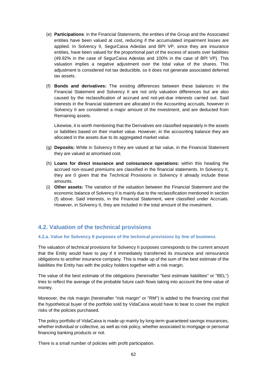- (e) **Participations**: in the Financial Statements, the entities of the Group and the Associated entities have been valued at cost, reducing if the accumulated impairment losses are applied. In Solvency II, SegurCaixa Adeslas and BPI VP, since they are insurance entities, have been valued for the proportional part of the excess of assets over liabilities (49.92% in the case of SegurCaixa Adeslas and 100% in the case of BPI VP). This valuation implies a negative adjustment over the total value of the shares. This adjustment is considered not tax deductible, so it does not generate associated deferred tax assets.
- (f) **Bonds and derivatives:** The existing differences between these balances in the Financial Statement and Solvency II are not only valuation differences but are also caused by the reclassification of accrued and not-yet-due interests carried out. Said interests in the financial statement are allocated in the Accounting accruals, however in Solvency II are considered a major amount of the investment, and are deducted from Remaining assets.

Likewise, it is worth mentioning that the Derivatives are classified separately in the assets or liabilities based on their market value. However, in the accounting balance they are allocated in the assets due to its aggregated market value.

- (g) **Deposits:** While in Solvency II they are valued at fair value, in the Financial Statement they are valued at amortised cost.
- (h) **Loans for direct insurance and coinsurance operations:** within this heading the accrued non-issued premiums are classified in the financial statements. In Solvency II, they are 0 given that the Technical Provisions in Solvency II already include these amounts.
- (i) **Other assets:** The variation of the valuation between the Financial Statement and the economic balance of Solvency II is mainly due to the reclassification mentioned in section (f) above. Said interests, in the Financial Statement, were classified under Accruals. However, in Solvency II, they are included in the total amount of the investment.

## **4.2. Valuation of the technical provisions**

### **4.2.a. Value for Solvency II purposes of the technical provisions by line of business**

The valuation of technical provisions for Solvency II purposes corresponds to the current amount that the Entity would have to pay if it immediately transferred its insurance and reinsurance obligations to another insurance company. This is made up of the sum of the best estimate of the liabilities the Entity has with the policy holders together with a risk margin.

The value of the best estimate of the obligations (hereinafter "best estimate liabilities" or "BEL") tries to reflect the average of the probable future cash flows taking into account the time value of money.

Moreover, the risk margin (hereinafter "risk margin" or "RM") is added to the financing cost that the hypothetical buyer of the portfolio sold by VidaCaixa would have to bear to cover the implicit risks of the policies purchased.

The policy portfolio of VidaCaixa is made up mainly by long-term guaranteed savings insurances, whether individual or collective, as well as risk policy, whether associated to mortgage or personal financing banking products or not.

There is a small number of policies with profit participation.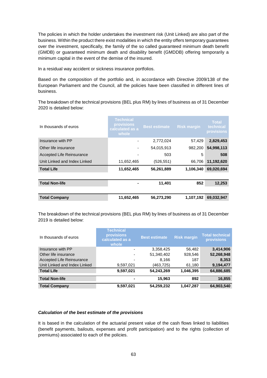The policies in which the holder undertakes the investment risk (Unit Linked) are also part of the business. Within the product there exist modalities in which the entity offers temporary guarantees over the investment, specifically, the family of the so called guaranteed minimum death benefit (GMDB) or guaranteed minimum death and disability benefit (GMDDB) offering temporarily a minimum capital in the event of the demise of the insured.

In a residual way accident or sickness insurance portfolios.

Based on the composition of the portfolio and, in accordance with Directive 2009/138 of the European Parliament and the Council, all the policies have been classified in different lines of business.

The breakdown of the technical provisions (BEL plus RM) by lines of business as of 31 December 2020 is detailed below:

| In thousands of euros        | <b>Technical</b><br>provisions<br>calculated as a<br>whole | <b>Best estimate</b> | <b>Risk margin</b> | <b>Total</b><br>technical<br>provisions |
|------------------------------|------------------------------------------------------------|----------------------|--------------------|-----------------------------------------|
| Insurance with PP            |                                                            | 2,772,024            | 57,429             | 2,829,453                               |
| Other life insurance         |                                                            | 54,015,913           | 982,200            | 54,998,113                              |
| Accepted Life Reinsurance    |                                                            | 503                  | 5                  | 508                                     |
| Unit Linked and Index Linked | 11,652,465                                                 | (526,551)            | 66,706             | 11,192,620                              |
| <b>Total Life</b>            | 11,652,465                                                 | 56,261,889           | 1,106,340          | 69,020,694                              |
|                              |                                                            |                      |                    |                                         |
| <b>Total Non-life</b>        |                                                            | 11,401               | 852                | 12,253                                  |
|                              |                                                            |                      |                    |                                         |
| <b>Total Company</b>         | 11.652,465                                                 | 56,273,290           | 1,107,192          | 69,032,947                              |

The breakdown of the technical provisions (BEL plus RM) by lines of business as of 31 December 2019 is detailed below:

| In thousands of euros        | <b>Technical</b><br><b>provisions</b><br>calculated as a<br>whole | <b>Best estimate</b> | <b>Risk margin</b> | <b>Total technical</b><br><b>provisions</b> |
|------------------------------|-------------------------------------------------------------------|----------------------|--------------------|---------------------------------------------|
| Insurance with PP            |                                                                   | 3,358,425            | 56,482             | 3,414,906                                   |
| Other life insurance         |                                                                   | 51,340,402           | 928,546            | 52,268,948                                  |
| Accepted Life Reinsurance    |                                                                   | 8,166                | 187                | 8,353                                       |
| Unit Linked and Index Linked | 9,597,021                                                         | (463,725)            | 61,180             | 9,194,477                                   |
| <b>Total Life</b>            | 9,597,021                                                         | 54,243,269           | 1,046,395          | 64,886,685                                  |
| <b>Total Non-life</b>        | $\blacksquare$                                                    | 15,963               | 892                | 16,855                                      |
| <b>Total Company</b>         | 9,597,021                                                         | 54,259,232           | 1,047,287          | 64,903,540                                  |

### *Calculation of the best estimate of the provisions*

It is based in the calculation of the actuarial present value of the cash flows linked to liabilities (benefit payments, bailouts, expenses and profit participation) and to the rights (collection of premiums) associated to each of the policies.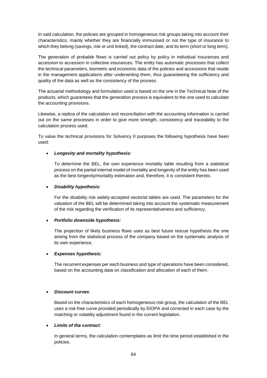In said calculation, the policies are grouped in homogeneous risk groups taking into account their characteristics, mainly whether they are financially immunised or not the type of insurance to which they belong (savings, risk or unit linked), the contract date, and its term (short or long term).

The generation of probable flows is carried out policy by policy in individual insurances and accession to accession in collective insurances. The entity has automatic processes that collect the technical parameters, biometric and economic data of the policies and accessions that reside in the management applications after underwriting them, thus guaranteeing the sufficiency and quality of the data as well as the consistency of the process.

The actuarial methodology and formulation used is based on the one in the Technical Note of the products, which guarantees that the generation process is equivalent to the one used to calculate the accounting provisions.

Likewise, a replica of the calculation and reconciliation with the accounting information is carried out on the same processes in order to give more strength, consistency and traceability to the calculation process used.

To value the technical provisions for Solvency II purposes the following hypothesis have been used:

### *Longevity and mortality hypothesis:*

To determine the BEL, the own experience mortality table resulting from a statistical process on the partial internal model of mortality and longevity of the entity has been used as the best longevity/mortality estimation and, therefore, it is consistent thereto.

### *Disability hypothesis:*

For the disability risk widely-accepted sectorial tables are used. The parameters for the valuation of the BEL will be determined taking into account the systematic measurement of the risk regarding the verification of its representativeness and sufficiency.

### *Portfolio downside hypothesis:*

The projection of likely business flows uses as best future rescue hypothesis the one arising from the statistical process of the company based on the systematic analysis of its own experience.

### *Expenses hypothesis:*

The recurrent expenses per each business and type of operations have been considered, based on the accounting data on classification and allocation of each of them.

### *Discount curves*:

Based on the characteristics of each homogeneous risk group, the calculation of the BEL uses a risk-free curve provided periodically by EIOPA and corrected in each case by the matching or volatility adjustment found in the current legislation.

### *Limits of the contract*:

In general terms, the calculation contemplates as limit the time period established in the policies.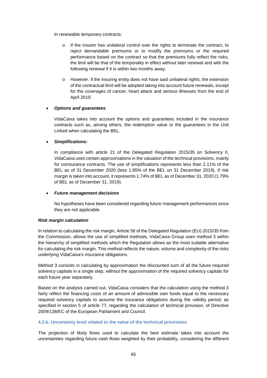In renewable temporary contracts:

- o If the insurer has unilateral control over the rights to terminate the contract, to reject demandable premiums or to modify the premiums or the required performance based on the contract so that the premiums fully reflect the risks, the limit will be that of the temporality in effect without later renewal and with the following renewal if it is within two months away.
- $\circ$  However, if the insuring entity does not have said unilateral rights, the extension of the contractual limit will be adopted taking into account future renewals, except for the coverages of cancer, heart attack and serious illnesses from the end of April 2019.

### *Options and guarantees*:

VidaCaixa takes into account the options and guarantees included in the insurance contracts such as, among others, the redemption value or the guarantees in the Unit Linked when calculating the BEL.

### *Simplifications:*

In compliance with article 21 of the Delegated Regulation 2015/35 on Solvency II, VidaCaixa uses certain approximations in the valuation of the technical provisions, mainly for coinsurance contracts. The use of simplifications represents less than 2.11% of the BEL as of 31 December 2020 (less 1.85% of the BEL on 31 December 2019). If risk margin is taken into account, it represents 1.74% of BEL as of December 31, 2020 (1.79% of BEL as of December 31, 2019).

### *Future management decisions*

No hypotheses have been considered regarding future management performances since they are not applicable.

#### *Risk margin calculation*

In relation to calculating the risk margin, Article 58 of the Delegated Regulation (EU) 2015/35 from the Commission, allows the use of simplified methods, VidaCaixa Group uses method 3 within the hierarchy of simplified methods which the Regulation allows as the most suitable alternative for calculating the risk margin. This method reflects the nature, volume and complexity of the risks underlying VidaCaixa's insurance obligations.

Method 3 consists in calculating by approximation the discounted sum of all the future required solvency capitals in a single step, without the approximation of the required solvency capitals for each future year separately.

Based on the analysis carried out, VidaCaixa considers that the calculation using the method 3 fairly reflect the financing costs of an amount of admissible own funds equal to the necessary required solvency capitals to assume the insurance obligations during the validity period, as specified in section 5 of article 77, regarding the calculation of technical provision, of Directive 2009/138/EC of the European Parliament and Council.

### **4.2.b. Uncertainty level related to the value of the technical provisions**

The projection of likely flows used to calculate the best estimate takes into account the uncertainties regarding future cash flows weighted by their probability, considering the different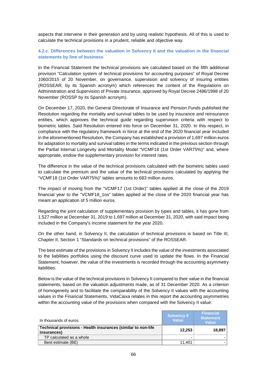aspects that intervene in their generation and by using realistic hypothesis. All of this is used to calculate the technical provisions in a prudent, reliable and objective way.

### **4.2.c. Differences between the valuation in Solvency II and the valuation in the financial statements by line of business**

In the Financial Statement the technical provisions are calculated based on the fifth additional provision "Calculation system of technical provisions for accounting purposes" of Royal Decree 1060/2015 of 20 November, on governance, supervision and solvency of insuring entities (ROSSEAR, by its Spanish acronym) which references the content of the Regulations on Administration and Supervision of Private Insurance, approved by Royal Decree 2486/1998 of 20 November (ROSSP by its Spanish acronym).

On December 17, 2020, the General Directorate of Insurance and Pension Funds published the Resolution regarding the mortality and survival tables to be used by insurance and reinsurance entities, which approves the technical guide regarding supervision criteria with respect to biometric tables. Said Resolution entered into force on December 31, 2020. In this respect, in compliance with the regulatory framework in force at the end of the 2020 financial year included in the aforementioned Resolution, the Company has established a provision of 1,697 million euros for adaptation to mortality and survival tables in the terms indicated in the previous section through the Partial Internal Longevity and Mortality Model "VCMF18 (1st Order VAR75%)" and, where appropriate, endow the supplementary provision for interest rates.

The difference in the value of the technical provisions calculated with the biometric tables used to calculate the premium and the value of the technical provisions calculated by applying the "VCMF18 (1st Order VAR75%)" tables amounts to 683 million euros.

The impact of moving from the "VCMF17 (1st Order)" tables applied at the close of the 2019 financial year to the "VCMF18 1os" tables applied at the close of the 2020 financial year has meant an application of 5 million euros.

Regarding the joint calculation of supplementary provision by types and tables, it has gone from 1,527 million at December 31, 2019 to 1,697 million at December 31, 2020, with said impact being included in the Company's income statement for the year 2020.

On the other hand, in Solvency II, the calculation of technical provisions is based on Title III, Chapter II, Section 1 "Standards on technical provisions" of the ROSSEAR.

The best estimate of the provisions in Solvency II includes the value of the investments associated to the liabilities portfolios using the discount curve used to update the flows. In the Financial Statement, however, the value of the investments is recorded through the accounting asymmetry liabilities.

Below is the value of the technical provisions in Solvency II compared to their value in the financial statements, based on the valuation adjustments made, as of 31 December 2020. As a criterion of homogeneity and to facilitate the comparability of the Solvency II values with the accounting values in the Financial Statements, VidaCaixa relates in this report the accounting asymmetries within the accounting value of the provisions when compared with the Solvency II value:

| In thousands of euros                                                        | <b>Solvency II</b><br>Value | <b>Financial</b><br><b>Statement</b><br><b>Value</b> |
|------------------------------------------------------------------------------|-----------------------------|------------------------------------------------------|
| Technical provisions - Health insurances (similar to non-life<br>insurances) | 12,253                      | 18,897                                               |
| TP calculated as a whole                                                     |                             |                                                      |
| Best estimate (BE)                                                           | 11.401                      |                                                      |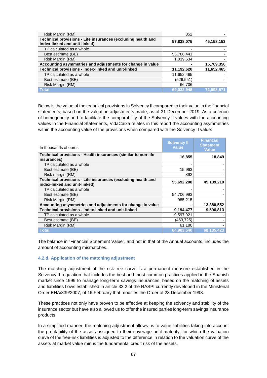| Risk Margin (RM)                                                                              | 852        |            |
|-----------------------------------------------------------------------------------------------|------------|------------|
| Technical provisions - Life insurances (excluding health and<br>index-linked and unit-linked) | 57,828,075 | 45,158,153 |
| TP calculated as a whole                                                                      |            |            |
| Best estimate (BE)                                                                            | 56,788,441 |            |
| Risk Margin (RM)                                                                              | 1,039,634  |            |
| Accounting asymmetries and adjustments for change in value                                    |            | 15,769,356 |
| Technical provisions - index-linked and unit-linked                                           | 11,192,620 | 11,652,465 |
| TP calculated as a whole                                                                      | 11,652,465 |            |
| Best estimate (BE)                                                                            | (526, 551) |            |
| Risk Margin (RM)                                                                              | 66,706     |            |
| <b>Total</b>                                                                                  | 69,032,948 | 72,598,871 |

Below is the value of the technical provisions in Solvency II compared to their value in the financial statements, based on the valuation adjustments made, as of 31 December 2019: As a criterion of homogeneity and to facilitate the comparability of the Solvency II values with the accounting values in the Financial Statements, VidaCaixa relates in this report the accounting asymmetries within the accounting value of the provisions when compared with the Solvency II value:

| In thousands of euros                                                                         | <b>Solvency II</b><br><b>Value</b> | <b>Financial</b><br><b>Statement</b><br><b>Value</b> |
|-----------------------------------------------------------------------------------------------|------------------------------------|------------------------------------------------------|
| Technical provisions - Health insurances (similar to non-life<br>insurances)                  | 16,855                             | 18,849                                               |
| TP calculated as a whole                                                                      |                                    |                                                      |
| Best estimate (BE)                                                                            | 15,963                             |                                                      |
| Risk margin (RM)                                                                              | 892                                |                                                      |
| Technical provisions - Life insurances (excluding health and<br>index-linked and unit-linked) | 55,692,208                         | 45,139,210                                           |
| TP calculated as a whole                                                                      |                                    |                                                      |
| Best estimate (BE)                                                                            | 54,706,993                         |                                                      |
| Risk Margin (RM)                                                                              | 985,215                            |                                                      |
| Accounting asymmetries and adjustments for change in value                                    |                                    | 13,380,552                                           |
| Technical provisions - index-linked and unit-linked                                           | 9,194,477                          | 9,596,813                                            |
| TP calculated as a whole                                                                      | 9,597,021                          |                                                      |
| Best estimate (BE)                                                                            | (463, 725)                         |                                                      |
| Risk Margin (RM)                                                                              | 61,180                             |                                                      |
| <b>Total</b>                                                                                  | 64,903,540                         | 68,135,423                                           |

The balance in "Financial Statement Value", and not in that of the Annual accounts, includes the amount of accounting mismatches.

#### **4.2.d. Application of the matching adjustment**

The matching adjustment of the risk-free curve is a permanent measure established in the Solvency II regulation that includes the best and most common practices applied in the Spanish market since 1999 to manage long-term savings insurances, based on the matching of assets and liabilities flows established in article 33.2 of the RASPI currently developed in the Ministerial Order EHA/339/2007, of 16 February that modifies the Order of 23 December 1998.

These practices not only have proven to be effective at keeping the solvency and stability of the insurance sector but have also allowed us to offer the insured parties long-term savings insurance products.

In a simplified manner, the matching adjustment allows us to value liabilities taking into account the profitability of the assets assigned to their coverage until maturity, for which the valuation curve of the free-risk liabilities is adjusted to the difference in relation to the valuation curve of the assets at market value minus the fundamental credit risk of the assets.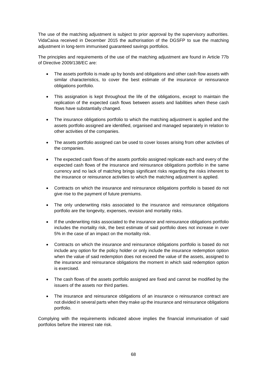The use of the matching adjustment is subject to prior approval by the supervisory authorities. VidaCaixa received in December 2015 the authorisation of the DGSFP to sue the matching adjustment in long-term immunised guaranteed savings portfolios.

The principles and requirements of the use of the matching adjustment are found in Article 77b of Directive 2009/138/EC are:

- The assets portfolio is made up by bonds and obligations and other cash flow assets with similar characteristics, to cover the best estimate of the insurance or reinsurance obligations portfolio.
- This assignation is kept throughout the life of the obligations, except to maintain the replication of the expected cash flows between assets and liabilities when these cash flows have substantially changed.
- The insurance obligations portfolio to which the matching adjustment is applied and the assets portfolio assigned are identified, organised and managed separately in relation to other activities of the companies.
- The assets portfolio assigned can be used to cover losses arising from other activities of the companies.
- The expected cash flows of the assets portfolio assigned replicate each and every of the expected cash flows of the insurance and reinsurance obligations portfolio in the same currency and no lack of matching brings significant risks regarding the risks inherent to the insurance or reinsurance activities to which the matching adjustment is applied.
- Contracts on which the insurance and reinsurance obligations portfolio is based do not give rise to the payment of future premiums.
- The only underwriting risks associated to the insurance and reinsurance obligations portfolio are the longevity, expenses, revision and mortality risks.
- If the underwriting risks associated to the insurance and reinsurance obligations portfolio includes the mortality risk, the best estimate of said portfolio does not increase in over 5% in the case of an impact on the mortality risk.
- Contracts on which the insurance and reinsurance obligations portfolio is based do not include any option for the policy holder or only include the insurance redemption option when the value of said redemption does not exceed the value of the assets, assigned to the insurance and reinsurance obligations the moment in which said redemption option is exercised.
- The cash flows of the assets portfolio assigned are fixed and cannot be modified by the issuers of the assets nor third parties.
- The insurance and reinsurance obligations of an insurance o reinsurance contract are not divided in several parts when they make up the insurance and reinsurance obligations portfolio.

Complying with the requirements indicated above implies the financial immunisation of said portfolios before the interest rate risk.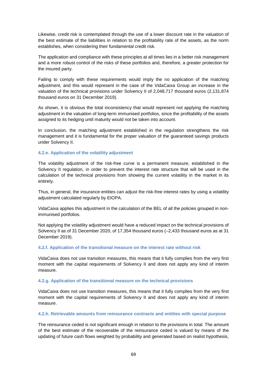Likewise, credit risk is contemplated through the use of a lower discount rate in the valuation of the best estimate of the liabilities in relation to the profitability rate of the assets, as the norm establishes, when considering their fundamental credit risk.

The application and compliance with these principles at all times lies in a better risk management and a more robust control of the risks of these portfolios and, therefore, a greater protection for the insured party.

Failing to comply with these requirements would imply the no application of the matching adjustment, and this would represent in the case of the VidaCaixa Group an increase in the valuation of the technical provisions under Solvency II of 2,048,717 thousand euros (2,131,874 thousand euros on 31 December 2019).

As shown, it is obvious the total inconsistency that would represent not applying the matching adjustment in the valuation of long-term immunised portfolios, since the profitability of the assets assigned to its hedging until maturity would not be taken into account.

In conclusion, the matching adjustment established in the regulation strengthens the risk management and it is fundamental for the proper valuation of the guaranteed savings products under Solvency II.

### **4.2.e. Application of the volatility adjustment**

The volatility adjustment of the risk-free curve is a permanent measure, established in the Solvency II regulation, in order to prevent the interest rate structure that will be used in the calculation of the technical provisions from showing the current volatility in the market in its entirety.

Thus, in general, the insurance entities can adjust the risk-free interest rates by using a volatility adjustment calculated regularly by EIOPA.

VidaCaixa applies this adjustment in the calculation of the BEL of all the policies grouped in nonimmunised portfolios.

Not applying the volatility adjustment would have a reduced impact on the technical provisions of Solvency II as of 31 December 2020, of 17,354 thousand euros (–2,433 thousand euros as at 31 December 2019).

### **4.2.f. Application of the transitional measure on the interest rate without risk**

VidaCaixa does not use transition measures, this means that it fully complies from the very first moment with the capital requirements of Solvency II and does not apply any kind of interim measure.

#### **4.2.g. Application of the transitional measure on the technical provisions**

VidaCaixa does not use transition measures, this means that it fully complies from the very first moment with the capital requirements of Solvency II and does not apply any kind of interim measure.

#### **4.2.h. Retrievable amounts from reinsurance contracts and entities with special purpose**

The reinsurance ceded is not significant enough in relation to the provisions in total. The amount of the best estimate of the recoverable of the reinsurance ceded is valued by means of the updating of future cash flows weighted by probability and generated based on realist hypothesis,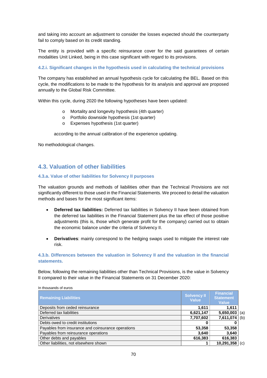and taking into account an adjustment to consider the losses expected should the counterparty fail to comply based on its credit standing.

The entity is provided with a specific reinsurance cover for the said guarantees of certain modalities Unit Linked, being in this case significant with regard to its provisions.

### **4.2.i. Significant changes in the hypothesis used in calculating the technical provisions**

The company has established an annual hypothesis cycle for calculating the BEL. Based on this cycle, the modifications to be made to the hypothesis for its analysis and approval are proposed annually to the Global Risk Committee.

Within this cycle, during 2020 the following hypotheses have been updated:

- o Mortality and longevity hypothesis (4th quarter)
- o Portfolio downside hypothesis (1st quarter)
- o Expenses hypothesis (1st quarter)

according to the annual calibration of the experience updating.

No methodological changes.

## **4.3. Valuation of other liabilities**

### **4.3.a. Value of other liabilities for Solvency II purposes**

The valuation grounds and methods of liabilities other than the Technical Provisions are not significantly different to those used in the Financial Statements. We proceed to detail the valuation methods and bases for the most significant items:

- **Deferred tax liabilities:** Deferred tax liabilities in Solvency II have been obtained from the deferred tax liabilities in the Financial Statement plus the tax effect of those positive adjustments (this is, those which generate profit for the company) carried out to obtain the economic balance under the criteria of Solvency II.
- **Derivatives**: mainly correspond to the hedging swaps used to mitigate the interest rate risk.

### **4.3.b. Differences between the valuation in Solvency II and the valuation in the financial statements.**

Below, following the remaining liabilities other than Technical Provisions, is the value in Solvency II compared to their value in the Financial Statements on 31 December 2020:

| <b>Remaining Liabilities</b>                       | <b>Solvency II</b><br><b>Value</b> | <b>Financial</b><br><b>Statement</b><br>Value |     |
|----------------------------------------------------|------------------------------------|-----------------------------------------------|-----|
| Deposits from ceded reinsurance                    | 1.611                              | 1,611                                         |     |
| Deferred tax liabilities                           | 6,621,147                          | 5,650,003                                     | (a) |
| <b>Derivatives</b>                                 | 7,707,602                          | 7,611,074                                     | (b) |
| Debts owed to credit institutions                  |                                    |                                               |     |
| Payables from insurance and coinsurance operations | 53,358                             | 53,358                                        |     |
| Payables from reinsurance operations               | 3,640                              | 3,640                                         |     |
| Other debts and payables                           | 616,383                            | 616,383                                       |     |
| Other liabilities, not elsewhere shown             |                                    | 10,291,358                                    | (c) |

#### In thousands of euros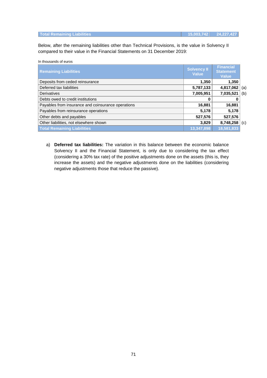| <b>Total Remaining Liabilities</b> | 15,003,742 24,227,427 |
|------------------------------------|-----------------------|
|                                    |                       |

Below, after the remaining liabilities other than Technical Provisions, is the value in Solvency II compared to their value in the Financial Statements on 31 December 2019:

| In thousands of euros |  |
|-----------------------|--|
|-----------------------|--|

| <b>Remaining Liabilities</b>                       | <b>Solvency II</b><br><b>Value</b> | <b>Financial</b><br><b>Statement</b><br><b>Value</b> |     |
|----------------------------------------------------|------------------------------------|------------------------------------------------------|-----|
| Deposits from ceded reinsurance                    | 1,350                              | 1,350                                                |     |
| Deferred tax liabilities                           | 5,787,133                          | 4,817,062                                            | (a) |
| Derivatives                                        | 7,005,951                          | 7,035,521                                            | (b) |
| Debts owed to credit institutions                  |                                    |                                                      |     |
| Payables from insurance and coinsurance operations | 16,881                             | 16,881                                               |     |
| Payables from reinsurance operations               | 5,178                              | 5,178                                                |     |
| Other debts and payables                           | 527,576                            | 527,576                                              |     |
| Other liabilities, not elsewhere shown             | 3,829                              | 8,748,258                                            | (c) |
| <b>Total Remaining Liabilities</b>                 | 13,347,898                         | 18,581,833                                           |     |

a) **Deferred tax liabilities:** The variation in this balance between the economic balance Solvency II and the Financial Statement, is only due to considering the tax effect (considering a 30% tax rate) of the positive adjustments done on the assets (this is, they increase the assets) and the negative adjustments done on the liabilities (considering negative adjustments those that reduce the passive).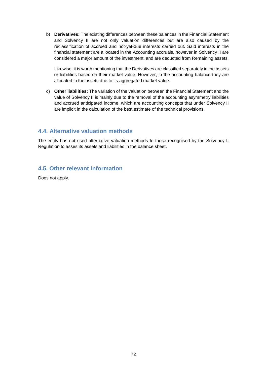b) **Derivatives:** The existing differences between these balances in the Financial Statement and Solvency II are not only valuation differences but are also caused by the reclassification of accrued and not-yet-due interests carried out. Said interests in the financial statement are allocated in the Accounting accruals, however in Solvency II are considered a major amount of the investment, and are deducted from Remaining assets.

Likewise, it is worth mentioning that the Derivatives are classified separately in the assets or liabilities based on their market value. However, in the accounting balance they are allocated in the assets due to its aggregated market value.

c) **Other liabilities:** The variation of the valuation between the Financial Statement and the value of Solvency II is mainly due to the removal of the accounting asymmetry liabilities and accrued anticipated income, which are accounting concepts that under Solvency II are implicit in the calculation of the best estimate of the technical provisions.

### **4.4. Alternative valuation methods**

The entity has not used alternative valuation methods to those recognised by the Solvency II Regulation to asses its assets and liabilities in the balance sheet.

## **4.5. Other relevant information**

Does not apply.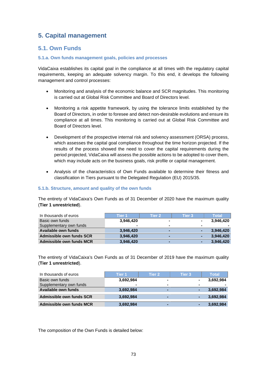## **5. Capital management**

## **5.1. Own Funds**

#### **5.1.a. Own funds management goals, policies and processes**

VidaCaixa establishes its capital goal in the compliance at all times with the regulatory capital requirements, keeping an adequate solvency margin. To this end, it develops the following management and control processes:

- Monitoring and analysis of the economic balance and SCR magnitudes. This monitoring is carried out at Global Risk Committee and Board of Directors level.
- Monitoring a risk appetite framework, by using the tolerance limits established by the Board of Directors, in order to foresee and detect non-desirable evolutions and ensure its compliance at all times. This monitoring is carried out at Global Risk Committee and Board of Directors level.
- Development of the prospective internal risk and solvency assessment (ORSA) process, which assesses the capital goal compliance throughout the time horizon projected. If the results of the process showed the need to cover the capital requirements during the period projected, VidaCaixa will assess the possible actions to be adopted to cover them, which may include acts on the business goals, risk profile or capital management.
- Analysis of the characteristics of Own Funds available to determine their fitness and classification in Tiers pursuant to the Delegated Regulation (EU) 2015/35.

#### **5.1.b. Structure, amount and quality of the own funds**

The entirety of VidaCaixa's Own Funds as of 31 December of 2020 have the maximum quality (**Tier 1 unrestricted**).

| In thousands of euros    | Tier 1         | Tier 2         | Tier 3         | Total     |
|--------------------------|----------------|----------------|----------------|-----------|
| <b>Basic own funds</b>   | 3,946,420      | $\blacksquare$ | $\blacksquare$ | 3,946,420 |
| Supplementary own funds  | $\blacksquare$ |                | $\blacksquare$ |           |
| Available own funds      | 3.946.420      | -              | $\blacksquare$ | 3.946.420 |
| Admissible own funds SCR | 3.946.420      | -              | $\blacksquare$ | 3.946.420 |
| Admissible own funds MCR | 3,946,420      | -              | $\blacksquare$ | 3,946,420 |

The entirety of VidaCaixa's Own Funds as of 31 December of 2019 have the maximum quality (**Tier 1 unrestricted**).

| In thousands of euros    | Tier 1         | Tier 2 | Tier 3         | <b>Total</b> |
|--------------------------|----------------|--------|----------------|--------------|
| Basic own funds          | 3,692,984      |        | $\blacksquare$ | 3,692,984    |
| Supplementary own funds  | $\blacksquare$ | -      |                |              |
| Available own funds      | 3.692.984      | -      |                | 3,692,984    |
| Admissible own funds SCR | 3.692.984      |        |                | 3,692,984    |
| Admissible own funds MCR | 3,692,984      | -      |                | 3,692,984    |

The composition of the Own Funds is detailed below: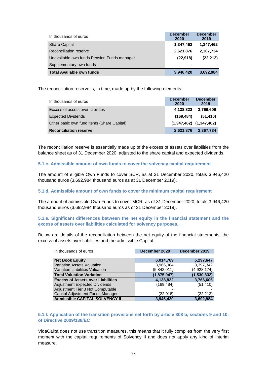| In thousands of euros                       | <b>December</b><br>2020 | <b>December</b><br>2019 |
|---------------------------------------------|-------------------------|-------------------------|
| <b>Share Capital</b>                        | 1,347,462               | 1,347,462               |
| Reconciliation reserve                      | 2,621,876               | 2,367,734               |
| Unavailable own funds Pension Funds manager | (22, 918)               | (22, 212)               |
| Supplementary own funds                     | $\blacksquare$          |                         |
| <b>Total Available own funds</b>            | 3,946,420               | 3,692,984               |

The reconciliation reserve is, in time, made up by the following elements:

| In thousands of euros                      | <b>December</b><br>2020     | <b>December</b><br>2019 |
|--------------------------------------------|-----------------------------|-------------------------|
| Excess of assets over liabilities          | 4,138,822                   | 3,766,606               |
| <b>Expected Dividends</b>                  | (169, 484)                  | (51, 410)               |
| Other basic own fund items (Share Capital) | $(1,347,462)$ $(1,347,462)$ |                         |
| <b>Reconciliation reserve</b>              | 2,621,876                   | 2,367,734               |

The reconciliation reserve is essentially made up of the excess of assets over liabilities from the balance sheet as of 31 December 2020, adjusted to the share capital and expected dividends.

#### **5.1.c. Admissible amount of own funds to cover the solvency capital requirement**

The amount of eligible Own Funds to cover SCR, as at 31 December 2020, totals 3,946,420 thousand euros (3,692,984 thousand euros as at 31 December 2019).

#### **5.1.d. Admissible amount of own funds to cover the minimum capital requirement**

The amount of admissible Own Funds to cover MCR, as of 31 December 2020, totals 3,946,420 thousand euros (3,692,984 thousand euros as of 31 December 2019).

**5.1.e. Significant differences between the net equity in the financial statement and the excess of assets over liabilities calculated for solvency purposes.** 

Below are details of the reconciliation between the net equity of the financial statements, the excess of assets over liabilities and the admissible Capital:

| In thousands of euros                    | December 2020 | December 2019 |
|------------------------------------------|---------------|---------------|
|                                          |               |               |
| <b>Net Book Equity</b>                   | 6,014,769     | 5,297,647     |
| <b>Variation Assets Valuation</b>        | 3,966,064     | 3,397,342     |
| Variation Liabilities Valuation          | (5,842,011)   | (4,928,174)   |
| <b>Total Valuation Variation</b>         | (1,875,947)   | (1,530,832)   |
| <b>Excess of Assets over Liabilities</b> | 4,138,822     | 3,766,606     |
| Adjustment Expected Dividends            | (169, 484)    | (51, 410)     |
| Adjustment Tier 3 Not Computable         |               |               |
| Capital Adjustment Funds Manager         | (22, 918)     | (22, 212)     |
| <b>Admissible CAPITAL SOLVENCY II</b>    | 3,946,420     | 3.692.984     |

#### **5.1.f. Application of the transition provisions set forth by article 308 b, sections 9 and 10, of Directive 2009/138/EC**

VidaCaixa does not use transition measures, this means that it fully complies from the very first moment with the capital requirements of Solvency II and does not apply any kind of interim measure.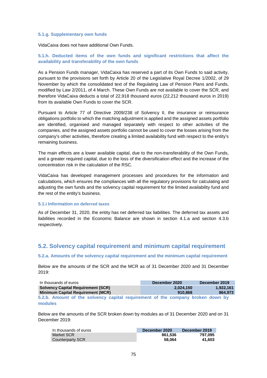#### **5.1.g. Supplementary own funds**

VidaCaixa does not have additional Own Funds.

#### **5.1.h. Deducted items of the own funds and significant restrictions that affect the availability and transferability of the own funds**

As a Pension Funds manager, VidaCaixa has reserved a part of its Own Funds to said activity, pursuant to the provisions set forth by Article 20 of the Legislative Royal Decree 1/2002, of 29 November by which the consolidated text of the Regulating Law of Pension Plans and Funds, modified by Law 2/2011, of 4 March. These Own Funds are not available to cover the SCR, and therefore VidaCaixa deducts a total of 22,918 thousand euros (22,212 thousand euros in 2019) from its available Own Funds to cover the SCR.

Pursuant to Article 77 of Directive 2009/238 of Solvency II, the insurance or reinsurance obligations portfolio to which the matching adjustment is applied and the assigned assets portfolio are identified, organised and managed separately with respect to other activities of the companies, and the assigned assets portfolio cannot be used to cover the losses arising from the company's other activities, therefore creating a limited availability fund with respect to the entity's remaining business.

The main effects are a lower available capital, due to the non-transferability of the Own Funds, and a greater required capital, due to the loss of the diversification effect and the increase of the concentration risk in the calculation of the RSC.

VidaCaixa has developed management processes and procedures for the information and calculations, which ensures the compliances with all the regulatory provisions for calculating and adjusting the own funds and the solvency capital requirement for the limited availability fund and the rest of the entity's business.

#### **5.1.i Information on deferred taxes**

As of December 31, 2020, the entity has net deferred tax liabilities. The deferred tax assets and liabilities recorded in the Economic Balance are shown in section 4.1.a and section 4.3.b respectively.

### **5.2. Solvency capital requirement and minimum capital requirement**

#### **5.2.a. Amounts of the solvency capital requirement and the minimum capital requirement**

Below are the amounts of the SCR and the MCR as of 31 December 2020 and 31 December 2019:

| In thousands of euros                                                                      | December 2020        | December 2019        |
|--------------------------------------------------------------------------------------------|----------------------|----------------------|
| <b>Solvency Capital Requirement (SCR)</b><br><b>Minimum Capital Requirement (MCR)</b>      | 2.024.150<br>910.868 | 1.922.161<br>864.973 |
| 5.2.b. Amount of the solvency capital requirement of the company broken down by<br>modules |                      |                      |

Below are the amounts of the SCR broken down by modules as of 31 December 2020 and on 31 December 2019:

| In thousands of euros | December 2020 | December 2019 |
|-----------------------|---------------|---------------|
| Market SCR            | 861.536       | 797.095       |
| Counterparty SCR      | 58.064        | 41.603        |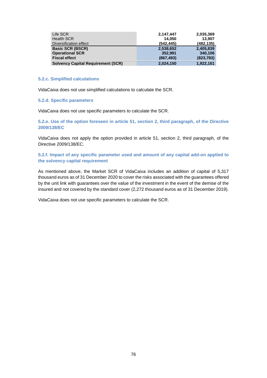| Life SCR                                  | 2,147,447  | 2,035,369  |
|-------------------------------------------|------------|------------|
| <b>Health SCR</b>                         | 14.050     | 13.907     |
| Diversification effect                    | (542.445)  | (482, 135) |
| <b>Basic SCR (BSCR)</b>                   | 2,538,652  | 2,405,839  |
| <b>Operational SCR</b>                    | 352.991    | 340.106    |
| <b>Fiscal effect</b>                      | (867, 493) | (823, 783) |
| <b>Solvency Capital Requirement (SCR)</b> | 2,024,150  | 1,922,161  |

#### **5.2.c. Simplified calculations**

VidaCaixa does not use simplified calculations to calculate the SCR.

#### **5.2.d. Specific parameters**

VidaCaixa does not use specific parameters to calculate the SCR.

**5.2.e. Use of the option foreseen in article 51, section 2, third paragraph, of the Directive 2009/138/EC** 

VidaCaixa does not apply the option provided in article 51, section 2, third paragraph, of the Directive 2009/138/EC.

**5.2.f. Impact of any specific parameter used and amount of any capital add-on applied to the solvency capital requirement** 

As mentioned above, the Market SCR of VidaCaixa includes an addition of capital of 5,317 thousand euros as of 31 December 2020 to cover the risks associated with the guarantees offered by the unit link with guarantees over the value of the investment in the event of the demise of the insured and not covered by the standard cover (2,272 thousand euros as of 31 December 2019).

VidaCaixa does not use specific parameters to calculate the SCR.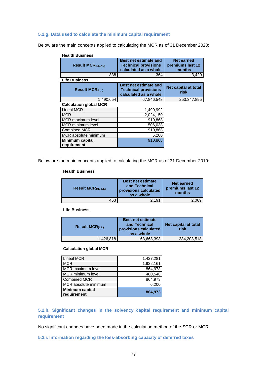#### **5.2.g. Data used to calculate the minimum capital requirement**

Below are the main concepts applied to calculating the MCR as of 31 December 2020:

| <b>Health Business</b>                |                                                                                      |                                          |
|---------------------------------------|--------------------------------------------------------------------------------------|------------------------------------------|
| <b>Result MCR(NL,NL)</b>              | <b>Best net estimate and</b><br><b>Technical provisions</b><br>calculated as a whole | Net earned<br>premiums last 12<br>months |
| 338                                   | 364                                                                                  | 3,420                                    |
| <b>Life Business</b>                  |                                                                                      |                                          |
| Result $MCR_{(L,L)}$                  | <b>Best net estimate and</b><br><b>Technical provisions</b><br>calculated as a whole | Net capital at total<br>risk             |
| 1,490,654                             | 67,846,548                                                                           | 253,347,895                              |
| <b>Calculation global MCR</b>         |                                                                                      |                                          |
| <b>Lineal MCR</b>                     | 1,490,992                                                                            |                                          |
| <b>MCR</b>                            | 2,024,150                                                                            |                                          |
| MCR maximum level                     | 910,868                                                                              |                                          |
| <b>MCR</b> minimum level              | 506,038                                                                              |                                          |
| <b>Combined MCR</b>                   | 910,868                                                                              |                                          |
| MCR absolute minimum                  | 6,200                                                                                |                                          |
| <b>Minimum capital</b><br>requirement | 910,868                                                                              |                                          |

Below are the main concepts applied to calculating the MCR as of 31 December 2019:

#### **Health Business**

| <b>Result MCR<sub>(NL,NL)</sub></b> | <b>Best net estimate</b><br>and Technical<br>provisions calculated<br>as a whole | <b>Net earned</b><br>premiums last 12<br>months |
|-------------------------------------|----------------------------------------------------------------------------------|-------------------------------------------------|
| 463                                 | 2.191                                                                            | 2,069                                           |

**Life Business**

| <b>Result MCR</b> ( $L$ , $L$ ) | <b>Best net estimate</b><br>and Technical<br>provisions calculated<br>as a whole | Net capital at total<br>risk |
|---------------------------------|----------------------------------------------------------------------------------|------------------------------|
| 1,426,818                       | 63,668,393                                                                       | 234, 203, 518                |

#### **Calculation global MCR**

| <b>Lineal MCR</b>                     | 1,427,281 |
|---------------------------------------|-----------|
| <b>MCR</b>                            | 1,922,161 |
| MCR maximum level                     | 864,973   |
| MCR minimum level                     | 480,540   |
| <b>Combined MCR</b>                   | 864,973   |
| MCR absolute minimum                  | 6,200     |
| <b>Minimum capital</b><br>requirement | 864,973   |

**5.2.h. Significant changes in the solvency capital requirement and minimum capital requirement** 

No significant changes have been made in the calculation method of the SCR or MCR.

**5.2.i. Information regarding the loss-absorbing capacity of deferred taxes**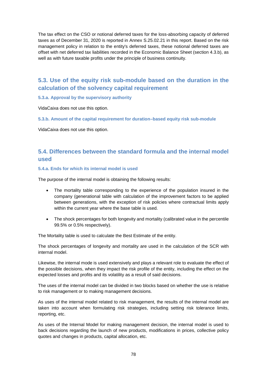The tax effect on the CSO or notional deferred taxes for the loss-absorbing capacity of deferred taxes as of December 31, 2020 is reported in Annex S.25.02.21 in this report. Based on the risk management policy in relation to the entity's deferred taxes, these notional deferred taxes are offset with net deferred tax liabilities recorded in the Economic Balance Sheet (section 4.3.b), as well as with future taxable profits under the principle of business continuity.

## **5.3. Use of the equity risk sub-module based on the duration in the calculation of the solvency capital requirement**

#### **5.3.a. Approval by the supervisory authority**

VidaCaixa does not use this option.

**5.3.b. Amount of the capital requirement for duration–based equity risk sub-module** 

VidaCaixa does not use this option.

## **5.4. Differences between the standard formula and the internal model used**

#### **5.4.a. Ends for which its internal model is used**

The purpose of the internal model is obtaining the following results:

- The mortality table corresponding to the experience of the population insured in the company (generational table with calculation of the improvement factors to be applied between generations, with the exception of risk policies where contractual limits apply within the current year where the base table is used.
- The shock percentages for both longevity and mortality (calibrated value in the percentile 99.5% or 0.5% respectively).

The Mortality table is used to calculate the Best Estimate of the entity.

The shock percentages of longevity and mortality are used in the calculation of the SCR with internal model.

Likewise, the internal mode is used extensively and plays a relevant role to evaluate the effect of the possible decisions, when they impact the risk profile of the entity, including the effect on the expected losses and profits and its volatility as a result of said decisions.

The uses of the internal model can be divided in two blocks based on whether the use is relative to risk management or to making management decisions.

As uses of the internal model related to risk management, the results of the internal model are taken into account when formulating risk strategies, including setting risk tolerance limits, reporting, etc.

As uses of the Internal Model for making management decision, the internal model is used to back decisions regarding the launch of new products, modifications in prices, collective policy quotes and changes in products, capital allocation, etc.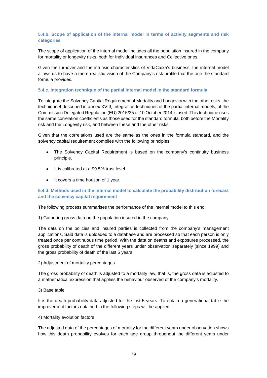#### **5.4.b. Scope of application of the internal model in terms of activity segments and risk categories**

The scope of application of the internal model includes all the population insured in the company for mortality or longevity risks, both for Individual insurances and Collective ones.

Given the turnover and the intrinsic characteristics of VidaCaixa's business, the internal model allows us to have a more realistic vision of the Company's risk profile that the one the standard formula provides.

#### **5.4.c. Integration technique of the partial internal model in the standard formula**

To integrate the Solvency Capital Requirement of Mortality and Longevity with the other risks, the technique 4 described in annex XVIII, Integration techniques of the partial internal models, of the Commission Delegated Regulation (EU) 2015/35 of 10 October 2014 is used. This technique uses the same correlation coefficients as those used for the standard formula, both before the Mortality risk and the Longevity risk, and between these and the other risks.

Given that the correlations used are the same as the ones in the formula standard, and the solvency capital requirement complies with the following principles:

- The Solvency Capital Requirement is based on the company's continuity business principle.
- It is calibrated at a 99.5% trust level.
- It covers a time horizon of 1 year.

#### **5.4.d. Methods used in the internal model to calculate the probability distribution forecast and the solvency capital requirement**

The following process summarises the performance of the internal model to this end:

#### 1) Gathering gross data on the population insured in the company

The data on the policies and insured parties is collected from the company's management applications. Said data is uploaded to a database and are processed so that each person is only treated once per continuous time period. With the data on deaths and exposures processed, the gross probability of death of the different years under observation separately (since 1999) and the gross probability of death of the last 5 years.

#### 2) Adjustment of mortality percentages

The gross probability of death is adjusted to a mortality law, that is, the gross data is adjusted to a mathematical expression that applies the behaviour observed of the company's mortality.

3) Base table

It is the death probability data adjusted for the last 5 years. To obtain a generational table the improvement factors obtained in the following steps will be applied.

#### 4) Mortality evolution factors

The adjusted data of the percentages of mortality for the different years under observation shows how this death probability evolves for each age group throughout the different years under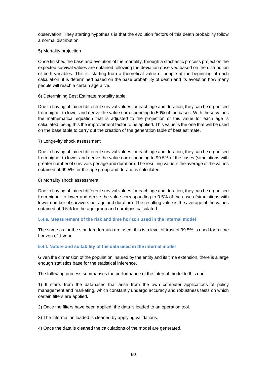observation. They starting hypothesis is that the evolution factors of this death probability follow a normal distribution.

#### 5) Mortality projection

Once finished the base and evolution of the mortality, through a stochastic process projection the expected survival values are obtained following the deviation observed based on the distribution of both variables. This is, starting from a theoretical value of people at the beginning of each calculation, it is determined based on the base probability of death and its evolution how many people will reach a certain age alive.

#### 6) Determining Best Estimate mortality table

Due to having obtained different survival values for each age and duration, they can be organised from higher to lower and derive the value corresponding to 50% of the cases. With these values the mathematical equation that is adjusted to the projection of this value for each age is calculated, being this the improvement factor to be applied. This value is the one that will be used on the base table to carry out the creation of the generation table of best estimate.

#### 7) Longevity shock assessment

Due to having obtained different survival values for each age and duration, they can be organised from higher to lower and derive the value corresponding to 99.5% of the cases (simulations with greater number of survivors per age and duration). The resulting value is the average of the values obtained at 99.5% for the age group and durations calculated.

#### 8) Mortality shock assessment

Due to having obtained different survival values for each age and duration, they can be organised from higher to lower and derive the value corresponding to 0.5% of the cases (simulations with lower number of survivors per age and duration). The resulting value is the average of the values obtained at 0.5% for the age group and durations calculated.

#### **5.4.e. Measurement of the risk and time horizon used in the internal model**

The same as for the standard formula are used, this is a level of trust of 99.5% is used for a time horizon of 1 year.

#### **5.4.f. Nature and suitability of the data used in the internal model**

Given the dimension of the population insured by the entity and its time extension, there is a large enough statistics base for the statistical inference.

The following process summarises the performance of the internal model to this end:

1) It starts from the databases that arise from the own computer applications of policy management and marketing, which constantly undergo accuracy and robustness tests on which certain filters are applied.

2) Once the filters have been applied, the data is loaded to an operation tool.

3) The information loaded is cleaned by applying validations.

4) Once the data is cleaned the calculations of the model are generated.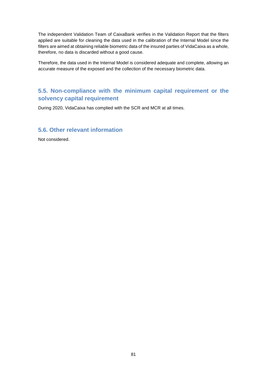The independent Validation Team of CaixaBank verifies in the Validation Report that the filters applied are suitable for cleaning the data used in the calibration of the Internal Model since the filters are aimed at obtaining reliable biometric data of the insured parties of VidaCaixa as a whole, therefore, no data is discarded without a good cause.

Therefore, the data used in the Internal Model is considered adequate and complete, allowing an accurate measure of the exposed and the collection of the necessary biometric data.

## **5.5. Non-compliance with the minimum capital requirement or the solvency capital requirement**

During 2020, VidaCaixa has complied with the SCR and MCR at all times.

### **5.6. Other relevant information**

Not considered.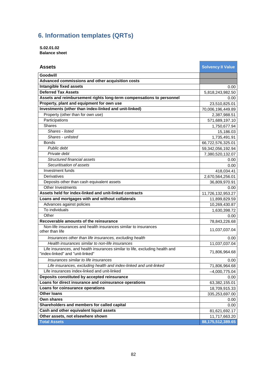## **6. Information templates (QRTs)**

**S.02.01.02 Balance sheet** 

| <b>Assets</b>                                                                                                    | <b>Solvency II Value</b> |
|------------------------------------------------------------------------------------------------------------------|--------------------------|
| Goodwill                                                                                                         |                          |
| Advanced commissions and other acquisition costs                                                                 |                          |
| Intangible fixed assets                                                                                          | 0.00                     |
| <b>Deferred Tax Assets</b>                                                                                       | 5,818,243,982.50         |
| Assets and reimbursement rights long-term compensations to personnel                                             | 0.00                     |
| Property, plant and equipment for own use                                                                        | 23,510,825.01            |
| Investments (other than index-linked and unit-linked)                                                            | 70,006,196,449.89        |
| Property (other than for own use)                                                                                | 2,387,988.51             |
| Participations                                                                                                   | 571,689,197.10           |
| <b>Shares</b>                                                                                                    | 1,750,677.94             |
| Shares - listed                                                                                                  | 15,186.03                |
| Shares - unlisted                                                                                                | 1,735,491.91             |
| <b>Bonds</b>                                                                                                     | 66,722,576,325.01        |
| Public debt                                                                                                      | 59,342,056,192.94        |
| Private debt                                                                                                     | 7,380,520,132.07         |
| Structured financial assets                                                                                      | 0.00                     |
| Securitisation of assets                                                                                         | 0.00                     |
| Investment funds                                                                                                 | 418,034.41               |
| Derivatives                                                                                                      | 2,670,564,256.01         |
| Deposits other than cash equivalent assets                                                                       | 36,809,970.91            |
| Other Investments                                                                                                | 0.00                     |
| Assets held for index-linked and unit-linked contracts                                                           | 11,726,132,953.27        |
| Loans and mortgages with and without collaterals                                                                 | 11,899,829.59            |
| Advances against policies                                                                                        | 10,269,430.87            |
| To individuals                                                                                                   | 1,630,398.72             |
| Other                                                                                                            | 0.00                     |
| Recoverable amounts of the reinsurance                                                                           | 78,843,226.68            |
| Non-life insurances and health insurances similar to insurances<br>other than life                               | 11,037,037.04            |
| Insurances other than life insurances, excluding health                                                          | 0.00                     |
| Health insurances similar to non-life insurances                                                                 | 11,037,037.04            |
| Life insurances, and health insurances similar to life, excluding health and<br>"index-linked" and "unit-linked" | 71,806,964.68            |
| Insurances similar to life insurances                                                                            | $0.00\,$                 |
| Life insurances, excluding health and index-linked and unit-linked                                               | 71,806,964.68            |
| Life insurances index-linked and unit-linked                                                                     | $-4,000,775.04$          |
| Deposits constituted by accepted reinsurance                                                                     | 0.00                     |
| Loans for direct insurance and coinsurance operations                                                            | 63,382,155.01            |
| Loans for coinsurance operations                                                                                 | 18,709,915.33            |
| <b>Other loans</b>                                                                                               | 335,253,697.00           |
| <b>Own shares</b>                                                                                                | 0.00                     |
| Shareholders and members for called capital                                                                      | 0.00                     |
| Cash and other equivalent liquid assets                                                                          | 81,621,692.17            |
| Other assets, not elsewhere shown                                                                                | 11,717,663.20            |
| <b>Total Assets</b>                                                                                              | 88,175,512,389.65        |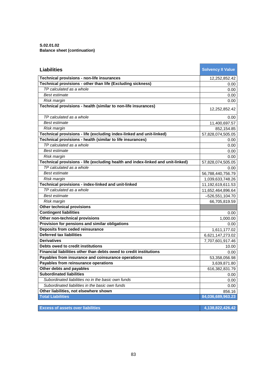**S.02.01.02 Balance sheet (continuation)** 

| <b>Liabilities</b>                                                              | <b>Solvency II Value</b> |
|---------------------------------------------------------------------------------|--------------------------|
| Technical provisions - non-life insurances                                      | 12,252,852.42            |
| Technical provisions - other than life (Excluding sickness)                     | 0.00                     |
| TP calculated as a whole                                                        | 0.00                     |
| Best estimate                                                                   | 0.00                     |
| Risk margin                                                                     | 0.00                     |
| Technical provisions - health (similar to non-life insurances)                  | 12,252,852.42            |
| TP calculated as a whole                                                        | 0.00                     |
| Best estimate                                                                   | 11,400,697.57            |
| Risk margin                                                                     | 852,154.85               |
| Technical provisions - life (excluding index-linked and unit-linked)            | 57,828,074,505.05        |
| Technical provisions - health (similar to life insurances)                      | 0.00                     |
| TP calculated as a whole                                                        | 0.00                     |
| Best estimate                                                                   | 0.00                     |
| Risk margin                                                                     | 0.00                     |
| Technical provisions - life (excluding health and index-linked and unit-linked) | 57,828,074,505.05        |
| TP calculated as a whole                                                        | 0.00                     |
| Best estimate                                                                   | 56,788,440,756.79        |
| Risk margin                                                                     | 1,039,633,748.26         |
| Technical provisions - index-linked and unit-linked                             | 11,192,619,611.53        |
| TP calculated as a whole                                                        | 11,652,464,896.64        |
| Best estimate                                                                   | $-526,551,104.70$        |
| Risk margin                                                                     | 66,705,819.59            |
| Other technical provisions                                                      |                          |
| <b>Contingent liabilities</b>                                                   | 0.00                     |
| Other non-technical provisions                                                  | 1,000.00                 |
| Provision for pensions and similar obligations                                  | 0.00                     |
| Deposits from ceded reinsurance                                                 | 1,611,177.02             |
| <b>Deferred tax liabilities</b>                                                 | 6,621,147,273.02         |
| <b>Derivatives</b>                                                              | 7,707,601,917.46         |
| Debts owed to credit institutions                                               | 10.00                    |
| Financial liabilities other than debts owed to credit institutions              | 0.00                     |
| Payables from insurance and coinsurance operations                              | 53,358,056.98            |
| Payables from reinsurance operations                                            | 3,639,871.80             |
| Other debts and payables                                                        | 616,382,831.79           |
| <b>Subordinated liabilities</b>                                                 | 0.00                     |
| Subordinated liabilities no in the basic own funds                              | 0.00                     |
| Subordinated liabilities in the basic own funds                                 | 0.00                     |
| Other liabilities, not elsewhere shown                                          | 856.16                   |
| <b>Total Liabilities</b>                                                        | 84,036,689,963.23        |

**Excess of assets over liabilities 4,138,822,426.42**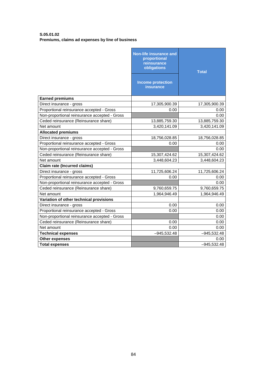#### **S.05.01.02 Premiums, claims ad expenses by line of business**

|                                               | <b>Non-life insurance and</b><br>proportional<br>reinsurance<br>obligations<br><b>Income protection</b> | <b>Total</b>  |
|-----------------------------------------------|---------------------------------------------------------------------------------------------------------|---------------|
|                                               | <b>insurance</b>                                                                                        |               |
| <b>Earned premiums</b>                        |                                                                                                         |               |
| Direct insurance - gross                      | 17,305,900.39                                                                                           | 17,305,900.39 |
| Proportional reinsurance accepted - Gross     | 0.00                                                                                                    | 0.00          |
| Non-proportional reinsurance accepted - Gross |                                                                                                         | 0.00          |
| Ceded reinsurance (Reinsurance share)         | 13,885,759.30                                                                                           | 13,885,759.30 |
| Net amount                                    | 3,420,141.09                                                                                            | 3,420,141.09  |
| <b>Allocated premiums</b>                     |                                                                                                         |               |
| Direct insurance - gross                      | 18,756,028.85                                                                                           | 18,756,028.85 |
| Proportional reinsurance accepted - Gross     | 0.00                                                                                                    | 0.00          |
| Non-proportional reinsurance accepted - Gross |                                                                                                         | 0.00          |
| Ceded reinsurance (Reinsurance share)         | 15,307,424.62                                                                                           | 15,307,424.62 |
| Net amount                                    | 3,448,604.23                                                                                            | 3,448,604.23  |
| <b>Claim rate (Incurred claims)</b>           |                                                                                                         |               |
| Direct insurance - gross                      | 11,725,606.24                                                                                           | 11,725,606.24 |
| Proportional reinsurance accepted - Gross     | 0.00                                                                                                    | 0.00          |
| Non-proportional reinsurance accepted - Gross |                                                                                                         | 0.00          |
| Ceded reinsurance (Reinsurance share)         | 9,760,659.75                                                                                            | 9,760,659.75  |
| Net amount                                    | 1,964,946.49                                                                                            | 1,964,946.49  |
| Variation of other technical provisions       |                                                                                                         |               |
| Direct insurance - gross                      | 0.00                                                                                                    | 0.00          |
| Proportional reinsurance accepted - Gross     | 0.00                                                                                                    | 0.00          |
| Non-proportional reinsurance accepted - Gross |                                                                                                         | 0.00          |
| Ceded reinsurance (Reinsurance share)         | 0.00                                                                                                    | 0.00          |
| Net amount                                    | 0.00                                                                                                    | 0.00          |
| <b>Technical expenses</b>                     | $-945,532.48$                                                                                           | $-945,532.48$ |
| <b>Other expenses</b>                         |                                                                                                         | 0.00          |
| <b>Total expenses</b>                         |                                                                                                         | $-945,532.48$ |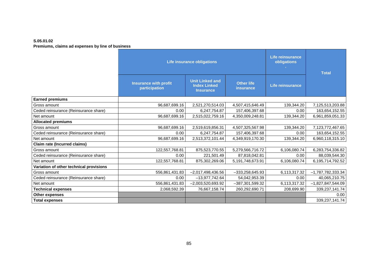#### **S.05.01.02 Premiums, claims ad expenses by line of business**

|                                         | <b>Life insurance obligations</b>             |                                                                   | <b>Life reinsurance</b><br>obligations | <b>Total</b>     |                     |
|-----------------------------------------|-----------------------------------------------|-------------------------------------------------------------------|----------------------------------------|------------------|---------------------|
|                                         | <b>Insurance with profit</b><br>participation | <b>Unit Linked and</b><br><b>Index Linked</b><br><b>Insurance</b> | <b>Other life</b><br>insurance         | Life reinsurance |                     |
| <b>Earned premiums</b>                  |                                               |                                                                   |                                        |                  |                     |
| Gross amount                            | 96,687,699.16                                 | 2,521,270,514.03                                                  | 4,507,415,646.49                       | 139,344.20       | 7,125,513,203.88    |
| Ceded reinsurance (Reinsurance share)   | 0.00                                          | 6,247,754.87                                                      | 157,406,397.68                         | 0.00             | 163,654,152.55      |
| Net amount                              | 96,687,699.16                                 | 2,515,022,759.16                                                  | 4,350,009,248.81                       | 139,344.20       | 6,961,859,051.33    |
| <b>Allocated premiums</b>               |                                               |                                                                   |                                        |                  |                     |
| Gross amount                            | 96,687,699.16                                 | 2,519,619,856.31                                                  | 4,507,325,567.98                       | 139,344.20       | 7,123,772,467.65    |
| Ceded reinsurance (Reinsurance share)   | 0.00                                          | 6,247,754.87                                                      | 157,406,397.68                         | 0.00             | 163,654,152.55      |
| Net amount                              | 96,687,699.16                                 | 2,513,372,101.44                                                  | 4,349,919,170.30                       | 139,344.20       | 6,960,118,315.10    |
| <b>Claim rate (Incurred claims)</b>     |                                               |                                                                   |                                        |                  |                     |
| Gross amount                            | 122,557,768.81                                | 875,523,770.55                                                    | 5,279,566,716.72                       | 6,106,080.74     | 6,283,754,336.82    |
| Ceded reinsurance (Reinsurance share)   | 0.00                                          | 221,501.49                                                        | 87,818,042.81                          | 0.00             | 88,039,544.30       |
| Net amount                              | 122,557,768.81                                | 875,302,269.06                                                    | 5,191,748,673.91                       | 6,106,080.74     | 6,195,714,792.52    |
| Variation of other technical provisions |                                               |                                                                   |                                        |                  |                     |
| Gross amount                            | 556,861,431.83                                | $-2,017,498,436.56$                                               | $-333,258,645.93$                      | 6,113,317.32     | $-1,787,782,333.34$ |
| Ceded reinsurance (Reinsurance share)   | 0.00                                          | $-13,977,742.64$                                                  | 54,042,953.39                          | 0.00             | 40,065,210.75       |
| Net amount                              | 556,861,431.83                                | $-2,003,520,693.92$                                               | -387,301,599.32                        | 6,113,317.32     | $-1,827,847,544.09$ |
| <b>Technical expenses</b>               | 2,068,592.39                                  | 76,667,158.74                                                     | 260,292,690.71                         | 208,699.90       | 339,237,141.74      |
| <b>Other expenses</b>                   |                                               |                                                                   |                                        |                  | 0.00                |
| <b>Total expenses</b>                   |                                               |                                                                   |                                        |                  | 339,237,141.74      |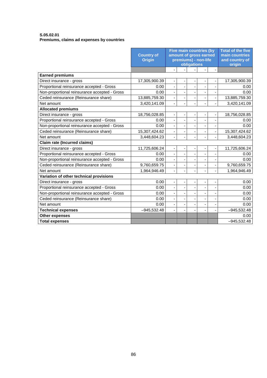#### **S.05.02.01 Premiums, claims ad expenses by countries**

|                                               | <b>Country of</b><br><b>Origin</b> |                          | <b>Five main countries (by</b><br>amount of gross earned<br>premiums) - non-life | obligations                  |                              |                          | <b>Total of the five</b><br>main countries<br>and country of<br>origin |
|-----------------------------------------------|------------------------------------|--------------------------|----------------------------------------------------------------------------------|------------------------------|------------------------------|--------------------------|------------------------------------------------------------------------|
|                                               |                                    | L.                       |                                                                                  | $\blacksquare$               | $\blacksquare$               | $\overline{\phantom{a}}$ |                                                                        |
| <b>Earned premiums</b>                        |                                    |                          |                                                                                  |                              |                              |                          |                                                                        |
| Direct insurance - gross                      | 17,305,900.39                      |                          |                                                                                  |                              |                              |                          | 17,305,900.39                                                          |
| Proportional reinsurance accepted - Gross     | 0.00                               |                          |                                                                                  | ÷,                           |                              |                          | 0.00                                                                   |
| Non-proportional reinsurance accepted - Gross | 0.00                               |                          |                                                                                  | ÷                            |                              |                          | 0.00                                                                   |
| Ceded reinsurance (Reinsurance share)         | 13,885,759.30                      | $\overline{\phantom{0}}$ |                                                                                  |                              |                              |                          | 13,885,759.30                                                          |
| Net amount                                    | 3,420,141.09                       | L.                       |                                                                                  | ÷,                           |                              |                          | 3,420,141.09                                                           |
| <b>Allocated premiums</b>                     |                                    |                          |                                                                                  |                              |                              |                          |                                                                        |
| Direct insurance - gross                      | 18,756,028.85                      | $\overline{\phantom{a}}$ | -                                                                                | -                            | $\qquad \qquad \blacksquare$ |                          | 18,756,028.85                                                          |
| Proportional reinsurance accepted - Gross     | 0.00                               |                          |                                                                                  |                              |                              |                          | 0.00                                                                   |
| Non-proportional reinsurance accepted - Gross | 0.00                               |                          |                                                                                  |                              |                              |                          | 0.00                                                                   |
| Ceded reinsurance (Reinsurance share)         | 15,307,424.62                      | $\frac{1}{2}$            |                                                                                  | ٠                            |                              |                          | 15,307,424.62                                                          |
| Net amount                                    | 3,448,604.23                       |                          |                                                                                  |                              |                              |                          | 3,448,604.23                                                           |
| <b>Claim rate (Incurred claims)</b>           |                                    |                          |                                                                                  |                              |                              |                          |                                                                        |
| Direct insurance - gross                      | 11,725,606.24                      | $\overline{\phantom{a}}$ |                                                                                  | $\qquad \qquad \blacksquare$ | $\overline{\phantom{a}}$     |                          | 11,725,606.24                                                          |
| Proportional reinsurance accepted - Gross     | 0.00                               |                          |                                                                                  | ÷,                           |                              |                          | 0.00                                                                   |
| Non-proportional reinsurance accepted - Gross | 0.00                               |                          |                                                                                  |                              |                              |                          | 0.00                                                                   |
| Ceded reinsurance (Reinsurance share)         | 9,760,659.75                       | $\overline{\phantom{a}}$ |                                                                                  | ÷                            |                              |                          | 9,760,659.75                                                           |
| Net amount                                    | 1,964,946.49                       |                          |                                                                                  | ÷,                           |                              |                          | 1,964,946.49                                                           |
| Variation of other technical provisions       |                                    |                          |                                                                                  |                              |                              |                          |                                                                        |
| Direct insurance - gross                      | 0.00                               |                          |                                                                                  | ÷                            |                              |                          | 0.00                                                                   |
| Proportional reinsurance accepted - Gross     | 0.00                               | ä,                       |                                                                                  | ÷,                           |                              |                          | 0.00                                                                   |
| Non-proportional reinsurance accepted - Gross | 0.00                               |                          |                                                                                  | -                            |                              |                          | 0.00                                                                   |
| Ceded reinsurance (Reinsurance share)         | 0.00                               | $\overline{\phantom{0}}$ |                                                                                  | ÷                            |                              |                          | 0.00                                                                   |
| Net amount                                    | 0.00                               |                          |                                                                                  | $\overline{\phantom{a}}$     |                              |                          | 0.00                                                                   |
| <b>Technical expenses</b>                     | $-945,532.48$                      |                          | ٠                                                                                | ÷                            |                              |                          | $-945,532.48$                                                          |
| <b>Other expenses</b>                         |                                    |                          |                                                                                  |                              |                              |                          | 0.00                                                                   |
| <b>Total expenses</b>                         |                                    |                          |                                                                                  |                              |                              |                          | $-945,532.48$                                                          |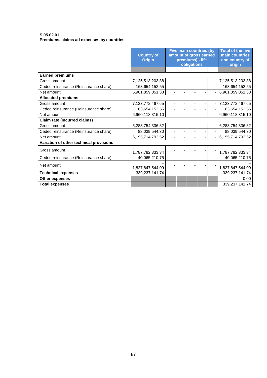#### **S.05.02.01 Premiums, claims ad expenses by countries**

|                                         | <b>Country of</b><br><b>Origin</b> | <b>Five main countries (by</b><br>amount of gross earned<br>premiums) - life | obligations |  | <b>Total of the five</b><br>main countries<br>and country of<br>origin |
|-----------------------------------------|------------------------------------|------------------------------------------------------------------------------|-------------|--|------------------------------------------------------------------------|
|                                         |                                    |                                                                              |             |  |                                                                        |
| <b>Earned premiums</b>                  |                                    |                                                                              |             |  |                                                                        |
| Gross amount                            | 7,125,513,203.88                   |                                                                              |             |  | 7,125,513,203.88                                                       |
| Ceded reinsurance (Reinsurance share)   | 163,654,152.55                     |                                                                              |             |  | 163,654,152.55                                                         |
| Net amount                              | 6,961,859,051.33                   |                                                                              |             |  | 6,961,859,051.33                                                       |
| <b>Allocated premiums</b>               |                                    |                                                                              |             |  |                                                                        |
| Gross amount                            | 7,123,772,467.65                   |                                                                              |             |  | 7,123,772,467.65                                                       |
| Ceded reinsurance (Reinsurance share)   | 163,654,152.55                     |                                                                              |             |  | 163,654,152.55                                                         |
| Net amount                              | 6,960,118,315.10                   |                                                                              |             |  | 6,960,118,315.10                                                       |
| <b>Claim rate (Incurred claims)</b>     |                                    |                                                                              |             |  |                                                                        |
| Gross amount                            | 6,283,754,336.82                   |                                                                              |             |  | 6,283,754,336.82                                                       |
| Ceded reinsurance (Reinsurance share)   | 88,039,544.30                      |                                                                              |             |  | 88,039,544.30                                                          |
| Net amount                              | 6,195,714,792.52                   |                                                                              |             |  | 6,195,714,792.52                                                       |
| Variation of other technical provisions |                                    |                                                                              |             |  |                                                                        |
| Gross amount                            | 1,787,782,333.34                   |                                                                              |             |  | 1,787,782,333.34                                                       |
| Ceded reinsurance (Reinsurance share)   | 40,065,210.75                      |                                                                              |             |  | 40,065,210.75                                                          |
| Net amount                              | 1,827,847,544.09                   |                                                                              |             |  | 1,827,847,544.09                                                       |
| <b>Technical expenses</b>               | 339,237,141.74                     |                                                                              |             |  | 339,237,141.74                                                         |
| Other expenses                          |                                    |                                                                              |             |  | 0.00                                                                   |
| <b>Total expenses</b>                   |                                    |                                                                              |             |  | 339,237,141.74                                                         |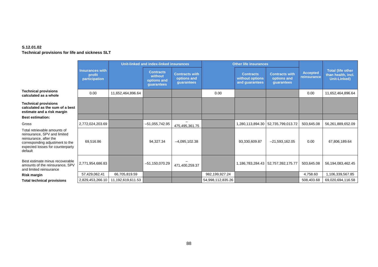## **S.12.01.02**

**Technical provisions for life and sickness SLT**

|                                                                                                                                                                          | Unit-linked and index-linked insurances    |                   |                                                          |                                                    | <b>Other life insurances</b> |                                                       |                                                    |                                |                                                                       |
|--------------------------------------------------------------------------------------------------------------------------------------------------------------------------|--------------------------------------------|-------------------|----------------------------------------------------------|----------------------------------------------------|------------------------------|-------------------------------------------------------|----------------------------------------------------|--------------------------------|-----------------------------------------------------------------------|
|                                                                                                                                                                          | Insurances with<br>profit<br>participation |                   | <b>Contracts</b><br>without<br>options and<br>guarantees | <b>Contracts with</b><br>options and<br>guarantees |                              | <b>Contracts</b><br>without options<br>and guarantees | <b>Contracts with</b><br>options and<br>guarantees | <b>Accepted</b><br>reinsurance | <b>Total (life other</b><br>than health, incl.<br><b>Unit-Linked)</b> |
| <b>Technical provisions</b><br>calculated as a whole                                                                                                                     | 0.00                                       | 11,652,464,896.64 |                                                          |                                                    | 0.00                         |                                                       |                                                    | 0.00                           | 11,652,464,896.64                                                     |
| <b>Technical provisions</b><br>calculated as the sum of a best<br>estimate and a risk margin                                                                             |                                            |                   |                                                          |                                                    |                              |                                                       |                                                    |                                |                                                                       |
| <b>Best estimation:</b>                                                                                                                                                  |                                            |                   |                                                          |                                                    |                              |                                                       |                                                    |                                |                                                                       |
| Gross                                                                                                                                                                    | 2,772,024,203.69                           |                   | $-51,055,742.95$                                         | 475,495,361.75                                     |                              |                                                       | 1,280,113,894.30   52,735,799,013.72               | 503,645.08                     | 56,261,889,652.09                                                     |
| Total retrievable amounts of<br>reinsurance, SPV and limited<br>reinsurance, after the<br>corresponding adjustment to the<br>expected losses for counterparty<br>default | 69,516.86                                  |                   | 94,327.34                                                | $-4,095,102.38$                                    |                              | 93,330,609.87                                         | $-21,593,162.05$                                   | 0.00                           | 67,806,189.64                                                         |
| Best estimate minus recoverable<br>amounts of the reinsurance, SPV<br>and limited reinsurance                                                                            | 2,771,954,686.83                           |                   | $-51, 150, 070.29$                                       | 471,400,259.37                                     |                              |                                                       | 1,186,783,284.43 52,757,392,175.77                 | 503,645.08                     | 56,194,083,462.45                                                     |
| <b>Risk margin</b>                                                                                                                                                       | 57,429,062.41                              | 66,705,819.59     |                                                          |                                                    | 982,199,927.24               |                                                       |                                                    | 4,758.60                       | 1,106,339,567.85                                                      |
| <b>Total technical provisions</b>                                                                                                                                        | 2,829,453,266.10                           | 11,192,619,611.53 |                                                          |                                                    | 54,998,112,835.26            |                                                       |                                                    | 508,403.68                     | 69,020,694,116.58                                                     |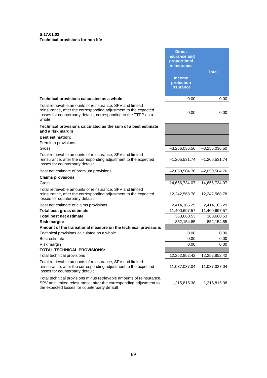**S.17.01.02 Technical provisions for non-life** 

|                                                                                                                                                                                                          | <b>Direct</b><br>insurance and<br>proportional<br>reinsurance |                 |
|----------------------------------------------------------------------------------------------------------------------------------------------------------------------------------------------------------|---------------------------------------------------------------|-----------------|
|                                                                                                                                                                                                          | <b>Income</b><br>protection<br>insurance                      | <b>Total</b>    |
| Technical provisions calculated as a whole                                                                                                                                                               | 0.00                                                          | 0.00            |
| Total retrievable amounts of reinsurance, SPV and limited<br>reinsurance, after the corresponding adjustment to the expected<br>losses for counterparty default, corresponding to the TTPP as a<br>whole | 0.00                                                          | 0.00            |
| Technical provisions calculated as the sum of a best estimate<br>and a risk margin                                                                                                                       |                                                               |                 |
| <b>Best estimation:</b>                                                                                                                                                                                  |                                                               |                 |
| Premium provisions                                                                                                                                                                                       |                                                               |                 |
| Gross                                                                                                                                                                                                    | $-3,256,036.50$                                               | $-3,256,036.50$ |
| Total retrievable amounts of reinsurance, SPV and limited<br>reinsurance, after the corresponding adjustment to the expected<br>losses for counterparty default                                          | $-1,205,531.74$                                               | $-1,205,531.74$ |
| Best net estimate of premium provisions                                                                                                                                                                  | $-2,050,504.76$                                               | $-2,050,504.76$ |
| <b>Claims provisions</b>                                                                                                                                                                                 |                                                               |                 |
| Gross                                                                                                                                                                                                    | 14,656,734.07                                                 | 14,656,734.07   |
| Total retrievable amounts of reinsurance, SPV and limited<br>reinsurance, after the corresponding adjustment to the expected<br>losses for counterparty default                                          | 12,242,568.78                                                 | 12,242,568.78   |
| Best net estimate of claims provisions                                                                                                                                                                   | 2,414,165.29                                                  | 2,414,165.29    |
| <b>Total best gross estimate</b>                                                                                                                                                                         | 11,400,697.57                                                 | 11,400,697.57   |
| <b>Total best net estimate</b>                                                                                                                                                                           | 363,660.53                                                    | 363,660.53      |
| <b>Risk margin:</b>                                                                                                                                                                                      | 852,154.85                                                    | 852,154.85      |
| Amount of the transitional measure on the technical provisions                                                                                                                                           |                                                               |                 |
| Technical provisions calculated as a whole                                                                                                                                                               | 0.00                                                          | 0.00            |
| Best estimate                                                                                                                                                                                            | 0.00                                                          | 0.00            |
| Risk margin<br><b>TOTAL TECHNICAL PROVISIONS:</b>                                                                                                                                                        | 0.00                                                          | 0.00            |
| Total technical provisions                                                                                                                                                                               | 12,252,852.42                                                 | 12,252,852.42   |
| Total retrievable amounts of reinsurance, SPV and limited                                                                                                                                                |                                                               |                 |
| reinsurance, after the corresponding adjustment to the expected<br>losses for counterparty default                                                                                                       | 11,037,037.04                                                 | 11,037,037.04   |
| Total technical provisions minus retrievable amounts of reinsurance,<br>SPV and limited reinsurance, after the corresponding adjustment to<br>the expected losses for counterparty default               | 1,215,815.38                                                  | 1,215,815.38    |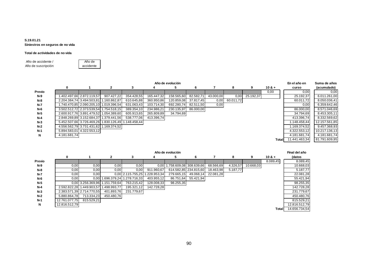#### **S.19.01.21 Siniestros en seguros de no vida**

#### **Total de actividades de no vida**

Año de accidente / Año de suscripción

**Z0010** Año de accidente

|   |                                           |                                                                     |                                                                                                                                                                                                                                                                       |                                                                          |                                                                   |                                     |                           |                             | En el año en  | Suma de años  |
|---|-------------------------------------------|---------------------------------------------------------------------|-----------------------------------------------------------------------------------------------------------------------------------------------------------------------------------------------------------------------------------------------------------------------|--------------------------------------------------------------------------|-------------------------------------------------------------------|-------------------------------------|---------------------------|-----------------------------|---------------|---------------|
| 0 |                                           | 3                                                                   |                                                                                                                                                                                                                                                                       | 6.                                                                       |                                                                   | 8                                   | 9                         | $10.8 +$                    | curso         | (acumulado)   |
|   |                                           |                                                                     |                                                                                                                                                                                                                                                                       |                                                                          |                                                                   |                                     |                           | 0,00                        | 0,00          | 0,00          |
|   | 907.427,22                                | 354.428,55                                                          | 165.447.32                                                                                                                                                                                                                                                            | 82.582,71                                                                |                                                                   |                                     |                           |                             | 25.192,37     | 6.011.261,00  |
|   |                                           | 610.645,88                                                          |                                                                                                                                                                                                                                                                       |                                                                          |                                                                   |                                     |                           |                             | 60.011.72     | 8.050.036,41  |
|   |                                           | 631.063,43                                                          |                                                                                                                                                                                                                                                                       |                                                                          |                                                                   |                                     |                           |                             | 0,00          | 6.359.642,46  |
|   |                                           | 389.354,10                                                          | 234.986,21                                                                                                                                                                                                                                                            |                                                                          |                                                                   |                                     |                           |                             | 86.000,00     | 8.571.046,69  |
|   |                                           | 605.913.65                                                          |                                                                                                                                                                                                                                                                       |                                                                          |                                                                   |                                     |                           |                             | 34.794.69     | 8.453.305,11  |
|   |                                           | 538.777.06                                                          |                                                                                                                                                                                                                                                                       |                                                                          |                                                                   |                                     |                           |                             | 413.396,74    | 8.332.569,62  |
|   |                                           |                                                                     |                                                                                                                                                                                                                                                                       |                                                                          |                                                                   |                                     |                           |                             | 1.148.458.44  | 12.157.561,85 |
|   |                                           |                                                                     |                                                                                                                                                                                                                                                                       |                                                                          |                                                                   |                                     |                           |                             | 1.169.374.52  | 9.457.368,93  |
|   |                                           |                                                                     |                                                                                                                                                                                                                                                                       |                                                                          |                                                                   |                                     |                           |                             | 4.322.553,12  | 10.217.136,13 |
|   |                                           |                                                                     |                                                                                                                                                                                                                                                                       |                                                                          |                                                                   |                                     |                           |                             | 4.181.681.74  | 4.181.681.74  |
|   |                                           |                                                                     |                                                                                                                                                                                                                                                                       |                                                                          |                                                                   |                                     |                           |                             | 11.441.463.34 | 81.791.609,95 |
|   | 1.402.497.66 2.872.119.57<br>4.181.681.74 | 2.204.384.74 3.494.503.81 1.160.862.87<br>5.894.583.01 4.322.553.12 | 1.740.470.85 2.090.205.10 1.019.396.54<br>3.502.512.72 2.373.539.54 1.754.518.15<br>2.600.917.76 3.891.479.52 1.054.389.60<br>2.848.269.89 3.152.684.37 1.379.441.56<br>5.452.507.66 3.726.469.26 1.830.126.49 1.148.458.44<br>4.556.562,79 3.731.431.62 1.169.374,52 | Año de evolución<br>360.950,86<br>103.714,30<br>265.809,89<br>413.396.74 | 158.565,60<br>120.859,08<br>692.280,74<br>230.135,97<br>34.794,69 | 37.817.45<br>82.511.50<br>86.000,00 | 43.000,00<br>0,00<br>0,00 | 0,00 25.192,37<br>60.011,72 |               | Totall        |

|            | Año de evolución |                                        |                     |                   |            |                              |                       |           |          |           |          | Final del año |
|------------|------------------|----------------------------------------|---------------------|-------------------|------------|------------------------------|-----------------------|-----------|----------|-----------|----------|---------------|
|            | 0                |                                        | $\mathbf{2}$        | 3                 | 4          | 5                            | 6                     |           | 8        | 9         | $10.8 +$ | (datos        |
| Previo     |                  |                                        |                     |                   |            |                              |                       |           |          |           | 8.089,45 | 8.089,45      |
| $N-9$      | 0,00             | 0,00                                   | 0,00                | 0,00              |            | 0.00 1.758.609.08 308.639.66 |                       | 68.566,69 | 4.326,57 | 10.668,03 |          | 10.668,03     |
| <b>N-8</b> | 0,00             | 0,00                                   | 0.00                | 0,00              | 911.960,67 |                              | 614.582,85 234.815,60 | 18.463,98 | 5.187,77 |           |          | 5.187,77      |
| $N-7$      | 0,00             | 0,00                                   |                     | 0.00 2.115.755.25 | 228.953.34 | 279.665.15                   | 49.068.14             | 22.081.28 |          |           |          | 22.081,28     |
| N-6        | 0,00             |                                        | 0,00 1.696.379,24 1 | 1.278.716.33      | 403.955,12 | 86.751.64                    | 55.421,94             |           |          |           |          | 55.421,94     |
| $N-5$      |                  | 0.00 3.256.369.96 1.151.759.64         |                     | 763.215,42        | 128.008,33 | 98.255,35                    |                       |           |          |           |          | 98.255,35     |
| $N-4$      |                  | 2.592.822,28 1.449.903,57 1.498.993,77 |                     | 195.321,12        | 142.728,28 |                              |                       |           |          |           |          | 142.728,28    |
| $N-3$      |                  | 2.383.571.39 2.714.770.55              | 401.893,76          | 231.779.67        |            |                              |                       |           |          |           |          | 231.779,67    |
| $N-2$      | 5.880.864.78     | 713.334,23                             | 450.480.76          |                   |            |                              |                       |           |          |           |          | 450.480,76    |
| $N-1$      | 12.761.077.75    | 815.529,21                             |                     |                   |            |                              |                       |           |          |           |          | 815.529.21    |
| N          | 12.816.512.79    |                                        |                     |                   |            |                              |                       |           |          |           |          | 12.816.512,79 |
|            |                  |                                        |                     |                   |            |                              |                       |           |          |           | Total    | 14.656.734.54 |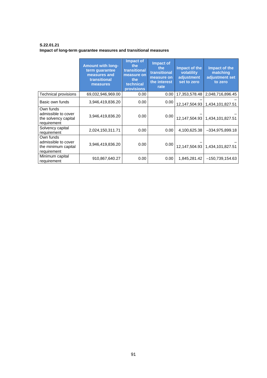**S.22.01.21 Impact of long-term guarantee measures and transitional measures** 

|                                                                         | <b>Amount with long-</b><br>term guarantee<br>measures and<br>transitional<br>measures | <b>Impact of</b><br>the<br>transitional<br>measure on<br>the<br>technical<br><b>provisions</b> | <b>Impact of</b><br>the<br>transitional<br>measure on<br>the interest<br>rate | Impact of the<br>volatility<br>adjustment<br>set to zero | Impact of the<br>matching<br>adjustment set<br>to zero |
|-------------------------------------------------------------------------|----------------------------------------------------------------------------------------|------------------------------------------------------------------------------------------------|-------------------------------------------------------------------------------|----------------------------------------------------------|--------------------------------------------------------|
| Technical provisions                                                    | 69,032,946,969.00                                                                      | 0.00                                                                                           | 0.00 <sub>1</sub>                                                             | 17,353,578.48                                            | 2,048,716,896.45                                       |
| Basic own funds                                                         | 3,946,419,836.20                                                                       | 0.00                                                                                           | 0.00                                                                          |                                                          | 12, 147, 504. 93   1, 434, 101, 827. 51                |
| Own funds<br>admissible to cover<br>the solvency capital<br>requirement | 3,946,419,836.20                                                                       | 0.00                                                                                           | 0.00                                                                          |                                                          | 12, 147, 504. 93   1, 434, 101, 827. 51                |
| Solvency capital<br>requirement                                         | 2,024,150,311.71                                                                       | 0.00                                                                                           | 0.00                                                                          | 4,100,625.38                                             | $-334,975,899.18$                                      |
| Own funds<br>admissible to cover<br>the minimum capital<br>requirement  | 3,946,419,836.20                                                                       | 0.00                                                                                           | 0.00                                                                          |                                                          | 12, 147, 504. 93   1, 434, 101, 827. 51                |
| Minimum capital<br>requirement                                          | 910,867,640.27                                                                         | 0.00                                                                                           | 0.00                                                                          | 1,845,281.42                                             | $-150,739,154.63$                                      |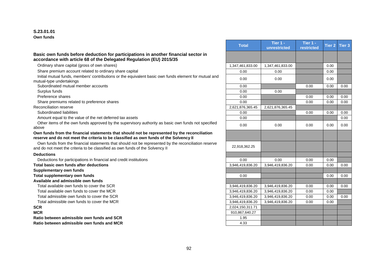#### **S.23.01.01 Own funds**

#### **Basic own funds before deduction for participations in another financial sector in accordance with article 68 of the Delegated Regulation (EU) 2015/35**

#### **Own funds from the financial statements that should not be represented by the reconciliation reserve and do not meet the criteria to be classified as own funds of the Solvency II**

#### **Deductions**

#### **Total basic own funds after deductions**

**Ratio between admissible own funds and SCR Ratio between admissible own funds and MCR** 

|                                                                                                                                                                                       | <b>Total</b>     | Tier 1 -<br>unrestricted | Tier 1 -<br>restricted | Tier 2 | Tier <sub>3</sub> |
|---------------------------------------------------------------------------------------------------------------------------------------------------------------------------------------|------------------|--------------------------|------------------------|--------|-------------------|
| Basic own funds before deduction for participations in another financial sector in<br>accordance with article 68 of the Delegated Regulation (EU) 2015/35                             |                  |                          |                        |        |                   |
| Ordinary share capital (gross of own shares)                                                                                                                                          | 1,347,461,833.00 | 1,347,461,833.00         |                        | 0.00   |                   |
| Share premium account related to ordinary share capital                                                                                                                               | 0.00             | 0.00                     |                        | 0.00   |                   |
| Initial mutual funds, members' contributions or the equivalent basic own funds element for mutual and<br>mutual-type undertakings                                                     | 0.00             | 0.00                     |                        | 0.00   |                   |
| Subordinated mutual member accounts                                                                                                                                                   | 0.00             |                          | 0.00                   | 0.00   | 0.00              |
| Surplus funds                                                                                                                                                                         | 0.00             | 0.00                     |                        |        |                   |
| Preference shares                                                                                                                                                                     | 0.00             |                          | 0.00                   | 0.00   | 0.00              |
| Share premiums related to preference shares                                                                                                                                           | 0.00             |                          | 0.00                   | 0.00   | 0.00              |
| Reconciliation reserve                                                                                                                                                                | 2,621,876,365.45 | 2.621.876.365.45         |                        |        |                   |
| Subordinated liabilities                                                                                                                                                              | 0.00             |                          | 0.00                   | 0.00   | 0.00              |
| Amount equal to the value of the net deferred tax assets                                                                                                                              | 0.00             |                          |                        |        | 0.00              |
| Other items of the own funds approved by the supervisory authority as basic own funds not specified<br>above                                                                          | 0.00             | 0.00                     | 0.00                   | 0.00   | 0.00              |
| Own funds from the financial statements that should not be represented by the reconciliation<br>reserve and do not meet the criteria to be classified as own funds of the Solvency II |                  |                          |                        |        |                   |
| Own funds from the financial statements that should not be represented by the reconciliation reserve<br>and do not meet the criteria to be classified as own funds of the Solvency II | 22,918,362.25    |                          |                        |        |                   |
| <b>Deductions</b>                                                                                                                                                                     |                  |                          |                        |        |                   |
| Deductions for participations in financial and credit institutions                                                                                                                    | 0.00             | 0.00                     | 0.00                   | 0.00   |                   |
| <b>Total basic own funds after deductions</b>                                                                                                                                         | 3.946.419.836.20 | 3.946.419.836.20         | 0.00                   | 0.00   | 0.00              |
| <b>Supplementary own funds</b>                                                                                                                                                        |                  |                          |                        |        |                   |
| Total supplementary own funds                                                                                                                                                         | 0.00             |                          |                        | 0.00   | 0.00              |
| Available and admissible own funds                                                                                                                                                    |                  |                          |                        |        |                   |
| Total available own funds to cover the SCR                                                                                                                                            | 3,946,419,836.20 | 3,946,419,836.20         | 0.00                   | 0.00   | 0.00              |
| Total available own funds to cover the MCR                                                                                                                                            | 3,946,419,836.20 | 3,946,419,836.20         | 0.00                   | 0.00   |                   |
| Total admissible own funds to cover the SCR                                                                                                                                           | 3,946,419,836.20 | 3,946,419,836.20         | 0.00                   | 0.00   | 0.00              |
| Total admissible own funds to cover the MCR                                                                                                                                           | 3,946,419,836.20 | 3,946,419,836.20         | 0.00                   | 0.00   |                   |
| SCR                                                                                                                                                                                   | 2,024,150,311.71 |                          |                        |        |                   |
| <b>MCR</b>                                                                                                                                                                            | 910,867,640.27   |                          |                        |        |                   |
| Ratio between admissible own funds and SCR                                                                                                                                            | 1.95             |                          |                        |        |                   |
| Ratio hetween admissible own funds and MCR                                                                                                                                            | 4.33             |                          |                        |        |                   |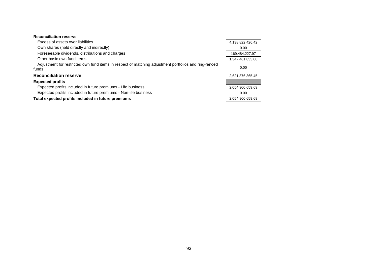#### **Reconciliation reserve**

| Excess of assets over liabilities                                                                              | 4,138,822,426.42 |
|----------------------------------------------------------------------------------------------------------------|------------------|
| Own shares (held directly and indirectly)                                                                      | 0.00             |
| Foreseeable dividends, distributions and charges                                                               | 169,484,227.97   |
| Other basic own fund items                                                                                     | 1,347,461,833.00 |
| Adjustment for restricted own fund items in respect of matching adjustment portfolios and ring-fenced<br>funds | 0.00             |
| <b>Reconciliation reserve</b>                                                                                  | 2,621,876,365.45 |
| <b>Expected profits</b>                                                                                        |                  |
| Expected profits included in future premiums - Life business                                                   | 2,054,900,659.69 |
| Expected profits included in future premiums - Non-life business                                               | 0.00             |
| Total expected profits included in future premiums                                                             | 2,054,900,659.69 |

 $\overline{\phantom{0}}$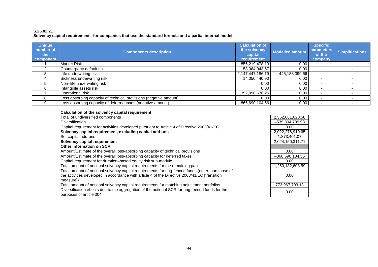#### **S.25.02.21 Solvency capital requirement - for companies that use the standard formula and a partial internal model**

| <b>Unique</b><br>number of<br>the<br>component | <b>Components description</b>                                     | <b>Calculation of</b><br>the solvency<br>capital<br>requirement | Modelled amount | <b>Specific</b><br><b>parameters</b><br>of the<br>company | <b>Simplifications</b> |
|------------------------------------------------|-------------------------------------------------------------------|-----------------------------------------------------------------|-----------------|-----------------------------------------------------------|------------------------|
|                                                | <b>Market Risk</b>                                                | 856,219,478.13                                                  | 0.00            | $\overline{\phantom{0}}$                                  |                        |
|                                                | Counterparty default risk                                         | 58,064,043.67                                                   | 0.00            |                                                           |                        |
|                                                | Life underwriting risk                                            | 2,147,447,186.19                                                | 445,188,399.66  |                                                           |                        |
|                                                | Sickness underwriting risk                                        | 14,050,440.90                                                   | 0.00            | $\overline{\phantom{a}}$                                  |                        |
|                                                | Non-life underwriting risk                                        | 0.00 <sub>1</sub>                                               | 0.00            | $\overline{\phantom{0}}$                                  |                        |
|                                                | Intangible assets risk                                            | 0.00 <sub>1</sub>                                               | 0.00            |                                                           |                        |
|                                                | Operational risk                                                  | 352,990,576.25                                                  | 0.00            |                                                           |                        |
|                                                | Loss absorbing capacity of technical provisions (negative amount) | 0.00                                                            | 0.00            |                                                           |                        |
|                                                | Loss absorbing capacity of deferred taxes (negative amount)       | $-866.690.104.56$                                               | 0.00            |                                                           |                        |

| Calculation of the solvency capital requirement                                                                                                                                                                 |                   |
|-----------------------------------------------------------------------------------------------------------------------------------------------------------------------------------------------------------------|-------------------|
| Total of undiversified components                                                                                                                                                                               | 2,562,081,620.58  |
| <b>Diversification</b>                                                                                                                                                                                          | $-539,804,709.93$ |
| Capital requirement for activities developed pursuant to Article 4 of Directive 2003/41/EC                                                                                                                      | 0.00              |
| Solvency capital requirement, excluding capital add-ons                                                                                                                                                         | 2,022,276,910.65  |
| Set capital add-ons                                                                                                                                                                                             | 1,873,401.07      |
| Solvency capital requirement                                                                                                                                                                                    | 2,024,150,311.71  |
| Other information on SCR                                                                                                                                                                                        |                   |
| Amount/Estimate of the overall loss-absorbing capacity of technical provisions                                                                                                                                  | 0.00              |
| Amount/Estimate of the overall loss-absorbing capacity for deferred taxes                                                                                                                                       | $-866,690,104.56$ |
| Capital requirement for duration-based equity risk sub-module                                                                                                                                                   | 0.00              |
| Total amount of notional solvency capital requirements for the remaining part                                                                                                                                   | 1,250,182,608.59  |
| Total amount of notional solvency capital requirements for ring-fenced funds (other than those of<br>the activities developed in accordance with article 4 of the Directive 2003/41/EC [transition<br>measurel) | 0.00              |
| Total amount of notional solvency capital requirements for matching adjustment portfolios                                                                                                                       | 773,967,703.13    |
| Diversification effects due to the aggregation of the notional SCR for ring-fenced funds for the<br>purposes of article 304                                                                                     | 0.00              |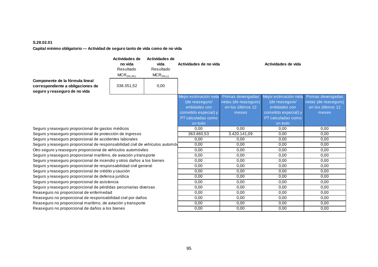#### **S.28.02.01 Capital mínimo obligatorio — Actividad de seguro tanto de vida como de no vida**

|                                                                                                       | Actividades de<br>no vida<br>Resultado<br>$MCR_{(NL,NL)}$ | Actividades de<br>vida<br>Resultado<br>$MCR_{(NL, L)}$ | Actividades de no vida                                                                                            |                                                                         | Actividades de vida                                                                                               |                                                                         |
|-------------------------------------------------------------------------------------------------------|-----------------------------------------------------------|--------------------------------------------------------|-------------------------------------------------------------------------------------------------------------------|-------------------------------------------------------------------------|-------------------------------------------------------------------------------------------------------------------|-------------------------------------------------------------------------|
| Componente de la fórmula lineal<br>correspondiente a obligaciones de<br>seguro y reaseguro de no vida | 338.351,52                                                | 0,00                                                   |                                                                                                                   |                                                                         |                                                                                                                   |                                                                         |
|                                                                                                       |                                                           |                                                        | Mejor estimación neta<br>(de reaseguro/<br>entidades con<br>cometido especial) y<br>PT calculadas como<br>un todo | Primas devengadas<br>netas (de reaseguro)<br>en los últimos 12<br>meses | Mejor estimación neta<br>(de reaseguro/<br>entidades con<br>cometido especial) y<br>PT calculadas como<br>un todo | Primas devengadas<br>netas (de reaseguro)<br>en los últimos 12<br>meses |
| Seguro y reaseguro proporcional de gastos médicos                                                     |                                                           |                                                        | 0.00                                                                                                              | 0.00                                                                    | 0.00                                                                                                              | 0.00                                                                    |
| Seguro y reaseguro proporcional de protección de ingresos                                             |                                                           |                                                        | 363.660,53                                                                                                        | 3.420.141,09                                                            | 0,00                                                                                                              | 0,00                                                                    |
| Seguro y reaseguro proporcional de accidentes laborales                                               |                                                           |                                                        | 0,00                                                                                                              | 0,00                                                                    | 0,00                                                                                                              | 0,00                                                                    |
| Seguro y reaseguro proporcional de responsabilidad civil de vehículos automóv                         |                                                           |                                                        | 0,00                                                                                                              | 0,00                                                                    | 0,00                                                                                                              | 0,00                                                                    |
| Otro seguro y reaseguro proporcional de vehículos automóviles                                         |                                                           |                                                        | 0,00                                                                                                              | 0,00                                                                    | 0,00                                                                                                              | 0,00                                                                    |
| Seguro y reaseguro proporcional marítimo, de aviación y transporte                                    |                                                           |                                                        | 0,00                                                                                                              | 0,00                                                                    | 0,00                                                                                                              | 0,00                                                                    |
| Seguro y reaseguro proporcional de incendio y otros daños a los bienes                                |                                                           | 0,00                                                   | 0,00                                                                                                              | 0,00                                                                    | 0,00                                                                                                              |                                                                         |
| Seguro y reaseguro proporcional de responsabilidad civil general                                      |                                                           | 0,00                                                   | 0,00                                                                                                              | 0,00                                                                    | 0,00                                                                                                              |                                                                         |
| Seguro y reaseguro proporcional de crédito y caución                                                  |                                                           | 0,00                                                   | 0,00                                                                                                              | 0,00                                                                    | 0,00                                                                                                              |                                                                         |
| Seguro y reaseguro proporcional de defensa jurídica                                                   |                                                           |                                                        | 0,00                                                                                                              | 0,00                                                                    | 0,00                                                                                                              | 0,00                                                                    |
| Seguro y reaseguro proporcional de asistencia                                                         |                                                           |                                                        | 0,00                                                                                                              | 0,00                                                                    | 0,00                                                                                                              | 0,00                                                                    |
| Seguro y reaseguro proporcional de pérdidas pecuniarias diversas                                      |                                                           |                                                        | 0,00                                                                                                              | 0,00                                                                    | 0,00                                                                                                              | 0.00                                                                    |
| Reaseguro no proporcional de enfermedad                                                               |                                                           |                                                        | 0,00                                                                                                              | 0,00                                                                    | 0,00                                                                                                              | 0,00                                                                    |
| Reaseguro no proporcional de responsabilidad civil por daños                                          |                                                           |                                                        | 0,00                                                                                                              | 0,00                                                                    | 0,00                                                                                                              | 0,00                                                                    |
| Reaseguro no proporcional marítimo, de aviación y transporte                                          |                                                           |                                                        | 0,00                                                                                                              | 0,00                                                                    | 0,00                                                                                                              | 0,00                                                                    |
| Reaseguro no proporcional de daños a los bienes                                                       |                                                           |                                                        | 0,00                                                                                                              | 0,00                                                                    | 0,00                                                                                                              | 0,00                                                                    |